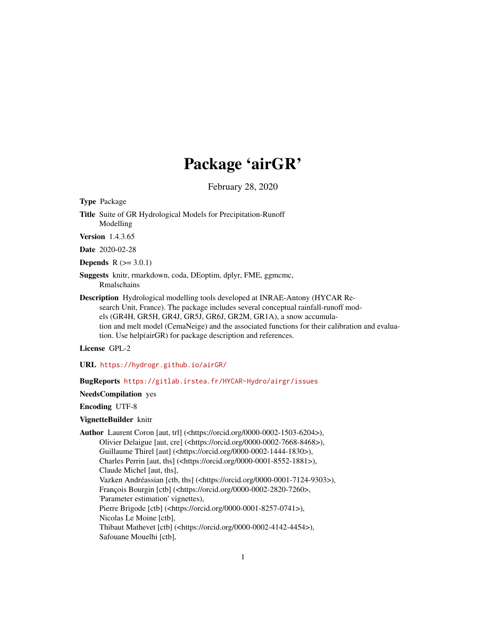# Package 'airGR'

February 28, 2020

Type Package

Title Suite of GR Hydrological Models for Precipitation-Runoff Modelling

Version 1.4.3.65

Date 2020-02-28

**Depends**  $R (= 3.0.1)$ 

Suggests knitr, rmarkdown, coda, DEoptim, dplyr, FME, ggmcmc, Rmalschains

Description Hydrological modelling tools developed at INRAE-Antony (HYCAR Research Unit, France). The package includes several conceptual rainfall-runoff models (GR4H, GR5H, GR4J, GR5J, GR6J, GR2M, GR1A), a snow accumulation and melt model (CemaNeige) and the associated functions for their calibration and evaluation. Use help(airGR) for package description and references.

License GPL-2

URL <https://hydrogr.github.io/airGR/>

# BugReports <https://gitlab.irstea.fr/HYCAR-Hydro/airgr/issues>

NeedsCompilation yes

Encoding UTF-8

### VignetteBuilder knitr

Author Laurent Coron [aut, trl] (<https://orcid.org/0000-0002-1503-6204>), Olivier Delaigue [aut, cre] (<https://orcid.org/0000-0002-7668-8468>), Guillaume Thirel [aut] (<https://orcid.org/0000-0002-1444-1830>), Charles Perrin [aut, ths] (<https://orcid.org/0000-0001-8552-1881>), Claude Michel [aut, ths], Vazken Andréassian [ctb, ths] (<https://orcid.org/0000-0001-7124-9303>), François Bourgin [ctb] (<https://orcid.org/0000-0002-2820-7260>, 'Parameter estimation' vignettes), Pierre Brigode [ctb] (<https://orcid.org/0000-0001-8257-0741>), Nicolas Le Moine [ctb], Thibaut Mathevet [ctb] (<https://orcid.org/0000-0002-4142-4454>), Safouane Mouelhi [ctb],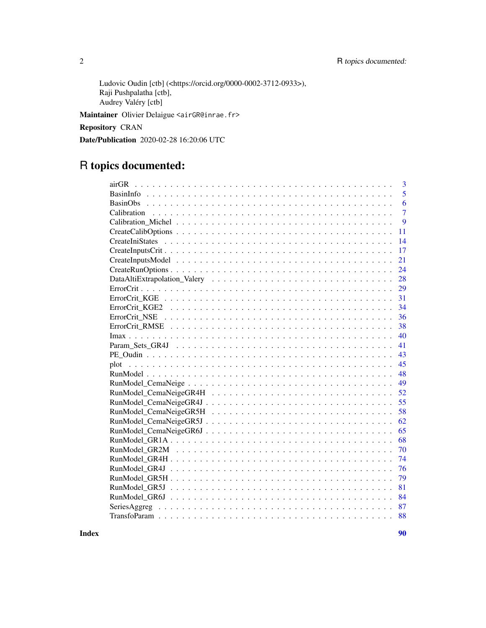Ludovic Oudin [ctb] (<https://orcid.org/0000-0002-3712-0933>), Raji Pushpalatha [ctb], Audrey Valéry [ctb]

Maintainer Olivier Delaigue <airGR@inrae.fr>

Repository CRAN

Date/Publication 2020-02-28 16:20:06 UTC

# R topics documented:

| 3<br>airGR       |
|------------------|
| $\overline{5}$   |
| 6                |
| $\overline{7}$   |
| $\boldsymbol{Q}$ |
| 11               |
| 14               |
| 17               |
| 21               |
| 24               |
| 28               |
| 29               |
| 31               |
| 34               |
| 36               |
| 38               |
| 40               |
| 41               |
| 43               |
| 45               |
| 48               |
| 49               |
| 52               |
| 55               |
| 58               |
| 62               |
| 65               |
| 68               |
| 70               |
| 74               |
| 76               |
| 79               |
| 81               |
| 84               |
| 87               |
| 88               |

**Index [90](#page-89-0)**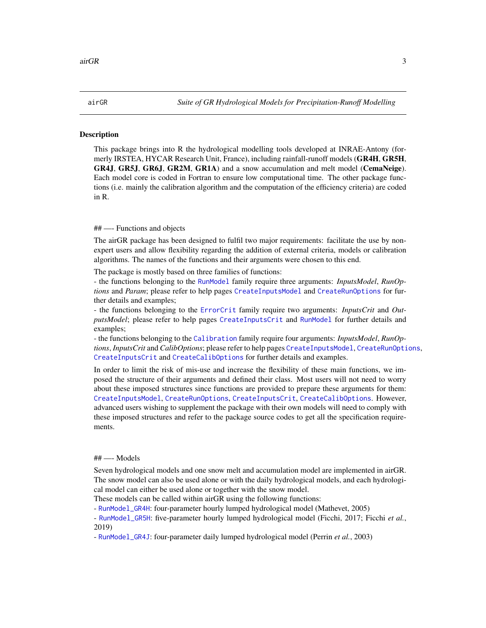#### <span id="page-2-0"></span>Description

This package brings into R the hydrological modelling tools developed at INRAE-Antony (formerly IRSTEA, HYCAR Research Unit, France), including rainfall-runoff models (GR4H, GR5H, GR4J, GR5J, GR6J, GR2M, GR1A) and a snow accumulation and melt model (CemaNeige). Each model core is coded in Fortran to ensure low computational time. The other package functions (i.e. mainly the calibration algorithm and the computation of the efficiency criteria) are coded in R.

### ## —- Functions and objects

The airGR package has been designed to fulfil two major requirements: facilitate the use by nonexpert users and allow flexibility regarding the addition of external criteria, models or calibration algorithms. The names of the functions and their arguments were chosen to this end.

The package is mostly based on three families of functions:

- the functions belonging to the [RunModel](#page-47-1) family require three arguments: *InputsModel*, *RunOptions* and *Param*; please refer to help pages [CreateInputsModel](#page-20-1) and [CreateRunOptions](#page-23-1) for further details and examples;

- the functions belonging to the [ErrorCrit](#page-28-1) family require two arguments: *InputsCrit* and *OutputsModel*; please refer to help pages [CreateInputsCrit](#page-16-1) and [RunModel](#page-47-1) for further details and examples;

- the functions belonging to the [Calibration](#page-6-1) family require four arguments: *InputsModel*, *RunOptions*, *InputsCrit* and *CalibOptions*; please refer to help pages [CreateInputsModel](#page-20-1), [CreateRunOptions](#page-23-1), [CreateInputsCrit](#page-16-1) and [CreateCalibOptions](#page-10-1) for further details and examples.

In order to limit the risk of mis-use and increase the flexibility of these main functions, we imposed the structure of their arguments and defined their class. Most users will not need to worry about these imposed structures since functions are provided to prepare these arguments for them: [CreateInputsModel](#page-20-1), [CreateRunOptions](#page-23-1), [CreateInputsCrit](#page-16-1), [CreateCalibOptions](#page-10-1). However, advanced users wishing to supplement the package with their own models will need to comply with these imposed structures and refer to the package source codes to get all the specification requirements.

#### ## —- Models

Seven hydrological models and one snow melt and accumulation model are implemented in airGR. The snow model can also be used alone or with the daily hydrological models, and each hydrological model can either be used alone or together with the snow model.

These models can be called within airGR using the following functions:

- [RunModel\\_GR4H](#page-73-1): four-parameter hourly lumped hydrological model (Mathevet, 2005)

- [RunModel\\_GR5H](#page-78-1): five-parameter hourly lumped hydrological model (Ficchi, 2017; Ficchi *et al.*, 2019)

- [RunModel\\_GR4J](#page-75-1): four-parameter daily lumped hydrological model (Perrin *et al.*, 2003)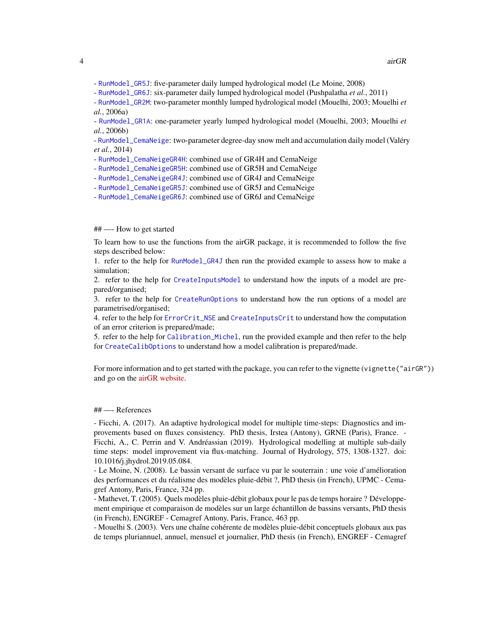- [RunModel\\_GR5J](#page-80-1): five-parameter daily lumped hydrological model (Le Moine, 2008)

- [RunModel\\_GR6J](#page-83-1): six-parameter daily lumped hydrological model (Pushpalatha *et al.*, 2011)

- [RunModel\\_GR2M](#page-69-1): two-parameter monthly lumped hydrological model (Mouelhi, 2003; Mouelhi *et al.*, 2006a)

- [RunModel\\_GR1A](#page-67-1): one-parameter yearly lumped hydrological model (Mouelhi, 2003; Mouelhi *et al.*, 2006b)

- [RunModel\\_CemaNeige](#page-48-1): two-parameter degree-day snow melt and accumulation daily model (Valéry *et al.*, 2014)

- [RunModel\\_CemaNeigeGR4H](#page-51-1): combined use of GR4H and CemaNeige

- [RunModel\\_CemaNeigeGR5H](#page-57-1): combined use of GR5H and CemaNeige

- [RunModel\\_CemaNeigeGR4J](#page-54-1): combined use of GR4J and CemaNeige

- [RunModel\\_CemaNeigeGR5J](#page-61-1): combined use of GR5J and CemaNeige

- [RunModel\\_CemaNeigeGR6J](#page-64-1): combined use of GR6J and CemaNeige

# ## —- How to get started

To learn how to use the functions from the airGR package, it is recommended to follow the five steps described below:

1. refer to the help for [RunModel\\_GR4J](#page-75-1) then run the provided example to assess how to make a simulation;

2. refer to the help for [CreateInputsModel](#page-20-1) to understand how the inputs of a model are prepared/organised;

3. refer to the help for [CreateRunOptions](#page-23-1) to understand how the run options of a model are parametrised/organised;

4. refer to the help for [ErrorCrit\\_NSE](#page-35-1) and [CreateInputsCrit](#page-16-1) to understand how the computation of an error criterion is prepared/made;

5. refer to the help for [Calibration\\_Michel](#page-8-1), run the provided example and then refer to the help for [CreateCalibOptions](#page-10-1) to understand how a model calibration is prepared/made.

For more information and to get started with the package, you can refer to the vignette (vignette("airGR")) and go on the [airGR website.](https://hydrogr.github.io/airGR/)

## ## —- References

- Ficchi, A. (2017). An adaptive hydrological model for multiple time-steps: Diagnostics and improvements based on fluxes consistency. PhD thesis, Irstea (Antony), GRNE (Paris), France. - Ficchi, A., C. Perrin and V. Andréassian (2019). Hydrological modelling at multiple sub-daily time steps: model improvement via flux-matching. Journal of Hydrology, 575, 1308-1327. doi: 10.1016/j.jhydrol.2019.05.084.

- Le Moine, N. (2008). Le bassin versant de surface vu par le souterrain : une voie d'amélioration des performances et du réalisme des modèles pluie-débit ?, PhD thesis (in French), UPMC - Cemagref Antony, Paris, France, 324 pp.

- Mathevet, T. (2005). Quels modèles pluie-débit globaux pour le pas de temps horaire ? Développement empirique et comparaison de modèles sur un large échantillon de bassins versants, PhD thesis (in French), ENGREF - Cemagref Antony, Paris, France, 463 pp.

- Mouelhi S. (2003). Vers une chaîne cohérente de modèles pluie-débit conceptuels globaux aux pas de temps pluriannuel, annuel, mensuel et journalier, PhD thesis (in French), ENGREF - Cemagref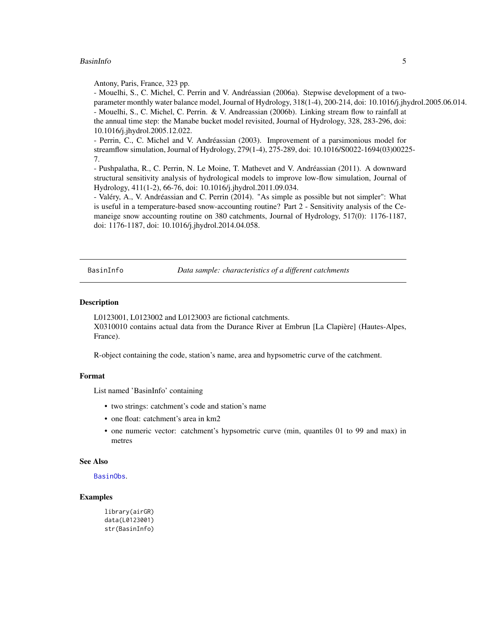# <span id="page-4-0"></span>BasinInfo 5

Antony, Paris, France, 323 pp.

- Mouelhi, S., C. Michel, C. Perrin and V. Andréassian (2006a). Stepwise development of a twoparameter monthly water balance model, Journal of Hydrology, 318(1-4), 200-214, doi: 10.1016/j.jhydrol.2005.06.014. - Mouelhi, S., C. Michel, C. Perrin. & V. Andreassian (2006b). Linking stream flow to rainfall at the annual time step: the Manabe bucket model revisited, Journal of Hydrology, 328, 283-296, doi: 10.1016/j.jhydrol.2005.12.022.

- Perrin, C., C. Michel and V. Andréassian (2003). Improvement of a parsimonious model for streamflow simulation, Journal of Hydrology, 279(1-4), 275-289, doi: 10.1016/S0022-1694(03)00225- 7.

- Pushpalatha, R., C. Perrin, N. Le Moine, T. Mathevet and V. Andréassian (2011). A downward structural sensitivity analysis of hydrological models to improve low-flow simulation, Journal of Hydrology, 411(1-2), 66-76, doi: 10.1016/j.jhydrol.2011.09.034.

- Valéry, A., V. Andréassian and C. Perrin (2014). "As simple as possible but not simpler": What is useful in a temperature-based snow-accounting routine? Part 2 - Sensitivity analysis of the Cemaneige snow accounting routine on 380 catchments, Journal of Hydrology, 517(0): 1176-1187, doi: 1176-1187, doi: 10.1016/j.jhydrol.2014.04.058.

<span id="page-4-1"></span>BasinInfo *Data sample: characteristics of a different catchments*

# Description

L0123001, L0123002 and L0123003 are fictional catchments. X0310010 contains actual data from the Durance River at Embrun [La Clapière] (Hautes-Alpes, France).

R-object containing the code, station's name, area and hypsometric curve of the catchment.

#### Format

List named 'BasinInfo' containing

- two strings: catchment's code and station's name
- one float: catchment's area in km2
- one numeric vector: catchment's hypsometric curve (min, quantiles 01 to 99 and max) in metres

# See Also

# [BasinObs](#page-5-1).

# Examples

```
library(airGR)
data(L0123001)
str(BasinInfo)
```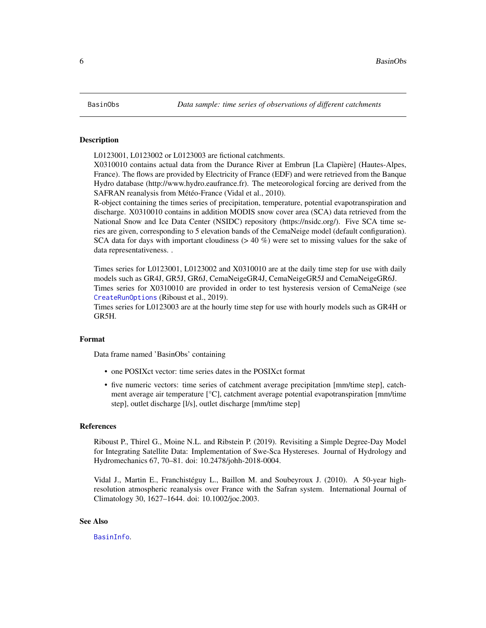<span id="page-5-1"></span><span id="page-5-0"></span>

#### Description

L0123001, L0123002 or L0123003 are fictional catchments.

X0310010 contains actual data from the Durance River at Embrun [La Clapière] (Hautes-Alpes, France). The flows are provided by Electricity of France (EDF) and were retrieved from the Banque Hydro database (http://www.hydro.eaufrance.fr). The meteorological forcing are derived from the SAFRAN reanalysis from Météo-France (Vidal et al., 2010).

R-object containing the times series of precipitation, temperature, potential evapotranspiration and discharge. X0310010 contains in addition MODIS snow cover area (SCA) data retrieved from the National Snow and Ice Data Center (NSIDC) repository (https://nsidc.org/). Five SCA time series are given, corresponding to 5 elevation bands of the CemaNeige model (default configuration). SCA data for days with important cloudiness  $(> 40\%)$  were set to missing values for the sake of data representativeness. .

Times series for L0123001, L0123002 and X0310010 are at the daily time step for use with daily models such as GR4J, GR5J, GR6J, CemaNeigeGR4J, CemaNeigeGR5J and CemaNeigeGR6J. Times series for X0310010 are provided in order to test hysteresis version of CemaNeige (see [CreateRunOptions](#page-23-1) (Riboust et al., 2019).

Times series for L0123003 are at the hourly time step for use with hourly models such as GR4H or GR5H.

# Format

Data frame named 'BasinObs' containing

- one POSIXct vector: time series dates in the POSIXct format
- five numeric vectors: time series of catchment average precipitation [mm/time step], catchment average air temperature [°C], catchment average potential evapotranspiration [mm/time step], outlet discharge [l/s], outlet discharge [mm/time step]

#### References

Riboust P., Thirel G., Moine N.L. and Ribstein P. (2019). Revisiting a Simple Degree-Day Model for Integrating Satellite Data: Implementation of Swe-Sca Hystereses. Journal of Hydrology and Hydromechanics 67, 70–81. doi: 10.2478/johh-2018-0004.

Vidal J., Martin E., Franchistéguy L., Baillon M. and Soubeyroux J. (2010). A 50-year highresolution atmospheric reanalysis over France with the Safran system. International Journal of Climatology 30, 1627–1644. doi: 10.1002/joc.2003.

# See Also

[BasinInfo](#page-4-1).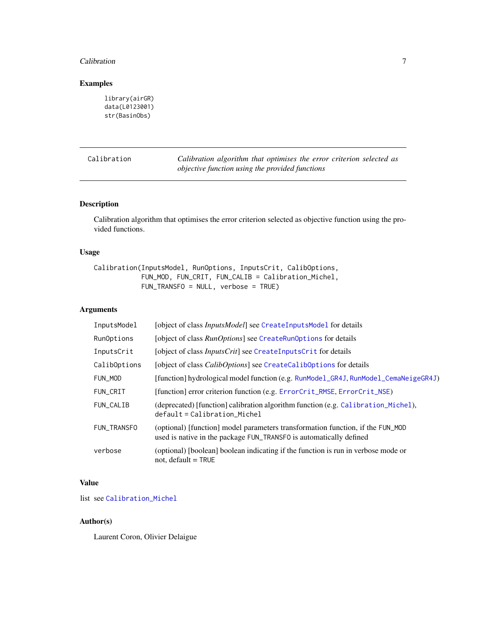#### <span id="page-6-0"></span>**Calibration** 7

# Examples

```
library(airGR)
data(L0123001)
str(BasinObs)
```
<span id="page-6-1"></span>Calibration *Calibration algorithm that optimises the error criterion selected as objective function using the provided functions*

# Description

Calibration algorithm that optimises the error criterion selected as objective function using the provided functions.

# Usage

Calibration(InputsModel, RunOptions, InputsCrit, CalibOptions, FUN\_MOD, FUN\_CRIT, FUN\_CALIB = Calibration\_Michel, FUN\_TRANSFO = NULL, verbose = TRUE)

# Arguments

| InputsModel  | [object of class <i>InputsModel</i> ] see CreateInputsModel for details                                                                              |  |
|--------------|------------------------------------------------------------------------------------------------------------------------------------------------------|--|
| RunOptions   | [object of class <i>RunOptions</i> ] see CreateRunOptions for details                                                                                |  |
| InputsCrit   | [object of class <i>InputsCrit</i> ] see CreateInputsCrit for details                                                                                |  |
| CalibOptions | [object of class <i>CalibOptions</i> ] see CreateCalibOptions for details                                                                            |  |
| FUN_MOD      | [function] hydrological model function (e.g. RunModel_GR4J, RunModel_CemaNeigeGR4J)                                                                  |  |
| FUN_CRIT     | [function] error criterion function (e.g. ErrorCrit_RMSE, ErrorCrit_NSE)                                                                             |  |
| FUN CALIB    | (deprecated) [function] calibration algorithm function (e.g. Calibration_Michel),<br>$default = California$                                          |  |
| FUN_TRANSFO  | (optional) [function] model parameters transformation function, if the FUN_MOD<br>used is native in the package FUN_TRANSFO is automatically defined |  |
| verbose      | (optional) [boolean] boolean indicating if the function is run in verbose mode or<br>not, default $=$ TRUE                                           |  |

# Value

list see [Calibration\\_Michel](#page-8-1)

# Author(s)

Laurent Coron, Olivier Delaigue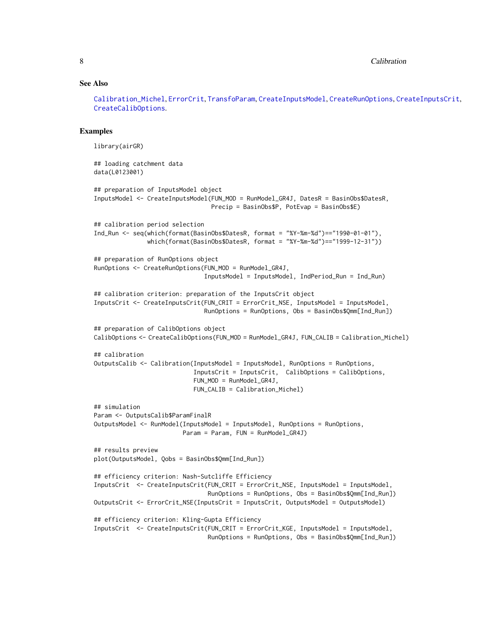# See Also

[Calibration\\_Michel](#page-8-1), [ErrorCrit](#page-28-1), [TransfoParam](#page-87-1), [CreateInputsModel](#page-20-1), [CreateRunOptions](#page-23-1), [CreateInputsCrit](#page-16-1), [CreateCalibOptions](#page-10-1).

# Examples

```
library(airGR)
## loading catchment data
data(L0123001)
## preparation of InputsModel object
InputsModel <- CreateInputsModel(FUN_MOD = RunModel_GR4J, DatesR = BasinObs$DatesR,
                                Precip = BasinObs$P, PotEvap = BasinObs$E)
## calibration period selection
Ind_Run <- seq(which(format(BasinObs$DatesR, format = "%Y-%m-%d")=="1990-01-01"),
               which(format(BasinObs$DatesR, format = "%Y-%m-%d")=="1999-12-31"))
## preparation of RunOptions object
RunOptions <- CreateRunOptions(FUN_MOD = RunModel_GR4J,
                               InputsModel = InputsModel, IndPeriod_Run = Ind_Run)
## calibration criterion: preparation of the InputsCrit object
InputsCrit <- CreateInputsCrit(FUN_CRIT = ErrorCrit_NSE, InputsModel = InputsModel,
                               RunOptions = RunOptions, Obs = BasinObs$Qmm[Ind_Run])
## preparation of CalibOptions object
CalibOptions <- CreateCalibOptions(FUN_MOD = RunModel_GR4J, FUN_CALIB = Calibration_Michel)
## calibration
OutputsCalib <- Calibration(InputsModel = InputsModel, RunOptions = RunOptions,
                            InputsCrit = InputsCrit, CalibOptions = CalibOptions,
                            FUN_MOD = RunModel_GR4J,
                            FUN_CALIB = Calibration_Michel)
## simulation
Param <- OutputsCalib$ParamFinalR
OutputsModel <- RunModel(InputsModel = InputsModel, RunOptions = RunOptions,
                        Param = Param, FUN = RunModel_GR4J)
## results preview
plot(OutputsModel, Qobs = BasinObs$Qmm[Ind_Run])
## efficiency criterion: Nash-Sutcliffe Efficiency
InputsCrit <- CreateInputsCrit(FUN_CRIT = ErrorCrit_NSE, InputsModel = InputsModel,
                                RunOptions = RunOptions, Obs = BasinObs$Qmm[Ind_Run])
OutputsCrit <- ErrorCrit_NSE(InputsCrit = InputsCrit, OutputsModel = OutputsModel)
## efficiency criterion: Kling-Gupta Efficiency
InputsCrit <- CreateInputsCrit(FUN_CRIT = ErrorCrit_KGE, InputsModel = InputsModel,
                                RunOptions = RunOptions, Obs = BasinObs$Qmm[Ind_Run])
```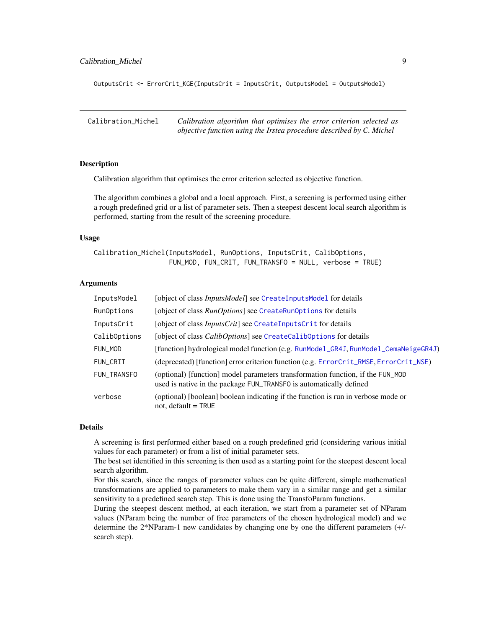# <span id="page-8-0"></span>Calibration\_Michel 9

OutputsCrit <- ErrorCrit\_KGE(InputsCrit = InputsCrit, OutputsModel = OutputsModel)

<span id="page-8-1"></span>Calibration\_Michel *Calibration algorithm that optimises the error criterion selected as objective function using the Irstea procedure described by C. Michel*

# **Description**

Calibration algorithm that optimises the error criterion selected as objective function.

The algorithm combines a global and a local approach. First, a screening is performed using either a rough predefined grid or a list of parameter sets. Then a steepest descent local search algorithm is performed, starting from the result of the screening procedure.

#### Usage

Calibration\_Michel(InputsModel, RunOptions, InputsCrit, CalibOptions, FUN\_MOD, FUN\_CRIT, FUN\_TRANSFO = NULL, verbose = TRUE)

# Arguments

| InputsModel  | [object of class <i>InputsModel</i> ] see CreateInputsModel for details                                                                              |  |
|--------------|------------------------------------------------------------------------------------------------------------------------------------------------------|--|
| RunOptions   | [object of class <i>RunOptions</i> ] see CreateRunOptions for details                                                                                |  |
| InputsCrit   | [object of class <i>InputsCrit</i> ] see CreateInputsCrit for details                                                                                |  |
| CalibOptions | [object of class <i>CalibOptions</i> ] see CreateCalibOptions for details                                                                            |  |
| FUN_MOD      | [function] hydrological model function (e.g. RunModel_GR4J, RunModel_CemaNeigeGR4J)                                                                  |  |
| FUN_CRIT     | (deprecated) [function] error criterion function (e.g. ErrorCrit_RMSE, ErrorCrit_NSE)                                                                |  |
| FUN_TRANSFO  | (optional) [function] model parameters transformation function, if the FUN_MOD<br>used is native in the package FUN_TRANSFO is automatically defined |  |
| verbose      | (optional) [boolean] boolean indicating if the function is run in verbose mode or<br>not, default $=$ TRUE                                           |  |

# Details

A screening is first performed either based on a rough predefined grid (considering various initial values for each parameter) or from a list of initial parameter sets.

The best set identified in this screening is then used as a starting point for the steepest descent local search algorithm.

For this search, since the ranges of parameter values can be quite different, simple mathematical transformations are applied to parameters to make them vary in a similar range and get a similar sensitivity to a predefined search step. This is done using the TransfoParam functions.

During the steepest descent method, at each iteration, we start from a parameter set of NParam values (NParam being the number of free parameters of the chosen hydrological model) and we determine the 2\*NParam-1 new candidates by changing one by one the different parameters (+/ search step).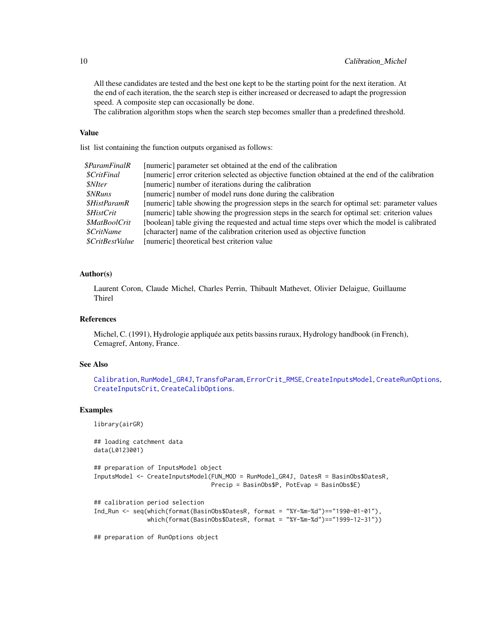All these candidates are tested and the best one kept to be the starting point for the next iteration. At the end of each iteration, the the search step is either increased or decreased to adapt the progression speed. A composite step can occasionally be done.

The calibration algorithm stops when the search step becomes smaller than a predefined threshold.

# Value

list list containing the function outputs organised as follows:

| \$ParamFinalR               | [numeric] parameter set obtained at the end of the calibration                                  |
|-----------------------------|-------------------------------------------------------------------------------------------------|
| <i><b>\$CritFinal</b></i>   | [numeric] error criterion selected as objective function obtained at the end of the calibration |
| <i><b>\$NIter</b></i>       | [numeric] number of iterations during the calibration                                           |
| <i><b>\$NRuns</b></i>       | [numeric] number of model runs done during the calibration                                      |
| <i><b>\$HistParamR</b></i>  | [numeric] table showing the progression steps in the search for optimal set: parameter values   |
| <i><b>SHistCrit</b></i>     | [numeric] table showing the progression steps in the search for optimal set: criterion values   |
| <i><b>\$MatBoolCrit</b></i> | [boolean] table giving the requested and actual time steps over which the model is calibrated   |
| <i>SCritName</i>            | [character] name of the calibration criterion used as objective function                        |
| <i>SCritBestValue</i>       | [numeric] theoretical best criterion value                                                      |

# Author(s)

Laurent Coron, Claude Michel, Charles Perrin, Thibault Mathevet, Olivier Delaigue, Guillaume Thirel

# References

Michel, C. (1991), Hydrologie appliquée aux petits bassins ruraux, Hydrology handbook (in French), Cemagref, Antony, France.

# See Also

```
Calibration, RunModel_GR4J, TransfoParam, ErrorCrit_RMSE, CreateInputsModel, CreateRunOptions,
CreateInputsCrit, CreateCalibOptions.
```
## Examples

library(airGR)

## loading catchment data data(L0123001) ## preparation of InputsModel object InputsModel <- CreateInputsModel(FUN\_MOD = RunModel\_GR4J, DatesR = BasinObs\$DatesR, Precip = BasinObs\$P, PotEvap = BasinObs\$E) ## calibration period selection Ind\_Run <- seq(which(format(BasinObs\$DatesR, format = "%Y-%m-%d")=="1990-01-01"), which(format(BasinObs\$DatesR, format = "%Y-%m-%d")=="1999-12-31"))

## preparation of RunOptions object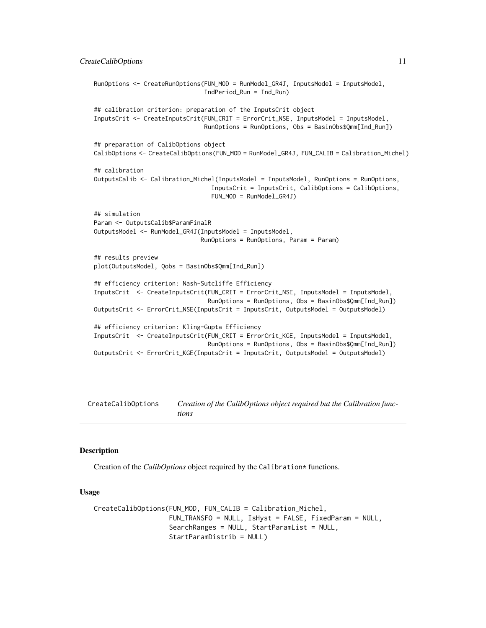```
RunOptions <- CreateRunOptions(FUN_MOD = RunModel_GR4J, InputsModel = InputsModel,
                               IndPeriod_Run = Ind_Run)
## calibration criterion: preparation of the InputsCrit object
InputsCrit <- CreateInputsCrit(FUN_CRIT = ErrorCrit_NSE, InputsModel = InputsModel,
                               RunOptions = RunOptions, Obs = BasinObs$Qmm[Ind_Run])
## preparation of CalibOptions object
CalibOptions <- CreateCalibOptions(FUN_MOD = RunModel_GR4J, FUN_CALIB = Calibration_Michel)
## calibration
OutputsCalib <- Calibration_Michel(InputsModel = InputsModel, RunOptions = RunOptions,
                                 InputsCrit = InputsCrit, CalibOptions = CalibOptions,
                                 FUN_MOD = RunModel_GR4J)
## simulation
Param <- OutputsCalib$ParamFinalR
OutputsModel <- RunModel_GR4J(InputsModel = InputsModel,
                              RunOptions = RunOptions, Param = Param)
## results preview
plot(OutputsModel, Qobs = BasinObs$Qmm[Ind_Run])
## efficiency criterion: Nash-Sutcliffe Efficiency
InputsCrit <- CreateInputsCrit(FUN_CRIT = ErrorCrit_NSE, InputsModel = InputsModel,
                                RunOptions = RunOptions, Obs = BasinObs$Qmm[Ind_Run])
OutputsCrit <- ErrorCrit_NSE(InputsCrit = InputsCrit, OutputsModel = OutputsModel)
## efficiency criterion: Kling-Gupta Efficiency
InputsCrit <- CreateInputsCrit(FUN_CRIT = ErrorCrit_KGE, InputsModel = InputsModel,
                                RunOptions = RunOptions, Obs = BasinObs$Qmm[Ind_Run])
OutputsCrit <- ErrorCrit_KGE(InputsCrit = InputsCrit, OutputsModel = OutputsModel)
```
<span id="page-10-1"></span>CreateCalibOptions *Creation of the CalibOptions object required but the Calibration functions*

# **Description**

Creation of the *CalibOptions* object required by the Calibration\* functions.

#### Usage

```
CreateCalibOptions(FUN_MOD, FUN_CALIB = Calibration_Michel,
                   FUN_TRANSFO = NULL, IsHyst = FALSE, FixedParam = NULL,
                   SearchRanges = NULL, StartParamList = NULL,
                   StartParamDistrib = NULL)
```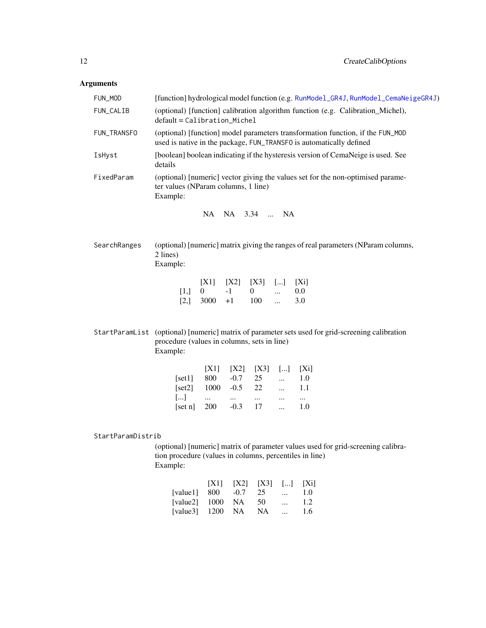# Arguments

| FUN_MOD           | [function] hydrological model function (e.g. RunModel_GR4J, RunModel_CemaNeigeGR4J)                                                                                                                                                                                                                           |  |  |
|-------------------|---------------------------------------------------------------------------------------------------------------------------------------------------------------------------------------------------------------------------------------------------------------------------------------------------------------|--|--|
| FUN_CALIB         | (optional) [function] calibration algorithm function (e.g. Calibration_Michel),<br>default = Calibration_Michel                                                                                                                                                                                               |  |  |
| FUN_TRANSFO       | (optional) [function] model parameters transformation function, if the FUN_MOD<br>used is native in the package, FUN_TRANSFO is automatically defined                                                                                                                                                         |  |  |
| IsHyst            | [boolean] boolean indicating if the hysteresis version of CemaNeige is used. See<br>details                                                                                                                                                                                                                   |  |  |
| FixedParam        | (optional) [numeric] vector giving the values set for the non-optimised parame-<br>ter values (NParam columns, 1 line)<br>Example:                                                                                                                                                                            |  |  |
|                   | NA.<br>NA 3.34  NA                                                                                                                                                                                                                                                                                            |  |  |
| SearchRanges      | (optional) [numeric] matrix giving the ranges of real parameters (NParam columns,<br>2 lines)<br>Example:                                                                                                                                                                                                     |  |  |
|                   | [X3]<br>[X1]<br>[X2]<br>$\left[\dots\right]$<br>$[X_1]$<br>[1,]<br>$-1$<br>0.0<br>$\overline{0}$<br>$\overline{0}$<br>$\dddotsc$<br>[2,]<br>3000<br>3.0<br>$+1$<br>100<br>$\cdots$                                                                                                                            |  |  |
|                   | StartParamList (optional) [numeric] matrix of parameter sets used for grid-screening calibration<br>procedure (values in columns, sets in line)<br>Example:                                                                                                                                                   |  |  |
|                   | [X1]<br>[X3]<br>[X2]<br>$\left[\ldots\right]$<br>$[X_i]$<br>800<br>$-0.7$<br>25<br>[set1]<br>1.0<br>$\cdots$<br>1000<br>$-0.5$<br>22<br>[set2]<br>1.1<br>$\cdots$<br>$\left[\ldots\right]$<br>$\cdots$<br>$\cdots$<br>$\cdots$<br>$\cdots$<br>$\cdots$<br>[set n]<br>200<br>$-0.3$<br>17<br>1.0<br>$\dddotsc$ |  |  |
| StartParamDistrib |                                                                                                                                                                                                                                                                                                               |  |  |
|                   | (optional) [numeric] matrix of parameter values used for grid-screening calibra-<br>tion procedure (values in columns, percentiles in line)<br>Example:                                                                                                                                                       |  |  |
|                   | [X1]<br>[X2]<br>[X3]<br>$\lceil  \rceil$<br>$[X_1]$                                                                                                                                                                                                                                                           |  |  |

|  |                                                   | $\cdots$                    | $1.0^{\circ}$                    |
|--|---------------------------------------------------|-----------------------------|----------------------------------|
|  | - 50                                              | $\cdots$                    | 1.2                              |
|  |                                                   | $\cdots$                    | 1.6                              |
|  | [value1] $800 -0.7$<br>[value2] $1000 \text{ NA}$ | 25<br>[value3] $1200$ NA NA | $[X1]$ $[X2]$ $[X3]$ $[]$ $[Xi]$ |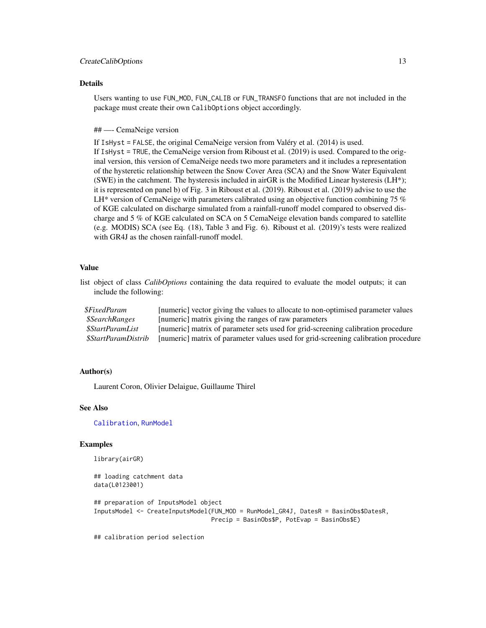#### CreateCalibOptions 13

#### Details

Users wanting to use FUN\_MOD, FUN\_CALIB or FUN\_TRANSFO functions that are not included in the package must create their own CalibOptions object accordingly.

#### ## —- CemaNeige version

If IsHyst = FALSE, the original CemaNeige version from Valéry et al. (2014) is used. If IsHyst = TRUE, the CemaNeige version from Riboust et al. (2019) is used. Compared to the original version, this version of CemaNeige needs two more parameters and it includes a representation of the hysteretic relationship between the Snow Cover Area (SCA) and the Snow Water Equivalent (SWE) in the catchment. The hysteresis included in airGR is the Modified Linear hysteresis (LH\*); it is represented on panel b) of Fig. 3 in Riboust et al. (2019). Riboust et al. (2019) advise to use the LH\* version of CemaNeige with parameters calibrated using an objective function combining 75  $%$ of KGE calculated on discharge simulated from a rainfall-runoff model compared to observed discharge and 5 % of KGE calculated on SCA on 5 CemaNeige elevation bands compared to satellite (e.g. MODIS) SCA (see Eq. (18), Table 3 and Fig. 6). Riboust et al. (2019)'s tests were realized with GR4J as the chosen rainfall-runoff model.

### Value

list object of class *CalibOptions* containing the data required to evaluate the model outputs; it can include the following:

| <i><b>SFixedParam</b></i>    | [numeric] vector giving the values to allocate to non-optimised parameter values   |
|------------------------------|------------------------------------------------------------------------------------|
| <i><b>\$SearchRanges</b></i> | [numeric] matrix giving the ranges of raw parameters                               |
| \$StartParamList             | [numeric] matrix of parameter sets used for grid-screening calibration procedure   |
| \$StartParamDistrib          | [numeric] matrix of parameter values used for grid-screening calibration procedure |

# Author(s)

Laurent Coron, Olivier Delaigue, Guillaume Thirel

#### See Also

[Calibration](#page-6-1), [RunModel](#page-47-1)

#### Examples

```
library(airGR)
```
## loading catchment data data(L0123001) ## preparation of InputsModel object InputsModel <- CreateInputsModel(FUN\_MOD = RunModel\_GR4J, DatesR = BasinObs\$DatesR, Precip = BasinObs\$P, PotEvap = BasinObs\$E)

## calibration period selection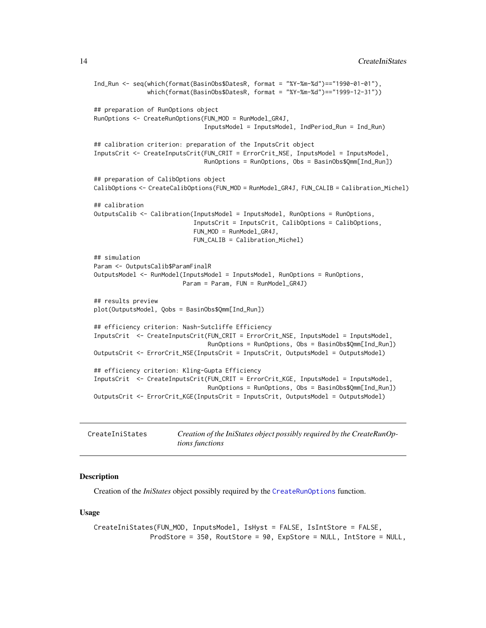```
Ind_Run <- seq(which(format(BasinObs$DatesR, format = "%Y-%m-%d")=="1990-01-01"),
               which(format(BasinObs$DatesR, format = "%Y-%m-%d")=="1999-12-31"))
## preparation of RunOptions object
RunOptions <- CreateRunOptions(FUN_MOD = RunModel_GR4J,
                               InputsModel = InputsModel, IndPeriod_Run = Ind_Run)
## calibration criterion: preparation of the InputsCrit object
InputsCrit <- CreateInputsCrit(FUN_CRIT = ErrorCrit_NSE, InputsModel = InputsModel,
                               RunOptions = RunOptions, Obs = BasinObs$Qmm[Ind_Run])
## preparation of CalibOptions object
CalibOptions <- CreateCalibOptions(FUN_MOD = RunModel_GR4J, FUN_CALIB = Calibration_Michel)
## calibration
OutputsCalib <- Calibration(InputsModel = InputsModel, RunOptions = RunOptions,
                            InputsCrit = InputsCrit, CalibOptions = CalibOptions,
                            FUN_MOD = RunModel_GR4J,
                            FUN_CALIB = Calibration_Michel)
## simulation
Param <- OutputsCalib$ParamFinalR
OutputsModel <- RunModel(InputsModel = InputsModel, RunOptions = RunOptions,
                        Param = Param, FUN = RunModel_GR4J)
## results preview
plot(OutputsModel, Qobs = BasinObs$Qmm[Ind_Run])
## efficiency criterion: Nash-Sutcliffe Efficiency
InputsCrit <- CreateInputsCrit(FUN_CRIT = ErrorCrit_NSE, InputsModel = InputsModel,
                                RunOptions = RunOptions, Obs = BasinObs$Qmm[Ind_Run])
OutputsCrit <- ErrorCrit_NSE(InputsCrit = InputsCrit, OutputsModel = OutputsModel)
## efficiency criterion: Kling-Gupta Efficiency
InputsCrit <- CreateInputsCrit(FUN_CRIT = ErrorCrit_KGE, InputsModel = InputsModel,
                                RunOptions = RunOptions, Obs = BasinObs$Qmm[Ind_Run])
OutputsCrit <- ErrorCrit_KGE(InputsCrit = InputsCrit, OutputsModel = OutputsModel)
```
<span id="page-13-1"></span>

| CreateIniStates | Creation of the IniStates object possibly required by the CreateRunOp- |
|-----------------|------------------------------------------------------------------------|
|                 | <i>tions functions</i>                                                 |

#### Description

Creation of the *IniStates* object possibly required by the [CreateRunOptions](#page-23-1) function.

#### Usage

```
CreateIniStates(FUN_MOD, InputsModel, IsHyst = FALSE, IsIntStore = FALSE,
              ProdStore = 350, RoutStore = 90, ExpStore = NULL, IntStore = NULL,
```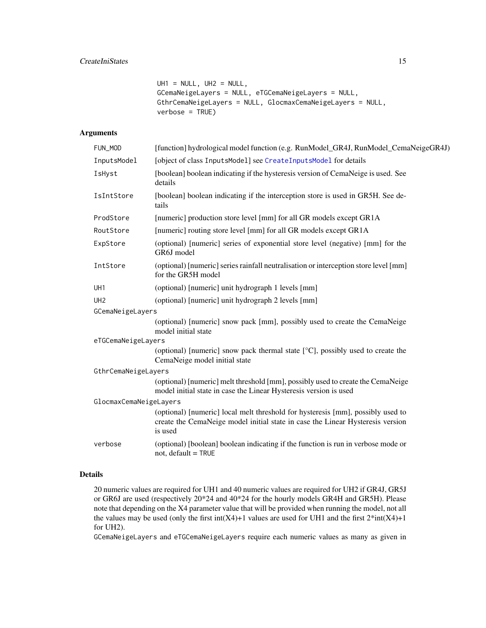```
UHI = NULL, UH2 = NULL,GCemaNeigeLayers = NULL, eTGCemaNeigeLayers = NULL,
GthrCemaNeigeLayers = NULL, GlocmaxCemaNeigeLayers = NULL,
verbose = TRUE)
```
# Arguments

| FUN_MOD                | [function] hydrological model function (e.g. RunModel_GR4J, RunModel_CemaNeigeGR4J)                                                                                          |
|------------------------|------------------------------------------------------------------------------------------------------------------------------------------------------------------------------|
| InputsModel            | [object of class InputsModel] see CreateInputsModel for details                                                                                                              |
| IsHyst                 | [boolean] boolean indicating if the hysteresis version of CemaNeige is used. See<br>details                                                                                  |
| IsIntStore             | [boolean] boolean indicating if the interception store is used in GR5H. See de-<br>tails                                                                                     |
| ProdStore              | [numeric] production store level [mm] for all GR models except GR1A                                                                                                          |
| RoutStore              | [numeric] routing store level [mm] for all GR models except GR1A                                                                                                             |
| ExpStore               | (optional) [numeric] series of exponential store level (negative) [mm] for the<br>GR6J model                                                                                 |
| IntStore               | (optional) [numeric] series rainfall neutralisation or interception store level [mm]<br>for the GR5H model                                                                   |
| UH <sub>1</sub>        | (optional) [numeric] unit hydrograph 1 levels [mm]                                                                                                                           |
| UH <sub>2</sub>        | (optional) [numeric] unit hydrograph 2 levels [mm]                                                                                                                           |
| GCemaNeigeLayers       |                                                                                                                                                                              |
|                        | (optional) [numeric] snow pack [mm], possibly used to create the CemaNeige<br>model initial state                                                                            |
| eTGCemaNeigeLayers     |                                                                                                                                                                              |
|                        | (optional) [numeric] snow pack thermal state [°C], possibly used to create the<br>CemaNeige model initial state                                                              |
| GthrCemaNeigeLayers    |                                                                                                                                                                              |
|                        | (optional) [numeric] melt threshold [mm], possibly used to create the CemaNeige<br>model initial state in case the Linear Hysteresis version is used                         |
| GlocmaxCemaNeigeLayers |                                                                                                                                                                              |
|                        | (optional) [numeric] local melt threshold for hysteresis [mm], possibly used to<br>create the CemaNeige model initial state in case the Linear Hysteresis version<br>is used |
| verbose                | (optional) [boolean] boolean indicating if the function is run in verbose mode or<br>not, default = TRUE                                                                     |

# Details

20 numeric values are required for UH1 and 40 numeric values are required for UH2 if GR4J, GR5J or GR6J are used (respectively 20\*24 and 40\*24 for the hourly models GR4H and GR5H). Please note that depending on the X4 parameter value that will be provided when running the model, not all the values may be used (only the first int(X4)+1 values are used for UH1 and the first  $2*int(X4)+1$ for UH2).

GCemaNeigeLayers and eTGCemaNeigeLayers require each numeric values as many as given in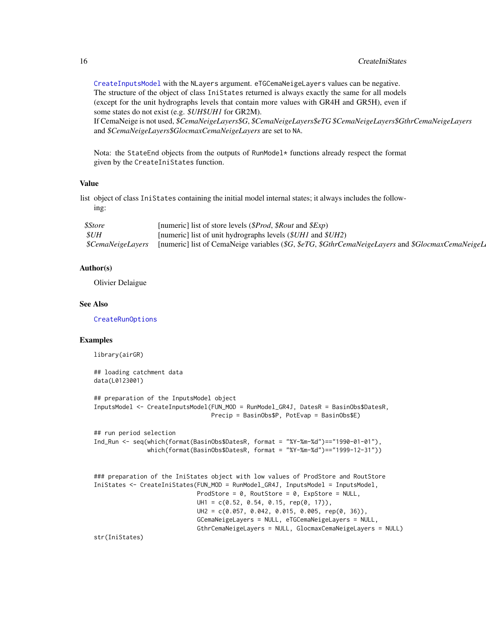# 16 CreateIniStates

[CreateInputsModel](#page-20-1) with the NLayers argument. eTGCemaNeigeLayers values can be negative. The structure of the object of class IniStates returned is always exactly the same for all models (except for the unit hydrographs levels that contain more values with GR4H and GR5H), even if some states do not exist (e.g. *\$UH\$UH1* for GR2M).

If CemaNeige is not used, *\$CemaNeigeLayers\$G*, *\$CemaNeigeLayers\$eTG \$CemaNeigeLayers\$GthrCemaNeigeLayers* and *\$CemaNeigeLayers\$GlocmaxCemaNeigeLayers* are set to NA.

Nota: the StateEnd objects from the outputs of RunModel\* functions already respect the format given by the CreateIniStates function.

#### Value

list object of class IniStates containing the initial model internal states; it always includes the following:

| <i><b>\$Store</b></i>           | [numeric] list of store levels (\$Prod, \$Rout and \$Exp)                                        |
|---------------------------------|--------------------------------------------------------------------------------------------------|
| \$UH                            | [numeric] list of unit hydrographs levels $(\frac{\text{S}UH}{\text{S}UH2})$                     |
| <i><b>\$CemaNeigeLayers</b></i> | [numeric] list of CemaNeige variables (\$G, \$eTG, \$GthrCemaNeigeLayers and \$GlocmaxCemaNeigeL |

# Author(s)

Olivier Delaigue

# See Also

[CreateRunOptions](#page-23-1)

#### Examples

library(airGR)

```
## loading catchment data
data(L0123001)
## preparation of the InputsModel object
InputsModel <- CreateInputsModel(FUN_MOD = RunModel_GR4J, DatesR = BasinObs$DatesR,
                                Precip = BasinObs$P, PotEvap = BasinObs$E)
## run period selection
Ind_Run <- seq(which(format(BasinObs$DatesR, format = "%Y-%m-%d")=="1990-01-01"),
               which(format(BasinObs$DatesR, format = "%Y-%m-%d")=="1999-12-31"))
### preparation of the IniStates object with low values of ProdStore and RoutStore
IniStates <- CreateIniStates(FUN_MOD = RunModel_GR4J, InputsModel = InputsModel,
                            ProdStore = 0, RoutStore = 0, ExpStore = NULL,
                            UH1 = c(0.52, 0.54, 0.15, rep(0, 17)),UH2 = c(0.057, 0.042, 0.015, 0.005, rep(0, 36)),
                             GCemaNeigeLayers = NULL, eTGCemaNeigeLayers = NULL,
                            GthrCemaNeigeLayers = NULL, GlocmaxCemaNeigeLayers = NULL)
```
str(IniStates)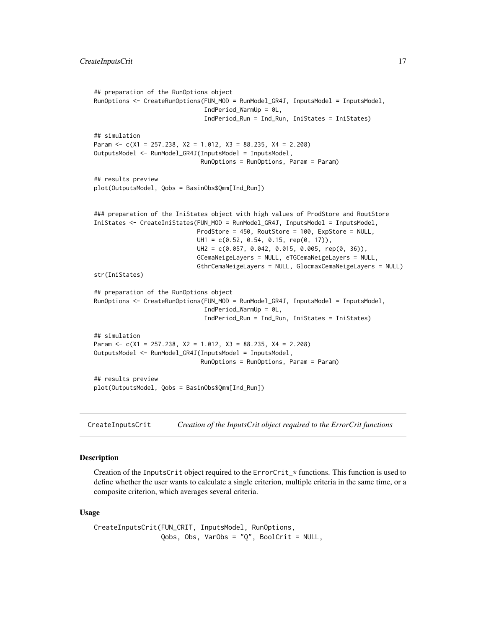```
## preparation of the RunOptions object
RunOptions <- CreateRunOptions(FUN_MOD = RunModel_GR4J, InputsModel = InputsModel,
                               IndPeriod_WarmUp = 0L,
                               IndPeriod_Run = Ind_Run, IniStates = IniStates)
## simulation
Param <- c(X1 = 257.238, X2 = 1.012, X3 = 88.235, X4 = 2.208)
OutputsModel <- RunModel_GR4J(InputsModel = InputsModel,
                              RunOptions = RunOptions, Param = Param)
## results preview
plot(OutputsModel, Qobs = BasinObs$Qmm[Ind_Run])
### preparation of the IniStates object with high values of ProdStore and RoutStore
IniStates <- CreateIniStates(FUN_MOD = RunModel_GR4J, InputsModel = InputsModel,
                             ProdStore = 450, RoutStore = 100, ExpStore = NULL,
                             UH1 = c(0.52, 0.54, 0.15, rep(0, 17)),
                             UH2 = c(0.057, 0.042, 0.015, 0.005, rep(0, 36)),
                             GCemaNeigeLayers = NULL, eTGCemaNeigeLayers = NULL,
                             GthrCemaNeigeLayers = NULL, GlocmaxCemaNeigeLayers = NULL)
str(IniStates)
## preparation of the RunOptions object
RunOptions <- CreateRunOptions(FUN_MOD = RunModel_GR4J, InputsModel = InputsModel,
                               IndPeriod_WarmUp = 0L,
                               IndPeriod_Run = Ind_Run, IniStates = IniStates)
## simulation
Param <- c(X1 = 257.238, X2 = 1.012, X3 = 88.235, X4 = 2.208)
OutputsModel <- RunModel_GR4J(InputsModel = InputsModel,
                              RunOptions = RunOptions, Param = Param)
## results preview
plot(OutputsModel, Qobs = BasinObs$Qmm[Ind_Run])
```
<span id="page-16-1"></span>CreateInputsCrit *Creation of the InputsCrit object required to the ErrorCrit functions*

# Description

Creation of the InputsCrit object required to the  $ErrorCrit \star$  functions. This function is used to define whether the user wants to calculate a single criterion, multiple criteria in the same time, or a composite criterion, which averages several criteria.

#### Usage

```
CreateInputsCrit(FUN_CRIT, InputsModel, RunOptions,
                Qobs, Obs, VarObs = "Q", BoolCrit = NULL,
```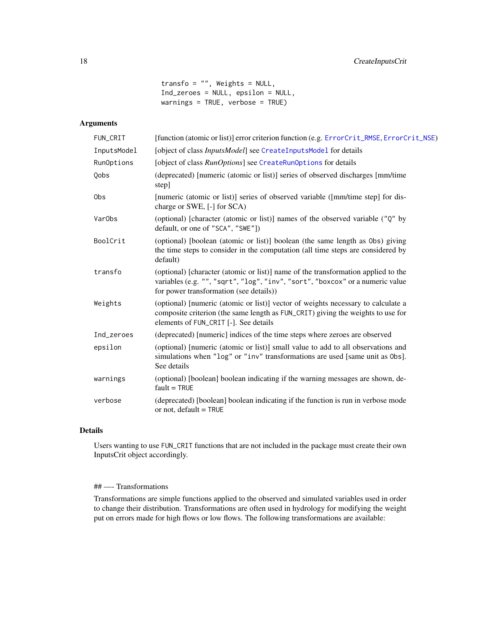transfo =  $"$ , Weights = NULL, Ind\_zeroes = NULL, epsilon = NULL, warnings = TRUE, verbose = TRUE)

# Arguments

| FUN_CRIT           | [function (atomic or list)] error criterion function (e.g. ErrorCrit_RMSE, ErrorCrit_NSE)                                                                                                                     |  |
|--------------------|---------------------------------------------------------------------------------------------------------------------------------------------------------------------------------------------------------------|--|
| InputsModel        | [object of class <i>InputsModel</i> ] see CreateInputsModel for details                                                                                                                                       |  |
| RunOptions         | [object of class RunOptions] see CreateRunOptions for details                                                                                                                                                 |  |
| Qobs               | (deprecated) [numeric (atomic or list)] series of observed discharges [mm/time]<br>step]                                                                                                                      |  |
| 0bs                | [numeric (atomic or list)] series of observed variable ([mm/time step] for dis-<br>charge or SWE, [-] for SCA)                                                                                                |  |
| Var <sub>Obs</sub> | (optional) [character (atomic or list)] names of the observed variable ("Q" by<br>default, or one of "SCA", "SWE"])                                                                                           |  |
| BoolCrit           | (optional) [boolean (atomic or list)] boolean (the same length as 0bs) giving<br>the time steps to consider in the computation (all time steps are considered by<br>default)                                  |  |
| transfo            | (optional) [character (atomic or list)] name of the transformation applied to the<br>variables (e.g. "", "sqrt", "log", "inv", "sort", "boxcox" or a numeric value<br>for power transformation (see details)) |  |
| Weights            | (optional) [numeric (atomic or list)] vector of weights necessary to calculate a<br>composite criterion (the same length as FUN_CRIT) giving the weights to use for<br>elements of FUN_CRIT [-]. See details  |  |
| Ind_zeroes         | (deprecated) [numeric] indices of the time steps where zeroes are observed                                                                                                                                    |  |
| epsilon            | (optional) [numeric (atomic or list)] small value to add to all observations and<br>simulations when "log" or "inv" transformations are used [same unit as 0bs].<br>See details                               |  |
| warnings           | (optional) [boolean] boolean indicating if the warning messages are shown, de-<br>$fault = TRUE$                                                                                                              |  |
| verbose            | (deprecated) [boolean] boolean indicating if the function is run in verbose mode<br>or not, default = TRUE                                                                                                    |  |

# Details

Users wanting to use FUN\_CRIT functions that are not included in the package must create their own InputsCrit object accordingly.

# ## —- Transformations

Transformations are simple functions applied to the observed and simulated variables used in order to change their distribution. Transformations are often used in hydrology for modifying the weight put on errors made for high flows or low flows. The following transformations are available: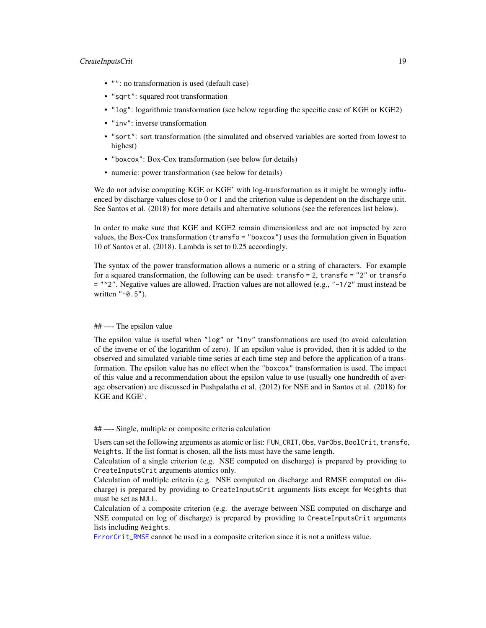# CreateInputsCrit 19

- "": no transformation is used (default case)
- "sqrt": squared root transformation
- "log": logarithmic transformation (see below regarding the specific case of KGE or KGE2)
- "inv": inverse transformation
- "sort": sort transformation (the simulated and observed variables are sorted from lowest to highest)
- "boxcox": Box-Cox transformation (see below for details)
- numeric: power transformation (see below for details)

We do not advise computing KGE or KGE' with log-transformation as it might be wrongly influenced by discharge values close to 0 or 1 and the criterion value is dependent on the discharge unit. See Santos et al. (2018) for more details and alternative solutions (see the references list below).

In order to make sure that KGE and KGE2 remain dimensionless and are not impacted by zero values, the Box-Cox transformation (transfo = "boxcox") uses the formulation given in Equation 10 of Santos et al. (2018). Lambda is set to 0.25 accordingly.

The syntax of the power transformation allows a numeric or a string of characters. For example for a squared transformation, the following can be used: transfo = 2, transfo = "2" or transfo  $=$  " $^{\circ}$ 2". Negative values are allowed. Fraction values are not allowed (e.g., " $-1/2$ " must instead be written "-0.5").

# ## —- The epsilon value

The epsilon value is useful when "log" or "inv" transformations are used (to avoid calculation of the inverse or of the logarithm of zero). If an epsilon value is provided, then it is added to the observed and simulated variable time series at each time step and before the application of a transformation. The epsilon value has no effect when the "boxcox" transformation is used. The impact of this value and a recommendation about the epsilon value to use (usually one hundredth of average observation) are discussed in Pushpalatha et al. (2012) for NSE and in Santos et al. (2018) for KGE and KGE'.

#### ## —- Single, multiple or composite criteria calculation

Users can set the following arguments as atomic or list: FUN\_CRIT, Obs, VarObs, BoolCrit, transfo, Weights. If the list format is chosen, all the lists must have the same length.

Calculation of a single criterion (e.g. NSE computed on discharge) is prepared by providing to CreateInputsCrit arguments atomics only.

Calculation of multiple criteria (e.g. NSE computed on discharge and RMSE computed on discharge) is prepared by providing to CreateInputsCrit arguments lists except for Weights that must be set as NULL.

Calculation of a composite criterion (e.g. the average between NSE computed on discharge and NSE computed on log of discharge) is prepared by providing to CreateInputsCrit arguments lists including Weights.

[ErrorCrit\\_RMSE](#page-37-1) cannot be used in a composite criterion since it is not a unitless value.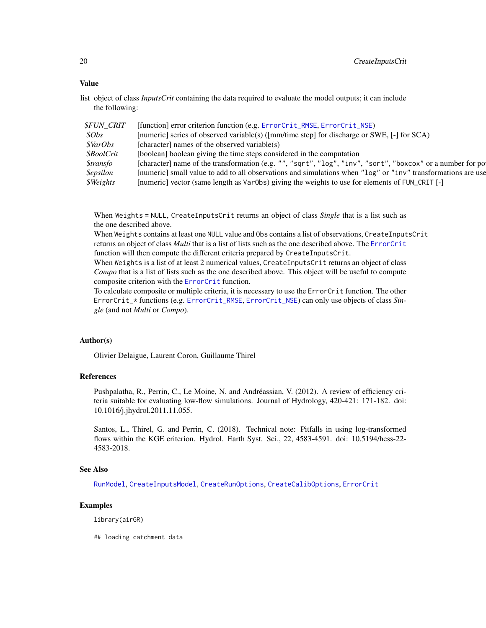# Value

list object of class *InputsCrit* containing the data required to evaluate the model outputs; it can include the following:

| <i><b>\$FUN CRIT</b></i> | [function] error criterion function (e.g. ErrorCrit_RMSE, ErrorCrit_NSE)                                     |
|--------------------------|--------------------------------------------------------------------------------------------------------------|
| \$Obs\$                  | [numeric] series of observed variable(s) ([mm/time step] for discharge or SWE, [-] for SCA)                  |
| <i><b>\$VarObs</b></i>   | [character] names of the observed variable(s)                                                                |
| <i><b>\$BoolCrit</b></i> | [boolean] boolean giving the time steps considered in the computation                                        |
| <i><b>\$transfo</b></i>  | [character] name of the transformation (e.g. "", "sqrt", "log", "inv", "sort", "boxcox" or a number for po   |
| <i><b>\$epsilon</b></i>  | [numeric] small value to add to all observations and simulations when "log" or "inv" transformations are use |
| \$Weights                | [numeric] vector (same length as Var0bs) giving the weights to use for elements of FUN_CRIT [-]              |
|                          |                                                                                                              |

When Weights = NULL, CreateInputsCrit returns an object of class *Single* that is a list such as the one described above.

When Weights contains at least one NULL value and Obs contains a list of observations, CreateInputsCrit returns an object of class *Multi* that is a list of lists such as the one described above. The [ErrorCrit](#page-28-1) function will then compute the different criteria prepared by CreateInputsCrit.

When Weights is a list of at least 2 numerical values, CreateInputsCrit returns an object of class *Compo* that is a list of lists such as the one described above. This object will be useful to compute composite criterion with the [ErrorCrit](#page-28-1) function.

To calculate composite or multiple criteria, it is necessary to use the ErrorCrit function. The other ErrorCrit\_\* functions (e.g. [ErrorCrit\\_RMSE](#page-37-1), [ErrorCrit\\_NSE](#page-35-1)) can only use objects of class *Single* (and not *Multi* or *Compo*).

#### Author(s)

Olivier Delaigue, Laurent Coron, Guillaume Thirel

# References

Pushpalatha, R., Perrin, C., Le Moine, N. and Andréassian, V. (2012). A review of efficiency criteria suitable for evaluating low-flow simulations. Journal of Hydrology, 420-421: 171-182. doi: 10.1016/j.jhydrol.2011.11.055.

Santos, L., Thirel, G. and Perrin, C. (2018). Technical note: Pitfalls in using log-transformed flows within the KGE criterion. Hydrol. Earth Syst. Sci., 22, 4583-4591. doi: 10.5194/hess-22- 4583-2018.

# See Also

[RunModel](#page-47-1), [CreateInputsModel](#page-20-1), [CreateRunOptions](#page-23-1), [CreateCalibOptions](#page-10-1), [ErrorCrit](#page-28-1)

# Examples

library(airGR)

## loading catchment data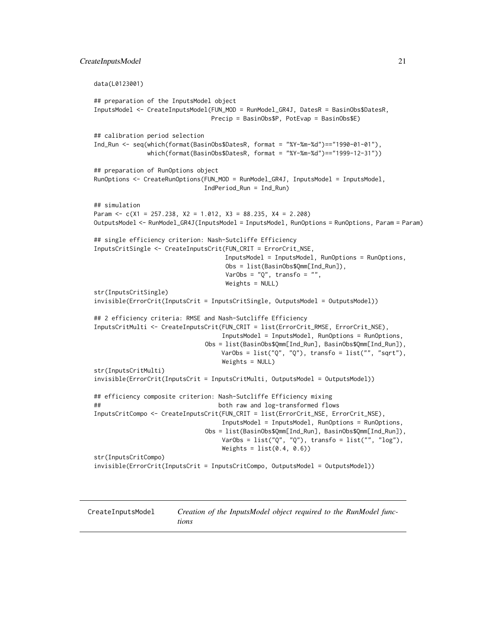```
data(L0123001)
## preparation of the InputsModel object
InputsModel <- CreateInputsModel(FUN_MOD = RunModel_GR4J, DatesR = BasinObs$DatesR,
                                Precip = BasinObs$P, PotEvap = BasinObs$E)
## calibration period selection
Ind_Run <- seq(which(format(BasinObs$DatesR, format = "%Y-%m-%d")=="1990-01-01"),
               which(format(BasinObs$DatesR, format = "%Y-%m-%d")=="1999-12-31"))
## preparation of RunOptions object
RunOptions <- CreateRunOptions(FUN_MOD = RunModel_GR4J, InputsModel = InputsModel,
                               IndPeriod_Run = Ind_Run)
## simulation
Param <- c(X1 = 257.238, X2 = 1.012, X3 = 88.235, X4 = 2.208)
OutputsModel <- RunModel_GR4J(InputsModel = InputsModel, RunOptions = RunOptions, Param = Param)
## single efficiency criterion: Nash-Sutcliffe Efficiency
InputsCritSingle <- CreateInputsCrit(FUN_CRIT = ErrorCrit_NSE,
                                    InputsModel = InputsModel, RunOptions = RunOptions,
                                    Obs = list(BasinObs$Qmm[Ind_Run]),
                                    VarObs = "Q", transfo = "",
                                    Weights = NULL)
str(InputsCritSingle)
invisible(ErrorCrit(InputsCrit = InputsCritSingle, OutputsModel = OutputsModel))
## 2 efficiency criteria: RMSE and Nash-Sutcliffe Efficiency
InputsCritMulti <- CreateInputsCrit(FUN_CRIT = list(ErrorCrit_RMSE, ErrorCrit_NSE),
                                   InputsModel = InputsModel, RunOptions = RunOptions,
                               Obs = list(BasinObs$Qmm[Ind_Run], BasinObs$Qmm[Ind_Run]),
                                   VarObs = list("Q", "Q"), transfo = list("", "sqrt"),
                                   Weights = NULL)
str(InputsCritMulti)
invisible(ErrorCrit(InputsCrit = InputsCritMulti, OutputsModel = OutputsModel))
## efficiency composite criterion: Nash-Sutcliffe Efficiency mixing
## both raw and log-transformed flows
InputsCritCompo <- CreateInputsCrit(FUN_CRIT = list(ErrorCrit_NSE, ErrorCrit_NSE),
                                   InputsModel = InputsModel, RunOptions = RunOptions,
                               Obs = list(BasinObs$Qmm[Ind_Run], BasinObs$Qmm[Ind_Run]),
                                   VarObs = list("Q", "Q"), transfo = list("", "log"),
                                   Weights = list(0.4, 0.6)str(InputsCritCompo)
invisible(ErrorCrit(InputsCrit = InputsCritCompo, OutputsModel = OutputsModel))
```
<span id="page-20-1"></span>

CreateInputsModel *Creation of the InputsModel object required to the RunModel functions*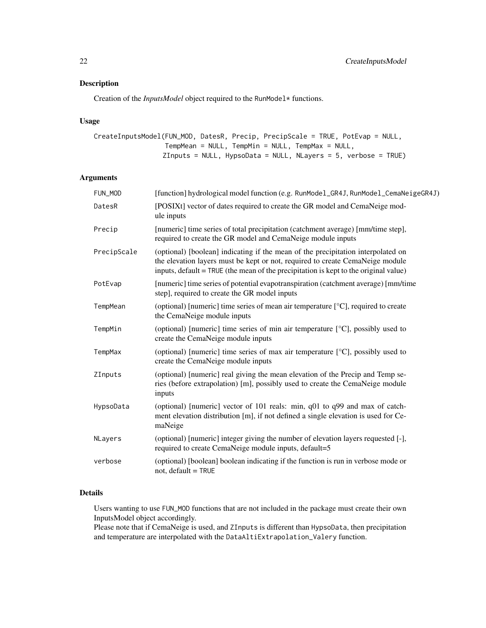# Description

Creation of the *InputsModel* object required to the RunModel\* functions.

# Usage

```
CreateInputsModel(FUN_MOD, DatesR, Precip, PrecipScale = TRUE, PotEvap = NULL,
                  TempMean = NULL, TempMin = NULL, TempMax = NULL,
                 ZInputs = NULL, HypsoData = NULL, NLayers = 5, verbose = TRUE)
```
# Arguments

| FUN_MOD     | [function] hydrological model function (e.g. RunModel_GR4J, RunModel_CemaNeigeGR4J)                                                                                                                                                                       |
|-------------|-----------------------------------------------------------------------------------------------------------------------------------------------------------------------------------------------------------------------------------------------------------|
| DatesR      | [POSIXt] vector of dates required to create the GR model and CemaNeige mod-<br>ule inputs                                                                                                                                                                 |
| Precip      | [numeric] time series of total precipitation (catchment average) [mm/time step],<br>required to create the GR model and CemaNeige module inputs                                                                                                           |
| PrecipScale | (optional) [boolean] indicating if the mean of the precipitation interpolated on<br>the elevation layers must be kept or not, required to create CemaNeige module<br>inputs, default = TRUE (the mean of the precipitation is kept to the original value) |
| PotEvap     | [numeric] time series of potential evapotranspiration (catchment average) [mm/time]<br>step], required to create the GR model inputs                                                                                                                      |
| TempMean    | (optional) [numeric] time series of mean air temperature $[°C]$ , required to create<br>the CemaNeige module inputs                                                                                                                                       |
| TempMin     | (optional) [numeric] time series of min air temperature $[°C]$ , possibly used to<br>create the CemaNeige module inputs                                                                                                                                   |
| TempMax     | (optional) [numeric] time series of max air temperature $[°C]$ , possibly used to<br>create the CemaNeige module inputs                                                                                                                                   |
| ZInputs     | (optional) [numeric] real giving the mean elevation of the Precip and Temp se-<br>ries (before extrapolation) [m], possibly used to create the CemaNeige module<br>inputs                                                                                 |
| HypsoData   | (optional) [numeric] vector of 101 reals: min, q01 to q99 and max of catch-<br>ment elevation distribution [m], if not defined a single elevation is used for Ce-<br>maNeige                                                                              |
| NLayers     | (optional) [numeric] integer giving the number of elevation layers requested [-],<br>required to create CemaNeige module inputs, default=5                                                                                                                |
| verbose     | (optional) [boolean] boolean indicating if the function is run in verbose mode or<br>not, default = TRUE                                                                                                                                                  |

# Details

Users wanting to use FUN\_MOD functions that are not included in the package must create their own InputsModel object accordingly.

Please note that if CemaNeige is used, and ZInputs is different than HypsoData, then precipitation and temperature are interpolated with the DataAltiExtrapolation\_Valery function.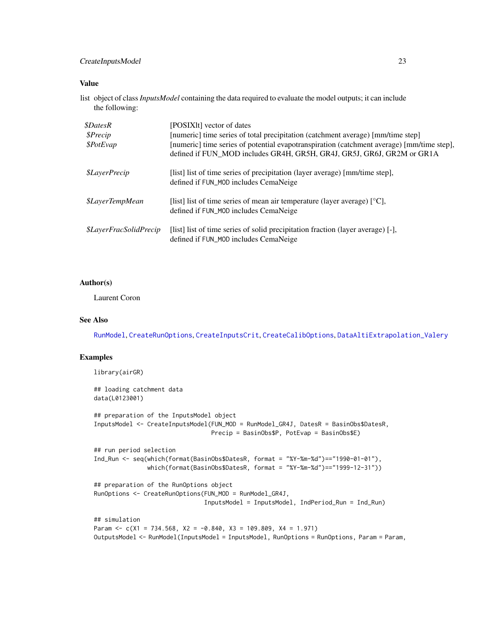# CreateInputsModel 23

# Value

list object of class*InputsModel* containing the data required to evaluate the model outputs; it can include the following:

| <i><b>\$DatesR</b></i><br>\$Precip<br>\$PotEvap | [POSIX]t] vector of dates<br>[numeric] time series of total precipitation (catchment average) [mm/time step]<br>[numeric] time series of potential evapotranspiration (catchment average) [mm/time step],<br>defined if FUN_MOD includes GR4H, GR5H, GR4J, GR5J, GR6J, GR2M or GR1A |
|-------------------------------------------------|-------------------------------------------------------------------------------------------------------------------------------------------------------------------------------------------------------------------------------------------------------------------------------------|
| <i><b>\$LayerPrecip</b></i>                     | [list] list of time series of precipitation (layer average) [mm/time step],<br>defined if FUN_MOD includes CemaNeige                                                                                                                                                                |
| <i><b>\$LayerTempMean</b></i>                   | [list] list of time series of mean air temperature (layer average) $[°C]$ ,<br>defined if FUN_MOD includes CemaNeige                                                                                                                                                                |
| <i><b>\$LayerFracSolidPrecip</b></i>            | [list] list of time series of solid precipitation fraction (layer average) [-],<br>defined if FUN_MOD includes CemaNeige                                                                                                                                                            |

# Author(s)

Laurent Coron

# See Also

[RunModel](#page-47-1), [CreateRunOptions](#page-23-1), [CreateInputsCrit](#page-16-1), [CreateCalibOptions](#page-10-1), [DataAltiExtrapolation\\_Valery](#page-27-1)

# Examples

library(airGR)

```
## loading catchment data
data(L0123001)
## preparation of the InputsModel object
InputsModel <- CreateInputsModel(FUN_MOD = RunModel_GR4J, DatesR = BasinObs$DatesR,
                                 Precip = BasinObs$P, PotEvap = BasinObs$E)
## run period selection
Ind_Run <- seq(which(format(BasinObs$DatesR, format = "%Y-%m-%d")=="1990-01-01"),
               which(format(BasinObs$DatesR, format = "%Y-%m-%d")=="1999-12-31"))
## preparation of the RunOptions object
RunOptions <- CreateRunOptions(FUN_MOD = RunModel_GR4J,
                               InputsModel = InputsModel, IndPeriod_Run = Ind_Run)
## simulation
Param \leq c(X1 = 734.568, X2 = -0.840, X3 = 109.809, X4 = 1.971)
OutputsModel <- RunModel(InputsModel = InputsModel, RunOptions = RunOptions, Param = Param,
```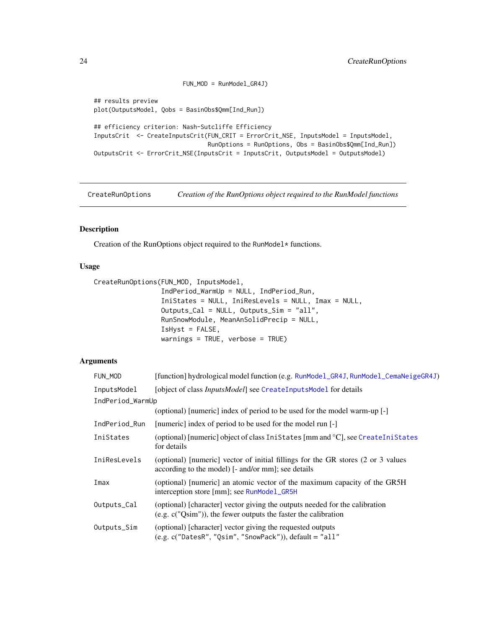```
FUN_MOD = RunModel_GR4J)
## results preview
plot(OutputsModel, Qobs = BasinObs$Qmm[Ind_Run])
## efficiency criterion: Nash-Sutcliffe Efficiency
InputsCrit <- CreateInputsCrit(FUN_CRIT = ErrorCrit_NSE, InputsModel = InputsModel,
                                RunOptions = RunOptions, Obs = BasinObs$Qmm[Ind_Run])
OutputsCrit <- ErrorCrit_NSE(InputsCrit = InputsCrit, OutputsModel = OutputsModel)
```
<span id="page-23-1"></span>CreateRunOptions *Creation of the RunOptions object required to the RunModel functions*

# Description

Creation of the RunOptions object required to the RunModel\* functions.

# Usage

CreateRunOptions(FUN\_MOD, InputsModel,

```
IndPeriod_WarmUp = NULL, IndPeriod_Run,
IniStates = NULL, IniResLevels = NULL, Imax = NULL,
Outputs_Cal = NULL, Outputs_Sim = "all",
RunSnowModule, MeanAnSolidPrecip = NULL,
IsHyst = FALSE,
warnings = TRUE, verbose = TRUE)
```
# Arguments

| FUN_MOD          | [function] hydrological model function (e.g. RunModel_GR4J, RunModel_CemaNeigeGR4J)                                                              |
|------------------|--------------------------------------------------------------------------------------------------------------------------------------------------|
| InputsModel      | [object of class <i>InputsModel</i> ] see CreateInputsModel for details                                                                          |
| IndPeriod_WarmUp |                                                                                                                                                  |
|                  | (optional) [numeric] index of period to be used for the model warm-up [-]                                                                        |
| IndPeriod_Run    | [numeric] index of period to be used for the model run [-]                                                                                       |
| IniStates        | (optional) [numeric] object of class IniStates [mm and °C], see CreateIniStates<br>for details                                                   |
| IniResLevels     | (optional) [numeric] vector of initial fillings for the GR stores (2 or 3 values<br>according to the model) [- and/or mm]; see details           |
| Imax             | (optional) [numeric] an atomic vector of the maximum capacity of the GR5H<br>interception store [mm]; see RunModel_GR5H                          |
| Outputs_Cal      | (optional) [character] vector giving the outputs needed for the calibration<br>(e.g. $c("Qsim")$ ), the fewer outputs the faster the calibration |
| Outputs_Sim      | (optional) [character] vector giving the requested outputs<br>$(e.g. c("DatesR", "Qsim", "ShowPack"))$ , $default = "all"$                       |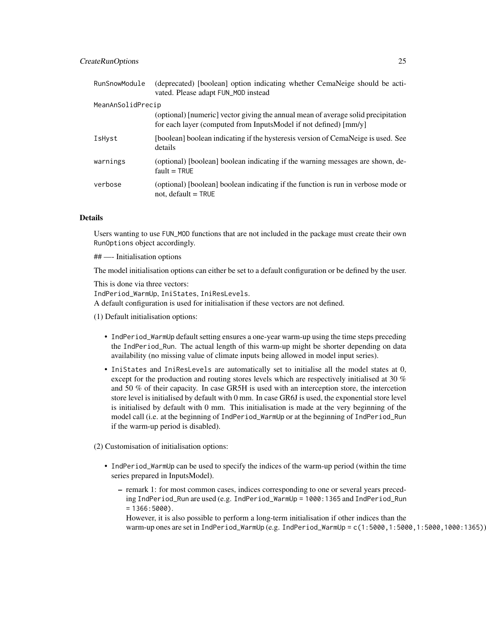| RunSnowModule     | (deprecated) [boolean] option indicating whether CemaNeige should be acti-<br>vated. Please adapt FUN_MOD instead                                     |
|-------------------|-------------------------------------------------------------------------------------------------------------------------------------------------------|
| MeanAnSolidPrecip |                                                                                                                                                       |
|                   | (optional) [numeric] vector giving the annual mean of average solid precipitation<br>for each layer (computed from InputsModel if not defined) [mm/y] |
| IsHyst            | [boolean] boolean indicating if the hysteresis version of CemaNeige is used. See<br>details                                                           |
| warnings          | (optional) [boolean] boolean indicating if the warning messages are shown, de-<br>$fault = TRUE$                                                      |
| verbose           | (optional) [boolean] boolean indicating if the function is run in verbose mode or<br>not, default $=$ TRUE                                            |

# Details

Users wanting to use FUN\_MOD functions that are not included in the package must create their own RunOptions object accordingly.

## —- Initialisation options

The model initialisation options can either be set to a default configuration or be defined by the user.

This is done via three vectors: IndPeriod\_WarmUp, IniStates, IniResLevels. A default configuration is used for initialisation if these vectors are not defined.

- (1) Default initialisation options:
	- IndPeriod\_WarmUp default setting ensures a one-year warm-up using the time steps preceding the IndPeriod\_Run. The actual length of this warm-up might be shorter depending on data availability (no missing value of climate inputs being allowed in model input series).
	- IniStates and IniResLevels are automatically set to initialise all the model states at 0, except for the production and routing stores levels which are respectively initialised at 30 % and 50 % of their capacity. In case GR5H is used with an interception store, the intercetion store level is initialised by default with 0 mm. In case GR6J is used, the exponential store level is initialised by default with 0 mm. This initialisation is made at the very beginning of the model call (i.e. at the beginning of IndPeriod\_WarmUp or at the beginning of IndPeriod\_Run if the warm-up period is disabled).

(2) Customisation of initialisation options:

- IndPeriod\_WarmUp can be used to specify the indices of the warm-up period (within the time series prepared in InputsModel).
	- remark 1: for most common cases, indices corresponding to one or several years preceding IndPeriod\_Run are used (e.g. IndPeriod\_WarmUp = 1000:1365 and IndPeriod\_Run  $= 1366:5000$ .
	- However, it is also possible to perform a long-term initialisation if other indices than the warm-up ones are set in IndPeriod\_WarmUp (e.g. IndPeriod\_WarmUp = c(1:5000,1:5000,1:5000,1000:1365))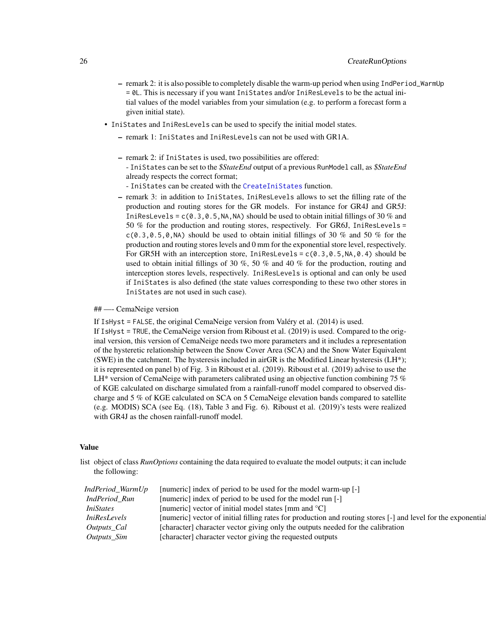- remark 2: it is also possible to completely disable the warm-up period when using IndPeriod\_WarmUp = 0L. This is necessary if you want IniStates and/or IniResLevels to be the actual initial values of the model variables from your simulation (e.g. to perform a forecast form a given initial state).
- IniStates and IniResLevels can be used to specify the initial model states.
	- remark 1: IniStates and IniResLevels can not be used with GR1A.
	- remark 2: if IniStates is used, two possibilities are offered: - IniStates can be set to the *\$StateEnd* output of a previous RunModel call, as *\$StateEnd* already respects the correct format;
		- IniStates can be created with the [CreateIniStates](#page-13-1) function.
	- remark 3: in addition to IniStates, IniResLevels allows to set the filling rate of the production and routing stores for the GR models. For instance for GR4J and GR5J: IniResLevels =  $c(0.3, 0.5, NA, NA)$  should be used to obtain initial fillings of 30 % and 50 % for the production and routing stores, respectively. For GR6J, IniResLevels =  $c(0.3, 0.5, 0, NA)$  should be used to obtain initial fillings of 30 % and 50 % for the production and routing stores levels and 0 mm for the exponential store level, respectively. For GR5H with an interception store, IniResLevels =  $c(0.3, 0.5, NA, 0.4)$  should be used to obtain initial fillings of 30 %, 50 % and 40 % for the production, routing and interception stores levels, respectively. IniResLevels is optional and can only be used if IniStates is also defined (the state values corresponding to these two other stores in IniStates are not used in such case).

## —- CemaNeige version

If IsHyst = FALSE, the original CemaNeige version from Valéry et al. (2014) is used.

If IsHyst = TRUE, the CemaNeige version from Riboust et al. (2019) is used. Compared to the original version, this version of CemaNeige needs two more parameters and it includes a representation of the hysteretic relationship between the Snow Cover Area (SCA) and the Snow Water Equivalent (SWE) in the catchment. The hysteresis included in airGR is the Modified Linear hysteresis ( $LH^*$ ); it is represented on panel b) of Fig. 3 in Riboust et al. (2019). Riboust et al. (2019) advise to use the LH\* version of CemaNeige with parameters calibrated using an objective function combining 75  $\%$ of KGE calculated on discharge simulated from a rainfall-runoff model compared to observed discharge and 5 % of KGE calculated on SCA on 5 CemaNeige elevation bands compared to satellite (e.g. MODIS) SCA (see Eq. (18), Table 3 and Fig. 6). Riboust et al. (2019)'s tests were realized with GR4J as the chosen rainfall-runoff model.

#### Value

list object of class *RunOptions* containing the data required to evaluate the model outputs; it can include the following:

| IndPeriod_WarmUp    | [numeric] index of period to be used for the model warm-up [-]                                                |
|---------------------|---------------------------------------------------------------------------------------------------------------|
| IndPeriod Run       | [numeric] index of period to be used for the model run [-]                                                    |
| <i>IniStates</i>    | [numeric] vector of initial model states [mm and $^{\circ}$ C]                                                |
| <i>IniResLevels</i> | [numeric] vector of initial filling rates for production and routing stores [-] and level for the exponential |
| Outputs_Cal         | [character] character vector giving only the outputs needed for the calibration                               |
| Outputs_Sim         | [character] character vector giving the requested outputs                                                     |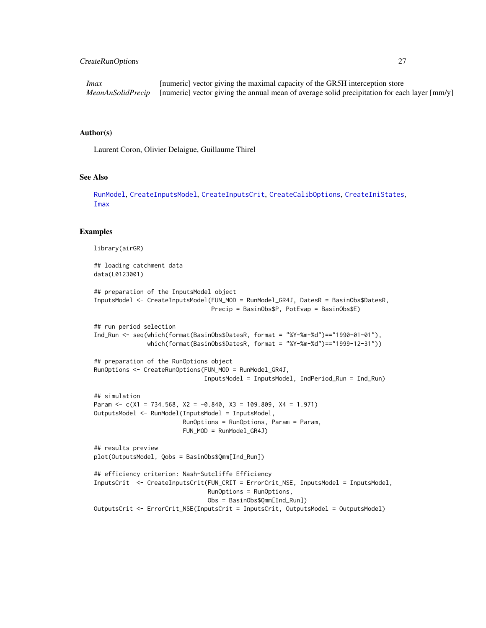# CreateRunOptions 27

*Imax* [numeric] vector giving the maximal capacity of the GR5H interception store *MeanAnSolidPrecip* [numeric] vector giving the annual mean of average solid precipitation for each layer [mm/y]

# Author(s)

Laurent Coron, Olivier Delaigue, Guillaume Thirel

# See Also

[RunModel](#page-47-1), [CreateInputsModel](#page-20-1), [CreateInputsCrit](#page-16-1), [CreateCalibOptions](#page-10-1), [CreateIniStates](#page-13-1), [Imax](#page-39-1)

#### Examples

```
library(airGR)
## loading catchment data
data(L0123001)
## preparation of the InputsModel object
InputsModel <- CreateInputsModel(FUN_MOD = RunModel_GR4J, DatesR = BasinObs$DatesR,
                                Precip = BasinObs$P, PotEvap = BasinObs$E)
## run period selection
Ind_Run <- seq(which(format(BasinObs$DatesR, format = "%Y-%m-%d")=="1990-01-01"),
               which(format(BasinObs$DatesR, format = "%Y-%m-%d")=="1999-12-31"))
## preparation of the RunOptions object
RunOptions <- CreateRunOptions(FUN_MOD = RunModel_GR4J,
                               InputsModel = InputsModel, IndPeriod_Run = Ind_Run)
## simulation
Param \leq c(X1 = 734.568, X2 = -0.840, X3 = 109.809, X4 = 1.971)
OutputsModel <- RunModel(InputsModel = InputsModel,
                         RunOptions = RunOptions, Param = Param,
                         FUN_MOD = RunModel_GR4J)
## results preview
plot(OutputsModel, Qobs = BasinObs$Qmm[Ind_Run])
## efficiency criterion: Nash-Sutcliffe Efficiency
InputsCrit <- CreateInputsCrit(FUN_CRIT = ErrorCrit_NSE, InputsModel = InputsModel,
                                RunOptions = RunOptions,
                                Obs = BasinObs$Qmm[Ind_Run])
OutputsCrit <- ErrorCrit_NSE(InputsCrit = InputsCrit, OutputsModel = OutputsModel)
```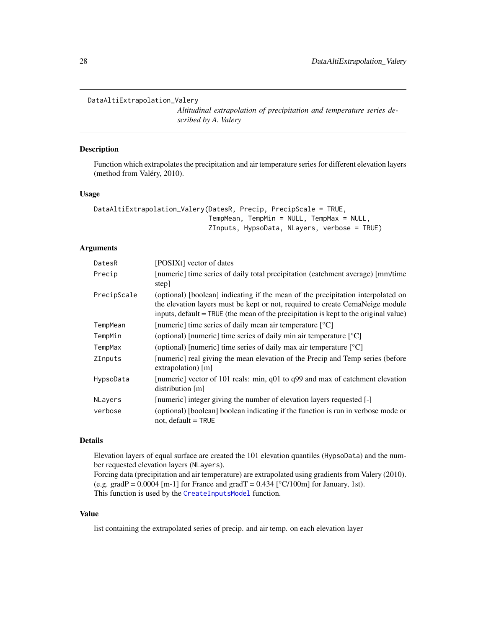#### <span id="page-27-1"></span><span id="page-27-0"></span>DataAltiExtrapolation\_Valery

*Altitudinal extrapolation of precipitation and temperature series described by A. Valery*

# Description

Function which extrapolates the precipitation and air temperature series for different elevation layers (method from Valéry, 2010).

## Usage

```
DataAltiExtrapolation_Valery(DatesR, Precip, PrecipScale = TRUE,
                             TempMean, TempMin = NULL, TempMax = NULL,
                             ZInputs, HypsoData, NLayers, verbose = TRUE)
```
# Arguments

| DatesR         | [POSIXt] vector of dates                                                                                                                                                                                                                                  |
|----------------|-----------------------------------------------------------------------------------------------------------------------------------------------------------------------------------------------------------------------------------------------------------|
| Precip         | [numeric] time series of daily total precipitation (catchment average) [mm/time]<br>step]                                                                                                                                                                 |
| PrecipScale    | (optional) [boolean] indicating if the mean of the precipitation interpolated on<br>the elevation layers must be kept or not, required to create CemaNeige module<br>inputs, default = TRUE (the mean of the precipitation is kept to the original value) |
| TempMean       | [numeric] time series of daily mean air temperature $[°C]$                                                                                                                                                                                                |
| TempMin        | (optional) [numeric] time series of daily min air temperature $\lceil {^{\circ}C} \rceil$                                                                                                                                                                 |
| TempMax        | (optional) [numeric] time series of daily max air temperature $\lceil {^{\circ}C} \rceil$                                                                                                                                                                 |
| <b>ZInputs</b> | [numeric] real giving the mean elevation of the Precip and Temp series (before<br>$extrapolation)$ [m]                                                                                                                                                    |
| HypsoData      | [numeric] vector of 101 reals: min, $q01$ to $q99$ and max of catchment elevation<br>distribution $[m]$                                                                                                                                                   |
| NLayers        | [numeric] integer giving the number of elevation layers requested [-]                                                                                                                                                                                     |
| verbose        | (optional) [boolean] boolean indicating if the function is run in verbose mode or<br>not, default $=$ TRUE                                                                                                                                                |

# Details

Elevation layers of equal surface are created the 101 elevation quantiles (HypsoData) and the number requested elevation layers (NLayers).

Forcing data (precipitation and air temperature) are extrapolated using gradients from Valery (2010). (e.g. gradP =  $0.0004$  [m-1] for France and gradT =  $0.434$  [°C/100m] for January, 1st). This function is used by the [CreateInputsModel](#page-20-1) function.

#### Value

list containing the extrapolated series of precip. and air temp. on each elevation layer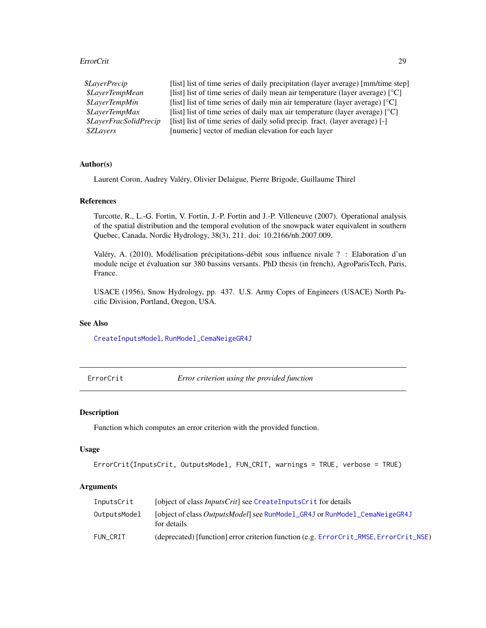# <span id="page-28-0"></span>ErrorCrit 29

| \$LayerPrecip                        | [list] list of time series of daily precipitation (layer average) [mm/time step]                    |
|--------------------------------------|-----------------------------------------------------------------------------------------------------|
| <i><b>\$LaverTempMean</b></i>        | [list] list of time series of daily mean air temperature (layer average) $[°C]$                     |
| <i><b>\$LaverTempMin</b></i>         | [list] list of time series of daily min air temperature (layer average) $\lceil {^{\circ}C} \rceil$ |
| <i><b>\$LaverTempMax</b></i>         | [list] list of time series of daily max air temperature (layer average) $\lceil {^{\circ}C} \rceil$ |
| <i><b>\$LayerFracSolidPrecip</b></i> | [list] list of time series of daily solid precip. fract. (layer average) [-]                        |
| <i><b>\$ZLavers</b></i>              | [numeric] vector of median elevation for each layer                                                 |

# Author(s)

Laurent Coron, Audrey Valéry, Olivier Delaigue, Pierre Brigode, Guillaume Thirel

# References

Turcotte, R., L.-G. Fortin, V. Fortin, J.-P. Fortin and J.-P. Villeneuve (2007). Operational analysis of the spatial distribution and the temporal evolution of the snowpack water equivalent in southern Quebec, Canada, Nordic Hydrology, 38(3), 211. doi: 10.2166/nh.2007.009.

Valéry, A. (2010), Modélisation précipitations-débit sous influence nivale ? : Elaboration d'un module neige et évaluation sur 380 bassins versants. PhD thesis (in french), AgroParisTech, Paris, France.

USACE (1956), Snow Hydrology, pp. 437. U.S. Army Coprs of Engineers (USACE) North Pacific Division, Portland, Oregon, USA.

# See Also

[CreateInputsModel](#page-20-1), [RunModel\\_CemaNeigeGR4J](#page-54-1)

<span id="page-28-1"></span>ErrorCrit *Error criterion using the provided function*

# Description

Function which computes an error criterion with the provided function.

## Usage

```
ErrorCrit(InputsCrit, OutputsModel, FUN_CRIT, warnings = TRUE, verbose = TRUE)
```
# Arguments

| InputsCrit   | [object of class <i>InputsCrit</i> ] see CreateInputsCrit for details                             |
|--------------|---------------------------------------------------------------------------------------------------|
| OutputsModel | [object of class <i>OutputsModel</i> ] see RunModel_GR4J or RunModel_CemaNeigeGR4J<br>for details |
| FUN CRIT     | (deprecated) [function] error criterion function (e.g. ErrorCrit_RMSE, ErrorCrit_NSE)             |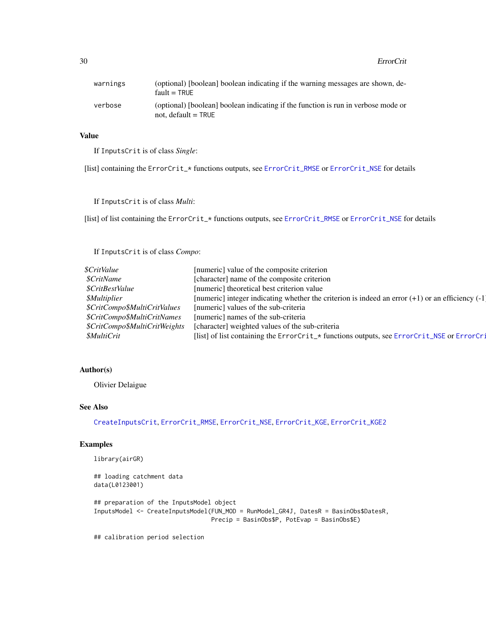## 30 ErrorCrit

| warnings | (optional) [boolean] boolean indicating if the warning messages are shown, de-<br>$fault = TRUE$           |
|----------|------------------------------------------------------------------------------------------------------------|
| verbose  | (optional) [boolean] boolean indicating if the function is run in verbose mode or<br>not. $default = TRUE$ |

# Value

If InputsCrit is of class *Single*:

[list] containing the ErrorCrit\_\* functions outputs, see [ErrorCrit\\_RMSE](#page-37-1) or [ErrorCrit\\_NSE](#page-35-1) for details

If InputsCrit is of class *Multi*:

[list] of list containing the ErrorCrit\_\* functions outputs, see [ErrorCrit\\_RMSE](#page-37-1) or [ErrorCrit\\_NSE](#page-35-1) for details

If InputsCrit is of class *Compo*:

| <i><b>\$CritValue</b></i>     | [numeric] value of the composite criterion                                                           |
|-------------------------------|------------------------------------------------------------------------------------------------------|
| <i><b>\$CritName</b></i>      | [character] name of the composite criterion                                                          |
| \$CritBestValue               | [numeric] theoretical best criterion value                                                           |
| <i><b>\$Multiplier</b></i>    | [numeric] integer indicating whether the criterion is indeed an error $(+1)$ or an efficiency $(-1)$ |
| \$CritCompo\$MultiCritValues  | [numeric] values of the sub-criteria                                                                 |
| \$CritCompo\$MultiCritNames   | [numeric] names of the sub-criteria                                                                  |
| \$CritCompo\$MultiCritWeights | [character] weighted values of the sub-criteria                                                      |
| <i><b>\$MultiCrit</b></i>     | [list] of list containing the ErrorCrit_* functions outputs, see ErrorCrit_NSE or ErrorCri           |
|                               |                                                                                                      |

# Author(s)

Olivier Delaigue

# See Also

[CreateInputsCrit](#page-16-1), [ErrorCrit\\_RMSE](#page-37-1), [ErrorCrit\\_NSE](#page-35-1), [ErrorCrit\\_KGE](#page-30-1), [ErrorCrit\\_KGE2](#page-33-1)

# Examples

```
library(airGR)
```

```
## loading catchment data
data(L0123001)
## preparation of the InputsModel object
InputsModel <- CreateInputsModel(FUN_MOD = RunModel_GR4J, DatesR = BasinObs$DatesR,
                                Precip = BasinObs$P, PotEvap = BasinObs$E)
```
## calibration period selection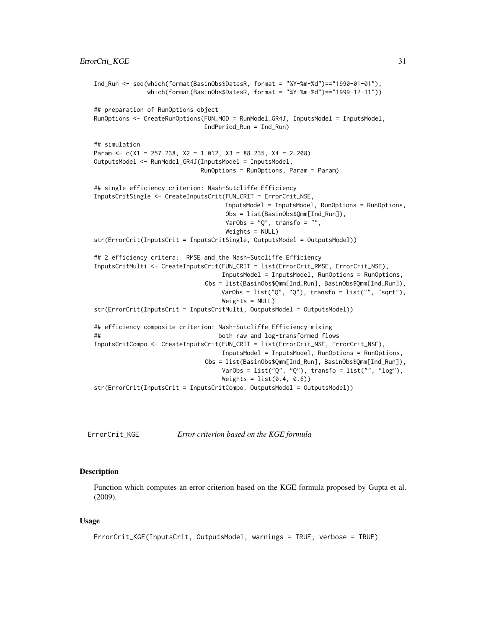```
Ind_Run <- seq(which(format(BasinObs$DatesR, format = "%Y-%m-%d")=="1990-01-01"),
              which(format(BasinObs$DatesR, format = "%Y-%m-%d")=="1999-12-31"))
## preparation of RunOptions object
RunOptions <- CreateRunOptions(FUN_MOD = RunModel_GR4J, InputsModel = InputsModel,
                              IndPeriod_Run = Ind_Run)
## simulation
Param \leq c(X1 = 257.238, X2 = 1.012, X3 = 88.235, X4 = 2.208)
OutputsModel <- RunModel_GR4J(InputsModel = InputsModel,
                             RunOptions = RunOptions, Param = Param)
## single efficiency criterion: Nash-Sutcliffe Efficiency
InputsCritSingle <- CreateInputsCrit(FUN_CRIT = ErrorCrit_NSE,
                                    InputsModel = InputsModel, RunOptions = RunOptions,
                                    Obs = list(BasinObs$Qmm[Ind_Run]),
                                    VarObs = "Q", transfo = "",
                                    Weights = NULL)
str(ErrorCrit(InputsCrit = InputsCritSingle, OutputsModel = OutputsModel))
## 2 efficiency critera: RMSE and the Nash-Sutcliffe Efficiency
InputsCritMulti <- CreateInputsCrit(FUN_CRIT = list(ErrorCrit_RMSE, ErrorCrit_NSE),
                                   InputsModel = InputsModel, RunOptions = RunOptions,
                              Obs = list(BasinObs$Qmm[Ind_Run], BasinObs$Qmm[Ind_Run]),
                                   VarObs = list("Q", "Q"), transfo = list("", "sqrt"),
                                   Weights = NULL)
str(ErrorCrit(InputsCrit = InputsCritMulti, OutputsModel = OutputsModel))
## efficiency composite criterion: Nash-Sutcliffe Efficiency mixing
## both raw and log-transformed flows
InputsCritCompo <- CreateInputsCrit(FUN_CRIT = list(ErrorCrit_NSE, ErrorCrit_NSE),
                                   InputsModel = InputsModel, RunOptions = RunOptions,
                              Obs = list(BasinObs$Qmm[Ind_Run], BasinObs$Qmm[Ind_Run]),
                                   VarObs = list("Q", "Q"), transfo = list("", "log"),
                                   Weights = list(0.4, 0.6)str(ErrorCrit(InputsCrit = InputsCritCompo, OutputsModel = OutputsModel))
```
<span id="page-30-1"></span>ErrorCrit\_KGE *Error criterion based on the KGE formula*

# Description

Function which computes an error criterion based on the KGE formula proposed by Gupta et al. (2009).

#### Usage

```
ErrorCrit_KGE(InputsCrit, OutputsModel, warnings = TRUE, verbose = TRUE)
```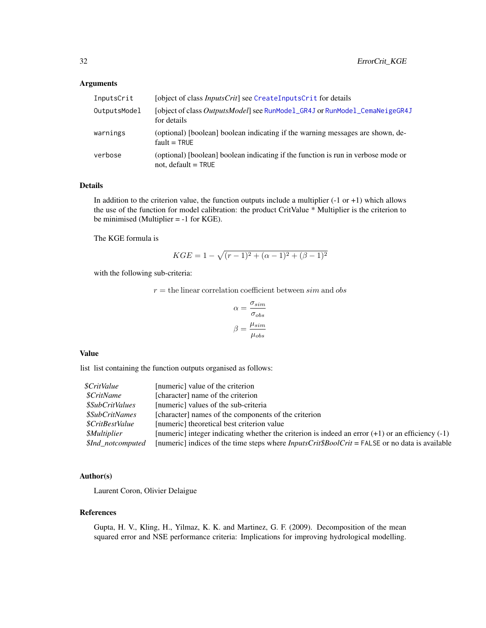# Arguments

| InputsCrit   | [object of class <i>InputsCrit</i> ] see CreateInputsCrit for details                                      |
|--------------|------------------------------------------------------------------------------------------------------------|
| OutputsModel | [object of class <i>OutputsModel</i> ] see RunModel_GR4J or RunModel_CemaNeigeGR4J<br>for details          |
| warnings     | (optional) [boolean] boolean indicating if the warning messages are shown, de-<br>$fault = TRUE$           |
| verbose      | (optional) [boolean] boolean indicating if the function is run in verbose mode or<br>not, default $=$ TRUE |

# Details

In addition to the criterion value, the function outputs include a multiplier  $(-1 \text{ or } +1)$  which allows the use of the function for model calibration: the product CritValue \* Multiplier is the criterion to be minimised (Multiplier = -1 for KGE).

The KGE formula is

$$
KGE = 1 - \sqrt{(r-1)^2 + (\alpha - 1)^2 + (\beta - 1)^2}
$$

with the following sub-criteria:

 $r =$  the linear correlation coefficient between  $sim$  and  $obs$ 

$$
\alpha = \frac{\sigma_{sim}}{\sigma_{obs}}
$$

$$
\beta = \frac{\mu_{sim}}{\mu_{obs}}
$$

# Value

list list containing the function outputs organised as follows:

| [numeric] value of the criterion                                                                          |
|-----------------------------------------------------------------------------------------------------------|
| [character] name of the criterion                                                                         |
| [numeric] values of the sub-criteria                                                                      |
| [character] names of the components of the criterion                                                      |
| [numeric] theoretical best criterion value                                                                |
| [numeric] integer indicating whether the criterion is indeed an error $(+1)$ or an efficiency $(-1)$      |
| [numeric] indices of the time steps where $InputStream_{\text{F}}$ $\text{FALSE}$ or no data is available |
|                                                                                                           |

# Author(s)

Laurent Coron, Olivier Delaigue

# References

Gupta, H. V., Kling, H., Yilmaz, K. K. and Martinez, G. F. (2009). Decomposition of the mean squared error and NSE performance criteria: Implications for improving hydrological modelling.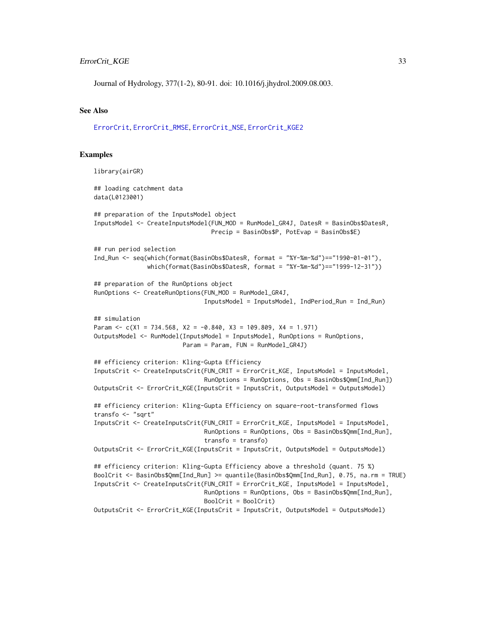# ErrorCrit\_KGE 33

Journal of Hydrology, 377(1-2), 80-91. doi: 10.1016/j.jhydrol.2009.08.003.

### See Also

[ErrorCrit](#page-28-1), [ErrorCrit\\_RMSE](#page-37-1), [ErrorCrit\\_NSE](#page-35-1), [ErrorCrit\\_KGE2](#page-33-1)

#### Examples

```
library(airGR)
## loading catchment data
data(L0123001)
## preparation of the InputsModel object
InputsModel <- CreateInputsModel(FUN_MOD = RunModel_GR4J, DatesR = BasinObs$DatesR,
                                 Precip = BasinObs$P, PotEvap = BasinObs$E)
## run period selection
Ind_Run <- seq(which(format(BasinObs$DatesR, format = "%Y-%m-%d")=="1990-01-01"),
               which(format(BasinObs$DatesR, format = "%Y-%m-%d")=="1999-12-31"))
## preparation of the RunOptions object
RunOptions <- CreateRunOptions(FUN_MOD = RunModel_GR4J,
                               InputsModel = InputsModel, IndPeriod_Run = Ind_Run)
## simulation
Param \leq c(X1 = 734.568, X2 = -0.840, X3 = 109.809, X4 = 1.971)
OutputsModel <- RunModel(InputsModel = InputsModel, RunOptions = RunOptions,
                        Param = Param, FUN = RunModel_GR4J)
## efficiency criterion: Kling-Gupta Efficiency
InputsCrit <- CreateInputsCrit(FUN_CRIT = ErrorCrit_KGE, InputsModel = InputsModel,
                               RunOptions = RunOptions, Obs = BasinObs$Qmm[Ind_Run])
OutputsCrit <- ErrorCrit_KGE(InputsCrit = InputsCrit, OutputsModel = OutputsModel)
## efficiency criterion: Kling-Gupta Efficiency on square-root-transformed flows
transfo <- "sqrt"
InputsCrit <- CreateInputsCrit(FUN_CRIT = ErrorCrit_KGE, InputsModel = InputsModel,
                               RunOptions = RunOptions, Obs = BasinObs$Qmm[Ind_Run],
                               transfo = transfo)
OutputsCrit <- ErrorCrit_KGE(InputsCrit = InputsCrit, OutputsModel = OutputsModel)
## efficiency criterion: Kling-Gupta Efficiency above a threshold (quant. 75 %)
BoolCrit <- BasinObs$Qmm[Ind_Run] >= quantile(BasinObs$Qmm[Ind_Run], 0.75, na.rm = TRUE)
InputsCrit <- CreateInputsCrit(FUN_CRIT = ErrorCrit_KGE, InputsModel = InputsModel,
                               RunOptions = RunOptions, Obs = BasinObs$Qmm[Ind_Run],
                               BoolCrit = BoolCrit)
OutputsCrit <- ErrorCrit_KGE(InputsCrit = InputsCrit, OutputsModel = OutputsModel)
```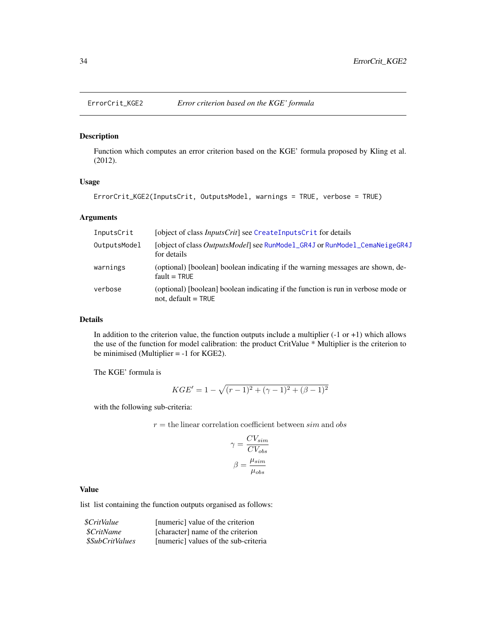<span id="page-33-1"></span><span id="page-33-0"></span>

# Description

Function which computes an error criterion based on the KGE' formula proposed by Kling et al. (2012).

# Usage

ErrorCrit\_KGE2(InputsCrit, OutputsModel, warnings = TRUE, verbose = TRUE)

# Arguments

| InputsCrit   | [object of class <i>InputsCrit</i> ] see CreateInputsCrit for details                                      |
|--------------|------------------------------------------------------------------------------------------------------------|
| OutputsModel | [object of class OutputsModel] see RunModel_GR4J or RunModel_CemaNeigeGR4J<br>for details                  |
| warnings     | (optional) [boolean] boolean indicating if the warning messages are shown, de-<br>$fault = TRUE$           |
| verbose      | (optional) [boolean] boolean indicating if the function is run in verbose mode or<br>not, $default = TRUE$ |

# Details

In addition to the criterion value, the function outputs include a multiplier  $(-1 \text{ or } +1)$  which allows the use of the function for model calibration: the product CritValue \* Multiplier is the criterion to be minimised (Multiplier = -1 for KGE2).

The KGE' formula is

$$
KGE' = 1 - \sqrt{(r-1)^2 + (\gamma - 1)^2 + (\beta - 1)^2}
$$

with the following sub-criteria:

 $r =$  the linear correlation coefficient between  $sim$  and  $obs$ 

$$
\gamma = \frac{CV_{sim}}{CV_{obs}}
$$

$$
\beta = \frac{\mu_{sim}}{\mu_{obs}}
$$

# Value

list list containing the function outputs organised as follows:

| \$CritValue           | [numeric] value of the criterion     |
|-----------------------|--------------------------------------|
| <i>SCritName</i>      | [character] name of the criterion    |
| <i>SSubCritValues</i> | [numeric] values of the sub-criteria |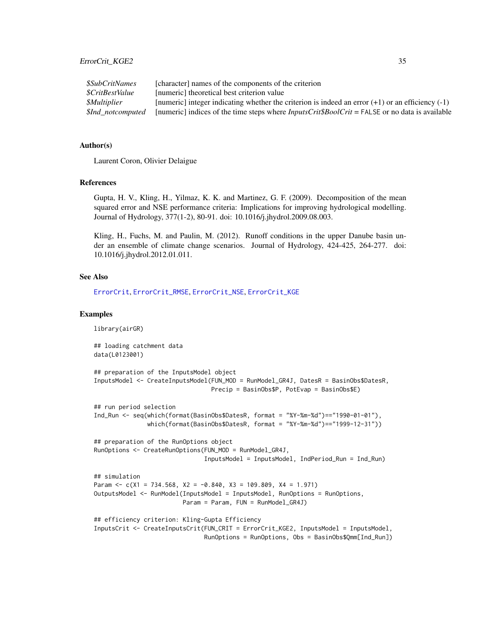| <i><b>\$SubCritNames</b></i> | [character] names of the components of the criterion                                                             |
|------------------------------|------------------------------------------------------------------------------------------------------------------|
| <i>SCritBestValue</i>        | Inumericl theoretical best criterion value                                                                       |
| <i><b>SMultiplier</b></i>    | [numeric] integer indicating whether the criterion is indeed an error $(+1)$ or an efficiency $(-1)$             |
| <i>SInd notcomputed</i>      | [numeric] indices of the time steps where $InputStream_{\text{F}}(F_{\text{H}})$ = FALSE or no data is available |

# Author(s)

Laurent Coron, Olivier Delaigue

# References

Gupta, H. V., Kling, H., Yilmaz, K. K. and Martinez, G. F. (2009). Decomposition of the mean squared error and NSE performance criteria: Implications for improving hydrological modelling. Journal of Hydrology, 377(1-2), 80-91. doi: 10.1016/j.jhydrol.2009.08.003.

Kling, H., Fuchs, M. and Paulin, M. (2012). Runoff conditions in the upper Danube basin under an ensemble of climate change scenarios. Journal of Hydrology, 424-425, 264-277. doi: 10.1016/j.jhydrol.2012.01.011.

#### See Also

[ErrorCrit](#page-28-1), [ErrorCrit\\_RMSE](#page-37-1), [ErrorCrit\\_NSE](#page-35-1), [ErrorCrit\\_KGE](#page-30-1)

# Examples

```
library(airGR)
## loading catchment data
data(L0123001)
## preparation of the InputsModel object
InputsModel <- CreateInputsModel(FUN_MOD = RunModel_GR4J, DatesR = BasinObs$DatesR,
                                 Precip = BasinObs$P, PotEvap = BasinObs$E)
## run period selection
Ind_Run <- seq(which(format(BasinObs$DatesR, format = "%Y-%m-%d")=="1990-01-01"),
               which(format(BasinObs$DatesR, format = "%Y-%m-%d")=="1999-12-31"))
## preparation of the RunOptions object
RunOptions <- CreateRunOptions(FUN_MOD = RunModel_GR4J,
                               InputsModel = InputsModel, IndPeriod_Run = Ind_Run)
## simulation
Param \leq c(X1 = 734.568, X2 = -0.840, X3 = 109.809, X4 = 1.971)
OutputsModel <- RunModel(InputsModel = InputsModel, RunOptions = RunOptions,
                        Param = Param, FUN = RunModel_GR4J)
## efficiency criterion: Kling-Gupta Efficiency
InputsCrit <- CreateInputsCrit(FUN_CRIT = ErrorCrit_KGE2, InputsModel = InputsModel,
                               RunOptions = RunOptions, Obs = BasinObs$Qmm[Ind_Run])
```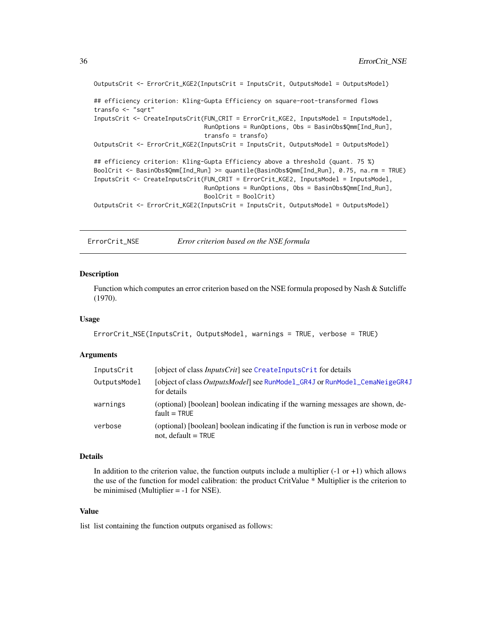```
OutputsCrit <- ErrorCrit_KGE2(InputsCrit = InputsCrit, OutputsModel = OutputsModel)
## efficiency criterion: Kling-Gupta Efficiency on square-root-transformed flows
transfo <- "sqrt"
InputsCrit <- CreateInputsCrit(FUN_CRIT = ErrorCrit_KGE2, InputsModel = InputsModel,
                               RunOptions = RunOptions, Obs = BasinObs$Qmm[Ind_Run],
                               transfo = transfo)
OutputsCrit <- ErrorCrit_KGE2(InputsCrit = InputsCrit, OutputsModel = OutputsModel)
## efficiency criterion: Kling-Gupta Efficiency above a threshold (quant. 75 %)
BoolCrit <- BasinObs$Qmm[Ind_Run] >= quantile(BasinObs$Qmm[Ind_Run], 0.75, na.rm = TRUE)
InputsCrit <- CreateInputsCrit(FUN_CRIT = ErrorCrit_KGE2, InputsModel = InputsModel,
                               RunOptions = RunOptions, Obs = BasinObs$Qmm[Ind_Run],
                               BoolCrit = BoolCrit)
OutputsCrit <- ErrorCrit_KGE2(InputsCrit = InputsCrit, OutputsModel = OutputsModel)
```
<span id="page-35-1"></span>ErrorCrit\_NSE *Error criterion based on the NSE formula*

# Description

Function which computes an error criterion based on the NSE formula proposed by Nash & Sutcliffe (1970).

#### Usage

```
ErrorCrit_NSE(InputsCrit, OutputsModel, warnings = TRUE, verbose = TRUE)
```
# Arguments

| InputsCrit   | [object of class <i>InputsCrit</i> ] see CreateInputsCrit for details                                      |
|--------------|------------------------------------------------------------------------------------------------------------|
| OutputsModel | [object of class <i>OutputsModel</i> ] see RunModel_GR4J or RunModel_CemaNeigeGR4J<br>for details          |
| warnings     | (optional) [boolean] boolean indicating if the warning messages are shown, de-<br>$fault = TRUE$           |
| verbose      | (optional) [boolean] boolean indicating if the function is run in verbose mode or<br>not, default $=$ TRUE |

#### Details

In addition to the criterion value, the function outputs include a multiplier  $(-1 \text{ or } +1)$  which allows the use of the function for model calibration: the product CritValue \* Multiplier is the criterion to be minimised (Multiplier = -1 for NSE).

# Value

list list containing the function outputs organised as follows: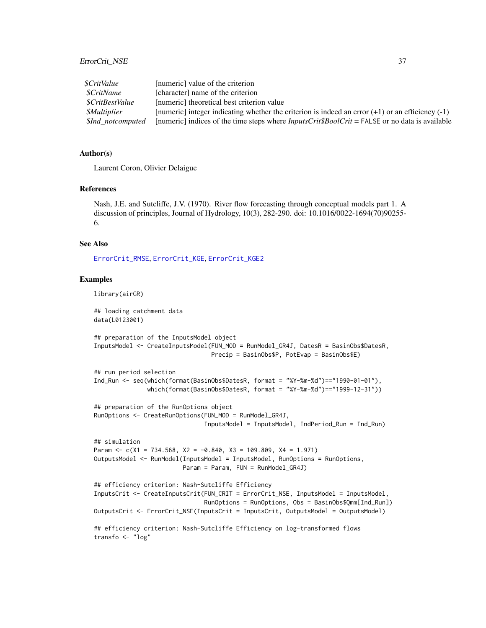## ErrorCrit\_NSE 37

| <i><b>\$CritValue</b></i> | [numeric] value of the criterion                                                                      |
|---------------------------|-------------------------------------------------------------------------------------------------------|
| <i><b>\$CritName</b></i>  | [character] name of the criterion                                                                     |
| <i>SCritBestValue</i>     | [numeric] theoretical best criterion value                                                            |
| <i><b>SMultiplier</b></i> | [numeric] integer indicating whether the criterion is indeed an error $(+1)$ or an efficiency $(-1)$  |
| <i>SInd notcomputed</i>   | [numeric] indices of the time steps where $InputStream$ $InputStream$ = FALSE or no data is available |

## Author(s)

Laurent Coron, Olivier Delaigue

### References

Nash, J.E. and Sutcliffe, J.V. (1970). River flow forecasting through conceptual models part 1. A discussion of principles, Journal of Hydrology, 10(3), 282-290. doi: 10.1016/0022-1694(70)90255- 6.

## See Also

[ErrorCrit\\_RMSE](#page-37-0), [ErrorCrit\\_KGE](#page-30-0), [ErrorCrit\\_KGE2](#page-33-0)

### Examples

```
library(airGR)
## loading catchment data
data(L0123001)
## preparation of the InputsModel object
InputsModel <- CreateInputsModel(FUN_MOD = RunModel_GR4J, DatesR = BasinObs$DatesR,
                                 Precip = BasinObs$P, PotEvap = BasinObs$E)
## run period selection
Ind_Run <- seq(which(format(BasinObs$DatesR, format = "%Y-%m-%d")=="1990-01-01"),
               which(format(BasinObs$DatesR, format = "%Y-%m-%d")=="1999-12-31"))
## preparation of the RunOptions object
RunOptions <- CreateRunOptions(FUN_MOD = RunModel_GR4J,
                               InputsModel = InputsModel, IndPeriod_Run = Ind_Run)
## simulation
Param \leq c(X1 = 734.568, X2 = -0.840, X3 = 109.809, X4 = 1.971)
OutputsModel <- RunModel(InputsModel = InputsModel, RunOptions = RunOptions,
                         Param = Param, FUN = RunModel_GR4J)
## efficiency criterion: Nash-Sutcliffe Efficiency
InputsCrit <- CreateInputsCrit(FUN_CRIT = ErrorCrit_NSE, InputsModel = InputsModel,
                               RunOptions = RunOptions, Obs = BasinObs$Qmm[Ind_Run])
OutputsCrit <- ErrorCrit_NSE(InputsCrit = InputsCrit, OutputsModel = OutputsModel)
## efficiency criterion: Nash-Sutcliffe Efficiency on log-transformed flows
transfo <- "log"
```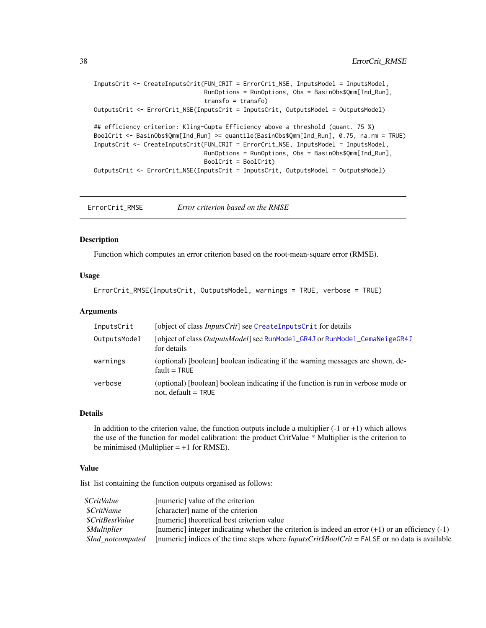```
InputsCrit <- CreateInputsCrit(FUN_CRIT = ErrorCrit_NSE, InputsModel = InputsModel,
                               RunOptions = RunOptions, Obs = BasinObs$Qmm[Ind_Run],
                               transfo = transfo)
OutputsCrit <- ErrorCrit_NSE(InputsCrit = InputsCrit, OutputsModel = OutputsModel)
## efficiency criterion: Kling-Gupta Efficiency above a threshold (quant. 75 %)
BoolCrit <- BasinObs$Qmm[Ind_Run] >= quantile(BasinObs$Qmm[Ind_Run], 0.75, na.rm = TRUE)
InputsCrit <- CreateInputsCrit(FUN_CRIT = ErrorCrit_NSE, InputsModel = InputsModel,
                               RunOptions = RunOptions, Obs = BasinObs$Qmm[Ind_Run],
                               BoolCrit = BoolCrit)
OutputsCrit <- ErrorCrit_NSE(InputsCrit = InputsCrit, OutputsModel = OutputsModel)
```
<span id="page-37-0"></span>ErrorCrit\_RMSE *Error criterion based on the RMSE*

## Description

Function which computes an error criterion based on the root-mean-square error (RMSE).

### Usage

ErrorCrit\_RMSE(InputsCrit, OutputsModel, warnings = TRUE, verbose = TRUE)

### Arguments

| InputsCrit   | [object of class <i>InputsCrit</i> ] see CreateInputsCrit for details                                      |
|--------------|------------------------------------------------------------------------------------------------------------|
| OutputsModel | [object of class OutputsModel] see RunModel_GR4J or RunModel_CemaNeigeGR4J<br>for details                  |
| warnings     | (optional) [boolean] boolean indicating if the warning messages are shown, de-<br>$fault = TRUE$           |
| verbose      | (optional) [boolean] boolean indicating if the function is run in verbose mode or<br>not, default $=$ TRUE |

#### Details

In addition to the criterion value, the function outputs include a multiplier  $(-1 \text{ or } +1)$  which allows the use of the function for model calibration: the product CritValue \* Multiplier is the criterion to be minimised (Multiplier  $= +1$  for RMSE).

### Value

list list containing the function outputs organised as follows:

| [numeric] value of the criterion                                                                          |
|-----------------------------------------------------------------------------------------------------------|
| [character] name of the criterion                                                                         |
| [numeric] theoretical best criterion value                                                                |
| [numeric] integer indicating whether the criterion is indeed an error $(+1)$ or an efficiency $(-1)$      |
| [numeric] indices of the time steps where $InputStreamListCrit\$BoolCrit = FALSE$ or no data is available |
|                                                                                                           |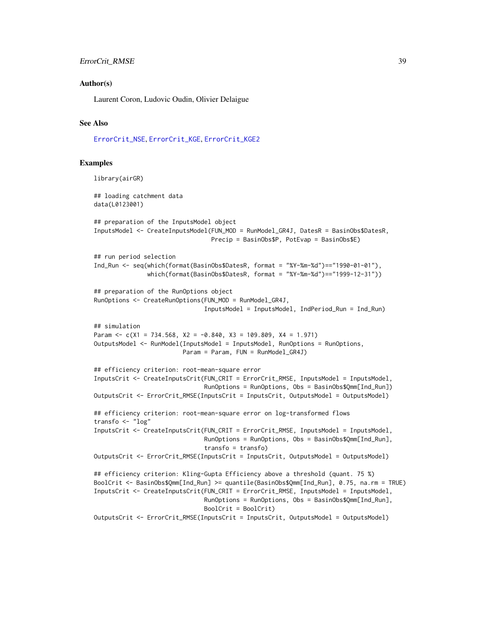## ErrorCrit\_RMSE 39

#### Author(s)

Laurent Coron, Ludovic Oudin, Olivier Delaigue

#### See Also

[ErrorCrit\\_NSE](#page-35-0), [ErrorCrit\\_KGE](#page-30-0), [ErrorCrit\\_KGE2](#page-33-0)

#### Examples

```
library(airGR)
## loading catchment data
data(L0123001)
## preparation of the InputsModel object
InputsModel <- CreateInputsModel(FUN_MOD = RunModel_GR4J, DatesR = BasinObs$DatesR,
                                 Precip = BasinObs$P, PotEvap = BasinObs$E)
## run period selection
Ind_Run <- seq(which(format(BasinObs$DatesR, format = "%Y-%m-%d")=="1990-01-01"),
               which(format(BasinObs$DatesR, format = "%Y-%m-%d")=="1999-12-31"))
## preparation of the RunOptions object
RunOptions <- CreateRunOptions(FUN_MOD = RunModel_GR4J,
                               InputsModel = InputsModel, IndPeriod_Run = Ind_Run)
## simulation
Param \leq c(X1 = 734.568, X2 = -0.840, X3 = 109.809, X4 = 1.971)
OutputsModel <- RunModel(InputsModel = InputsModel, RunOptions = RunOptions,
                        Param = Param, FUN = RunModel_GR4J)
## efficiency criterion: root-mean-square error
InputsCrit <- CreateInputsCrit(FUN_CRIT = ErrorCrit_RMSE, InputsModel = InputsModel,
                               RunOptions = RunOptions, Obs = BasinObs$Qmm[Ind_Run])
OutputsCrit <- ErrorCrit_RMSE(InputsCrit = InputsCrit, OutputsModel = OutputsModel)
## efficiency criterion: root-mean-square error on log-transformed flows
transfo <- "log"
InputsCrit <- CreateInputsCrit(FUN_CRIT = ErrorCrit_RMSE, InputsModel = InputsModel,
                               RunOptions = RunOptions, Obs = BasinObs$Qmm[Ind_Run],
                               transfo = transfo)
OutputsCrit <- ErrorCrit_RMSE(InputsCrit = InputsCrit, OutputsModel = OutputsModel)
## efficiency criterion: Kling-Gupta Efficiency above a threshold (quant. 75 %)
BoolCrit <- BasinObs$Qmm[Ind_Run] >= quantile(BasinObs$Qmm[Ind_Run], 0.75, na.rm = TRUE)
InputsCrit <- CreateInputsCrit(FUN_CRIT = ErrorCrit_RMSE, InputsModel = InputsModel,
                               RunOptions = RunOptions, Obs = BasinObs$Qmm[Ind_Run],
                               BoolCrit = BoolCrit)
OutputsCrit <- ErrorCrit_RMSE(InputsCrit = InputsCrit, OutputsModel = OutputsModel)
```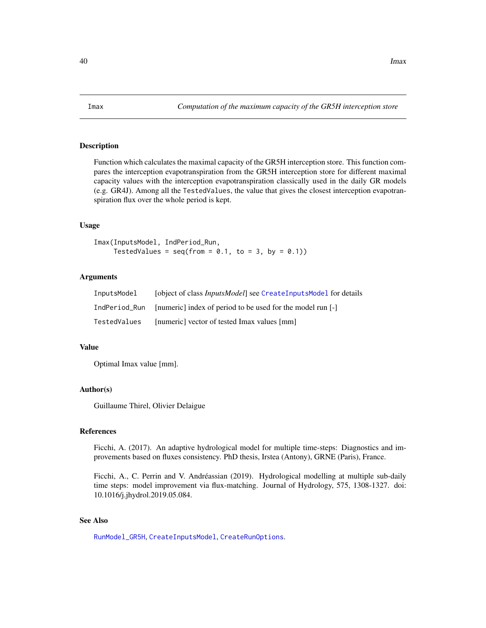#### <span id="page-39-0"></span>Description

Function which calculates the maximal capacity of the GR5H interception store. This function compares the interception evapotranspiration from the GR5H interception store for different maximal capacity values with the interception evapotranspiration classically used in the daily GR models (e.g. GR4J). Among all the TestedValues, the value that gives the closest interception evapotranspiration flux over the whole period is kept.

### Usage

Imax(InputsModel, IndPeriod\_Run, TestedValues =  $seq(from = 0.1, to = 3, by = 0.1)$ 

## Arguments

| InputsModel   | [object of class <i>InputsModel</i> ] see CreateInputsModel for details |
|---------------|-------------------------------------------------------------------------|
| IndPeriod Run | [numeric] index of period to be used for the model run [-]              |
| TestedValues  | [numeric] vector of tested Imax values [mm]                             |

### Value

Optimal Imax value [mm].

#### Author(s)

Guillaume Thirel, Olivier Delaigue

#### References

Ficchi, A. (2017). An adaptive hydrological model for multiple time-steps: Diagnostics and improvements based on fluxes consistency. PhD thesis, Irstea (Antony), GRNE (Paris), France.

Ficchi, A., C. Perrin and V. Andréassian (2019). Hydrological modelling at multiple sub-daily time steps: model improvement via flux-matching. Journal of Hydrology, 575, 1308-1327. doi: 10.1016/j.jhydrol.2019.05.084.

## See Also

[RunModel\\_GR5H](#page-78-0), [CreateInputsModel](#page-20-0), [CreateRunOptions](#page-23-0).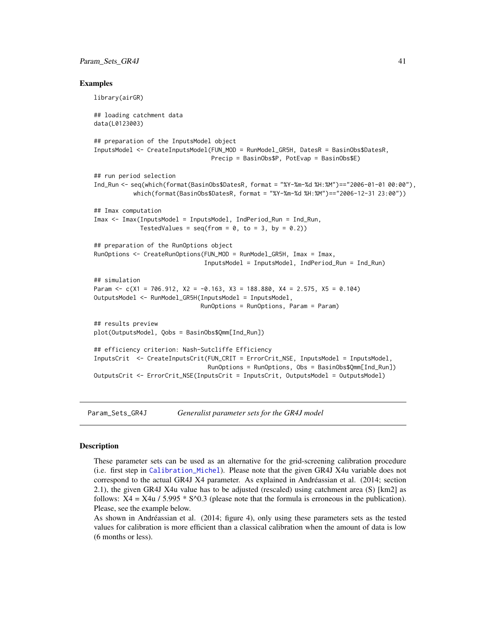#### Param\_Sets\_GR4J 41

#### Examples

```
library(airGR)
## loading catchment data
data(L0123003)
## preparation of the InputsModel object
InputsModel <- CreateInputsModel(FUN_MOD = RunModel_GR5H, DatesR = BasinObs$DatesR,
                                Precip = BasinObs$P, PotEvap = BasinObs$E)
## run period selection
Ind_Run <- seq(which(format(BasinObs$DatesR, format = "%Y-%m-%d %H:%M")=="2006-01-01 00:00"),
           which(format(BasinObs$DatesR, format = "%Y-%m-%d %H:%M")=="2006-12-31 23:00"))
## Imax computation
Imax <- Imax(InputsModel = InputsModel, IndPeriod_Run = Ind_Run,
             TestedValues = seq(from = 0, to = 3, by = 0.2)## preparation of the RunOptions object
RunOptions <- CreateRunOptions(FUN_MOD = RunModel_GR5H, Imax = Imax,
                               InputsModel = InputsModel, IndPeriod_Run = Ind_Run)
## simulation
Param \leq c(X1 = 706.912, X2 = -0.163, X3 = 188.880, X4 = 2.575, X5 = 0.104)
OutputsModel <- RunModel_GR5H(InputsModel = InputsModel,
                              RunOptions = RunOptions, Param = Param)
## results preview
plot(OutputsModel, Qobs = BasinObs$Qmm[Ind_Run])
## efficiency criterion: Nash-Sutcliffe Efficiency
InputsCrit <- CreateInputsCrit(FUN_CRIT = ErrorCrit_NSE, InputsModel = InputsModel,
                                RunOptions = RunOptions, Obs = BasinObs$Qmm[Ind_Run])
OutputsCrit <- ErrorCrit_NSE(InputsCrit = InputsCrit, OutputsModel = OutputsModel)
```
Param\_Sets\_GR4J *Generalist parameter sets for the GR4J model*

#### Description

These parameter sets can be used as an alternative for the grid-screening calibration procedure (i.e. first step in [Calibration\\_Michel](#page-8-0)). Please note that the given GR4J X4u variable does not correspond to the actual GR4J X4 parameter. As explained in Andréassian et al. (2014; section 2.1), the given GR4J X4u value has to be adjusted (rescaled) using catchment area (S) [km2] as follows:  $X4 = X4u / 5.995 * S^0.3$  (please note that the formula is erroneous in the publication). Please, see the example below.

As shown in Andréassian et al. (2014; figure 4), only using these parameters sets as the tested values for calibration is more efficient than a classical calibration when the amount of data is low (6 months or less).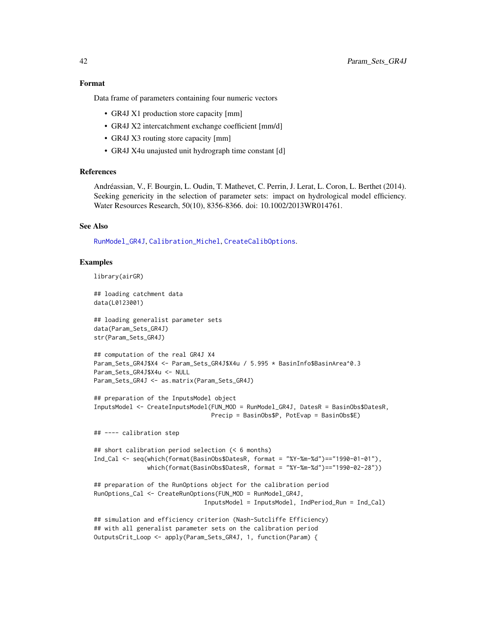#### Format

Data frame of parameters containing four numeric vectors

- GR4J X1 production store capacity [mm]
- GR4J X2 intercatchment exchange coefficient [mm/d]
- GR4J X3 routing store capacity [mm]
- GR4J X4u unajusted unit hydrograph time constant [d]

### References

Andréassian, V., F. Bourgin, L. Oudin, T. Mathevet, C. Perrin, J. Lerat, L. Coron, L. Berthet (2014). Seeking genericity in the selection of parameter sets: impact on hydrological model efficiency. Water Resources Research, 50(10), 8356-8366. doi: 10.1002/2013WR014761.

## See Also

[RunModel\\_GR4J](#page-75-0), [Calibration\\_Michel](#page-8-0), [CreateCalibOptions](#page-10-0).

#### Examples

```
library(airGR)
```

```
## loading catchment data
data(L0123001)
```

```
## loading generalist parameter sets
data(Param_Sets_GR4J)
str(Param_Sets_GR4J)
```

```
## computation of the real GR4J X4
Param_Sets_GR4J$X4 <- Param_Sets_GR4J$X4u / 5.995 * BasinInfo$BasinArea^0.3
Param_Sets_GR4J$X4u <- NULL
Param_Sets_GR4J <- as.matrix(Param_Sets_GR4J)
```

```
## preparation of the InputsModel object
InputsModel <- CreateInputsModel(FUN_MOD = RunModel_GR4J, DatesR = BasinObs$DatesR,
                                Precip = BasinObs$P, PotEvap = BasinObs$E)
```
## ---- calibration step

```
## short calibration period selection (< 6 months)
Ind_Cal <- seq(which(format(BasinObs$DatesR, format = "%Y-%m-%d")=="1990-01-01"),
               which(format(BasinObs$DatesR, format = "%Y-%m-%d")=="1990-02-28"))
```

```
## preparation of the RunOptions object for the calibration period
RunOptions_Cal <- CreateRunOptions(FUN_MOD = RunModel_GR4J,
                               InputsModel = InputsModel, IndPeriod_Run = Ind_Cal)
```

```
## simulation and efficiency criterion (Nash-Sutcliffe Efficiency)
## with all generalist parameter sets on the calibration period
OutputsCrit_Loop <- apply(Param_Sets_GR4J, 1, function(Param) {
```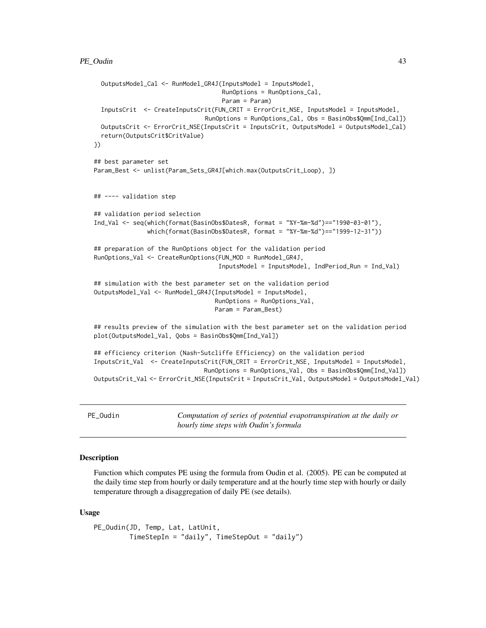```
OutputsModel_Cal <- RunModel_GR4J(InputsModel = InputsModel,
                                    RunOptions = RunOptions_Cal,
                                    Param = Param)
 InputsCrit <- CreateInputsCrit(FUN_CRIT = ErrorCrit_NSE, InputsModel = InputsModel,
                               RunOptions = RunOptions_Cal, Obs = BasinObs$Qmm[Ind_Cal])
 OutputsCrit <- ErrorCrit_NSE(InputsCrit = InputsCrit, OutputsModel = OutputsModel_Cal)
 return(OutputsCrit$CritValue)
})
## best parameter set
Param_Best <- unlist(Param_Sets_GR4J[which.max(OutputsCrit_Loop), ])
## ---- validation step
## validation period selection
Ind_Val <- seq(which(format(BasinObs$DatesR, format = "%Y-%m-%d")=="1990-03-01"),
               which(format(BasinObs$DatesR, format = "%Y-%m-%d")=="1999-12-31"))
## preparation of the RunOptions object for the validation period
RunOptions_Val <- CreateRunOptions(FUN_MOD = RunModel_GR4J,
                                   InputsModel = InputsModel, IndPeriod_Run = Ind_Val)
## simulation with the best parameter set on the validation period
OutputsModel_Val <- RunModel_GR4J(InputsModel = InputsModel,
                                  RunOptions = RunOptions_Val,
                                  Param = Param_Best)
## results preview of the simulation with the best parameter set on the validation period
plot(OutputsModel_Val, Qobs = BasinObs$Qmm[Ind_Val])
## efficiency criterion (Nash-Sutcliffe Efficiency) on the validation period
InputsCrit_Val <- CreateInputsCrit(FUN_CRIT = ErrorCrit_NSE, InputsModel = InputsModel,
                               RunOptions = RunOptions_Val, Obs = BasinObs$Qmm[Ind_Val])
OutputsCrit_Val <- ErrorCrit_NSE(InputsCrit = InputsCrit_Val, OutputsModel = OutputsModel_Val)
```
PE\_Oudin *Computation of series of potential evapotranspiration at the daily or hourly time steps with Oudin's formula*

## **Description**

Function which computes PE using the formula from Oudin et al. (2005). PE can be computed at the daily time step from hourly or daily temperature and at the hourly time step with hourly or daily temperature through a disaggregation of daily PE (see details).

#### Usage

```
PE_Oudin(JD, Temp, Lat, LatUnit,
        TimeStepIn = "daily", TimeStepOut = "daily")
```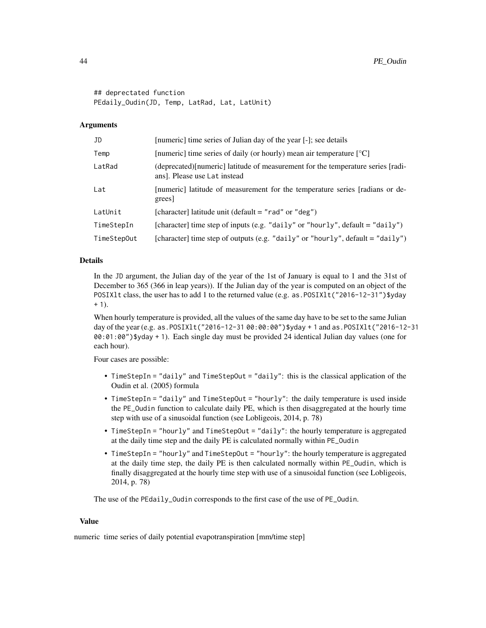```
## deprectated function
PEdaily_Oudin(JD, Temp, LatRad, Lat, LatUnit)
```
#### Arguments

| JD          | [numeric] time series of Julian day of the year [-]; see details                                                 |
|-------------|------------------------------------------------------------------------------------------------------------------|
| Temp        | [numeric] time series of daily (or hourly) mean air temperature $[^{\circ}C]$                                    |
| LatRad      | (deprecated) [numeric] latitude of measurement for the temperature series [radi-<br>ans]. Please use Lat instead |
| Lat         | [numeric] latitude of measurement for the temperature series [radians or de-<br>grees                            |
| LatUnit     | [character] latitude unit (default = "rad" or "deg")                                                             |
| TimeStepIn  | [character] time step of inputs (e.g. "daily" or "hourly", default = "daily")                                    |
| TimeStepOut | [character] time step of outputs (e.g. "daily" or "hourly", default = "daily")                                   |

## Details

In the JD argument, the Julian day of the year of the 1st of January is equal to 1 and the 31st of December to 365 (366 in leap years)). If the Julian day of the year is computed on an object of the POSIX1t class, the user has to add 1 to the returned value (e.g. as . POSIX1t ("2016-12-31") \$yday  $+ 1$ ).

When hourly temperature is provided, all the values of the same day have to be set to the same Julian day of the year (e.g. as.POSIXlt("2016-12-31 00:00:00")\$yday + 1 and as.POSIXlt("2016-12-31 00:01:00")\$yday + 1). Each single day must be provided 24 identical Julian day values (one for each hour).

Four cases are possible:

- TimeStepIn = "daily" and TimeStepOut = "daily": this is the classical application of the Oudin et al. (2005) formula
- TimeStepIn = "daily" and TimeStepOut = "hourly": the daily temperature is used inside the PE\_Oudin function to calculate daily PE, which is then disaggregated at the hourly time step with use of a sinusoidal function (see Lobligeois, 2014, p. 78)
- TimeStepIn = "hourly" and TimeStepOut = "daily": the hourly temperature is aggregated at the daily time step and the daily PE is calculated normally within PE\_Oudin
- TimeStepIn = "hourly" and TimeStepOut = "hourly": the hourly temperature is aggregated at the daily time step, the daily PE is then calculated normally within PE\_Oudin, which is finally disaggregated at the hourly time step with use of a sinusoidal function (see Lobligeois, 2014, p. 78)

The use of the PEdaily\_Oudin corresponds to the first case of the use of PE\_Oudin.

#### Value

numeric time series of daily potential evapotranspiration [mm/time step]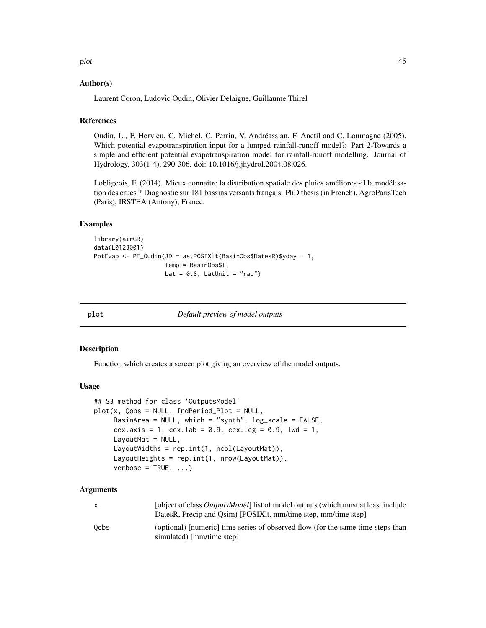plot that the contract of the contract of the contract of the contract of the contract of the contract of the contract of the contract of the contract of the contract of the contract of the contract of the contract of the

### Author(s)

Laurent Coron, Ludovic Oudin, Olivier Delaigue, Guillaume Thirel

## References

Oudin, L., F. Hervieu, C. Michel, C. Perrin, V. Andréassian, F. Anctil and C. Loumagne (2005). Which potential evapotranspiration input for a lumped rainfall-runoff model?: Part 2-Towards a simple and efficient potential evapotranspiration model for rainfall-runoff modelling. Journal of Hydrology, 303(1-4), 290-306. doi: 10.1016/j.jhydrol.2004.08.026.

Lobligeois, F. (2014). Mieux connaitre la distribution spatiale des pluies améliore-t-il la modélisation des crues ? Diagnostic sur 181 bassins versants français. PhD thesis (in French), AgroParisTech (Paris), IRSTEA (Antony), France.

#### Examples

```
library(airGR)
data(L0123001)
PotEvap <- PE_Oudin(JD = as.POSIXlt(BasinObs$DatesR)$yday + 1,
                    Temp = BasinObs$T,
                    Lat = 0.8, LatUnit = "rad")
```
plot *Default preview of model outputs*

#### Description

Function which creates a screen plot giving an overview of the model outputs.

#### Usage

```
## S3 method for class 'OutputsModel'
plot(x, Qobs = NULL, IndPeriod\_Plot = NULL,BasinArea = NULL, which = "synth", log\_scale = FALSE,
     cex.axis = 1, cex.lab = 0.9, cex.leg = 0.9, lwd = 1,
     LayoutMat = NULL,
     LayoutWidths = rep.int(1, ncol(LayoutMat)),
     LayoutHeights = rep.int(1, nrow(LayoutMat)),
     verbose = TRUE, ...)
```
## Arguments

|      | [object of class <i>OutputsModel</i> ] list of model outputs (which must at least include<br>DatesR, Precip and Osim) [POSIXIt, mm/time step, mm/time step] |
|------|-------------------------------------------------------------------------------------------------------------------------------------------------------------|
| 0obs | (optional) [numeric] time series of observed flow (for the same time steps than<br>simulated) [mm/time step]                                                |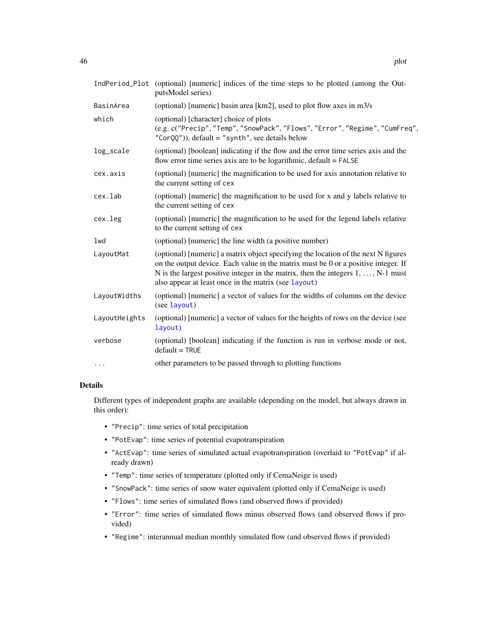|               | IndPeriod_Plot (optional) [numeric] indices of the time steps to be plotted (among the Out-<br>putsModel series)                                                                                                                                                                                                             |
|---------------|------------------------------------------------------------------------------------------------------------------------------------------------------------------------------------------------------------------------------------------------------------------------------------------------------------------------------|
| BasinArea     | (optional) [numeric] basin area [km2], used to plot flow axes in m3/s                                                                                                                                                                                                                                                        |
| which         | (optional) [character] choice of plots<br>(e.g. c("Precip", "Temp", "SnowPack", "Flows", "Error", "Regime", "CumFreq",<br>$"CorQQ'$ ), default = "synth", see details below                                                                                                                                                  |
| log_scale     | (optional) [boolean] indicating if the flow and the error time series axis and the<br>flow error time series axis are to be logarithmic, default = FALSE                                                                                                                                                                     |
| cex.axis      | (optional) [numeric] the magnification to be used for axis annotation relative to<br>the current setting of cex                                                                                                                                                                                                              |
| cex.lab       | (optional) [numeric] the magnification to be used for x and y labels relative to<br>the current setting of cex                                                                                                                                                                                                               |
| cex.leg       | (optional) [numeric] the magnification to be used for the legend labels relative<br>to the current setting of cex                                                                                                                                                                                                            |
| lwd           | (optional) [numeric] the line width (a positive number)                                                                                                                                                                                                                                                                      |
| LayoutMat     | (optional) [numeric] a matrix object specifying the location of the next N figures<br>on the output device. Each value in the matrix must be 0 or a positive integer. If<br>N is the largest positive integer in the matrix, then the integers $1, \ldots, N-1$ must<br>also appear at least once in the matrix (see layout) |
| LayoutWidths  | (optional) [numeric] a vector of values for the widths of columns on the device<br>(see layout)                                                                                                                                                                                                                              |
| LayoutHeights | (optional) [numeric] a vector of values for the heights of rows on the device (see<br>layout)                                                                                                                                                                                                                                |
| verbose       | (optional) [boolean] indicating if the function is run in verbose mode or not,<br>$default = TRUE$                                                                                                                                                                                                                           |
| .             | other parameters to be passed through to plotting functions                                                                                                                                                                                                                                                                  |

## Details

Different types of independent graphs are available (depending on the model, but always drawn in this order):

- "Precip": time series of total precipitation
- "PotEvap": time series of potential evapotranspiration
- "ActEvap": time series of simulated actual evapotranspiration (overlaid to "PotEvap" if already drawn)
- "Temp": time series of temperature (plotted only if CemaNeige is used)
- "SnowPack": time series of snow water equivalent (plotted only if CemaNeige is used)
- "Flows": time series of simulated flows (and observed flows if provided)
- "Error": time series of simulated flows minus observed flows (and observed flows if provided)
- "Regime": interannual median monthly simulated flow (and observed flows if provided)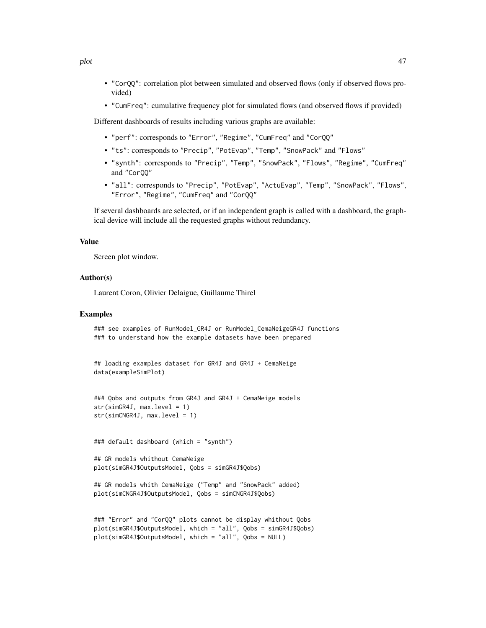- "CorQQ": correlation plot between simulated and observed flows (only if observed flows provided)
- "CumFreq": cumulative frequency plot for simulated flows (and observed flows if provided)

Different dashboards of results including various graphs are available:

- "perf": corresponds to "Error", "Regime", "CumFreq" and "CorQQ"
- "ts": corresponds to "Precip", "PotEvap", "Temp", "SnowPack" and "Flows"
- "synth": corresponds to "Precip", "Temp", "SnowPack", "Flows", "Regime", "CumFreq" and "CorQQ"
- "all": corresponds to "Precip", "PotEvap", "ActuEvap", "Temp", "SnowPack", "Flows", "Error", "Regime", "CumFreq" and "CorQQ"

If several dashboards are selected, or if an independent graph is called with a dashboard, the graphical device will include all the requested graphs without redundancy.

### Value

Screen plot window.

### Author(s)

Laurent Coron, Olivier Delaigue, Guillaume Thirel

## Examples

```
### see examples of RunModel_GR4J or RunModel_CemaNeigeGR4J functions
### to understand how the example datasets have been prepared
```

```
## loading examples dataset for GR4J and GR4J + CemaNeige
data(exampleSimPlot)
```

```
### Qobs and outputs from GR4J and GR4J + CemaNeige models
str(simGR4J, max.level = 1)
str(simCNGR4J, max.level = 1)
```
### default dashboard (which = "synth")

```
## GR models whithout CemaNeige
plot(simGR4J$OutputsModel, Qobs = simGR4J$Qobs)
```

```
## GR models whith CemaNeige ("Temp" and "SnowPack" added)
plot(simCNGR4J$OutputsModel, Qobs = simCNGR4J$Qobs)
```

```
### "Error" and "CorQQ" plots cannot be display whithout Qobs
plot(simGR4J$OutputsModel, which = "all", Qobs = simGR4J$Qobs)
plot(simGR4J$OutputsModel, which = "all", Qobs = NULL)
```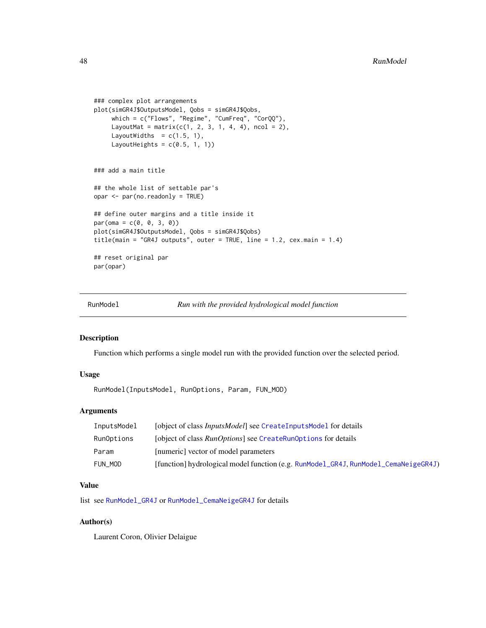```
### complex plot arrangements
plot(simGR4J$OutputsModel, Qobs = simGR4J$Qobs,
     which = c("Flows", "Regime", "CumFreq", "CorQQ"),
     LayoutMat = matrix(c(1, 2, 3, 1, 4, 4), ncol = 2),
     LayoutWidths = c(1.5, 1),
     LayoutHeights = c(0.5, 1, 1))
### add a main title
## the whole list of settable par's
opar <- par(no.readonly = TRUE)
## define outer margins and a title inside it
par(oma = c(0, 0, 3, 0))plot(simGR4J$OutputsModel, Qobs = simGR4J$Qobs)
title(main = "GR4J outputs", outer = TRUE, line = 1.2, cex.main = 1.4)
## reset original par
par(opar)
```
RunModel *Run with the provided hydrological model function*

#### Description

Function which performs a single model run with the provided function over the selected period.

## Usage

RunModel(InputsModel, RunOptions, Param, FUN\_MOD)

## Arguments

| InputsModel | [object of class <i>InputsModel</i> ] see CreateInputsModel for details             |
|-------------|-------------------------------------------------------------------------------------|
| RunOptions  | [object of class <i>RunOptions</i> ] see CreateRunOptions for details               |
| Param       | [numeric] vector of model parameters                                                |
| FUN MOD     | [function] hydrological model function (e.g. RunModel_GR4J, RunModel_CemaNeigeGR4J) |

### Value

list see [RunModel\\_GR4J](#page-75-0) or [RunModel\\_CemaNeigeGR4J](#page-54-0) for details

## Author(s)

Laurent Coron, Olivier Delaigue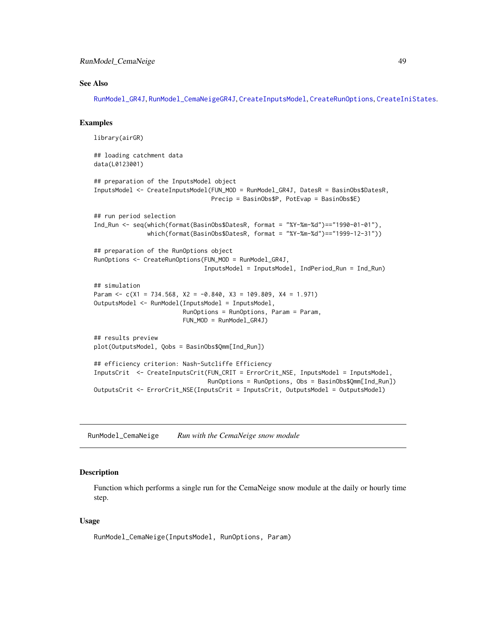## RunModel\_CemaNeige 49

#### See Also

[RunModel\\_GR4J](#page-75-0), [RunModel\\_CemaNeigeGR4J](#page-54-0), [CreateInputsModel](#page-20-0), [CreateRunOptions](#page-23-0), [CreateIniStates](#page-13-0).

### Examples

```
library(airGR)
## loading catchment data
data(L0123001)
## preparation of the InputsModel object
InputsModel <- CreateInputsModel(FUN_MOD = RunModel_GR4J, DatesR = BasinObs$DatesR,
                                 Precip = BasinObs$P, PotEvap = BasinObs$E)
## run period selection
Ind_Run <- seq(which(format(BasinObs$DatesR, format = "%Y-%m-%d")=="1990-01-01"),
               which(format(BasinObs$DatesR, format = "%Y-%m-%d")=="1999-12-31"))
## preparation of the RunOptions object
RunOptions <- CreateRunOptions(FUN_MOD = RunModel_GR4J,
                               InputsModel = InputsModel, IndPeriod_Run = Ind_Run)
## simulation
Param \leq c(X1 = 734.568, X2 = -0.840, X3 = 109.809, X4 = 1.971)
OutputsModel <- RunModel(InputsModel = InputsModel,
                         RunOptions = RunOptions, Param = Param,
                         FUN_MOD = RunModel_GR4J)
## results preview
plot(OutputsModel, Qobs = BasinObs$Qmm[Ind_Run])
## efficiency criterion: Nash-Sutcliffe Efficiency
InputsCrit <- CreateInputsCrit(FUN_CRIT = ErrorCrit_NSE, InputsModel = InputsModel,
                                RunOptions = RunOptions, Obs = BasinObs$Qmm[Ind_Run])
OutputsCrit <- ErrorCrit_NSE(InputsCrit = InputsCrit, OutputsModel = OutputsModel)
```
<span id="page-48-0"></span>RunModel\_CemaNeige *Run with the CemaNeige snow module*

#### Description

Function which performs a single run for the CemaNeige snow module at the daily or hourly time step.

## Usage

```
RunModel_CemaNeige(InputsModel, RunOptions, Param)
```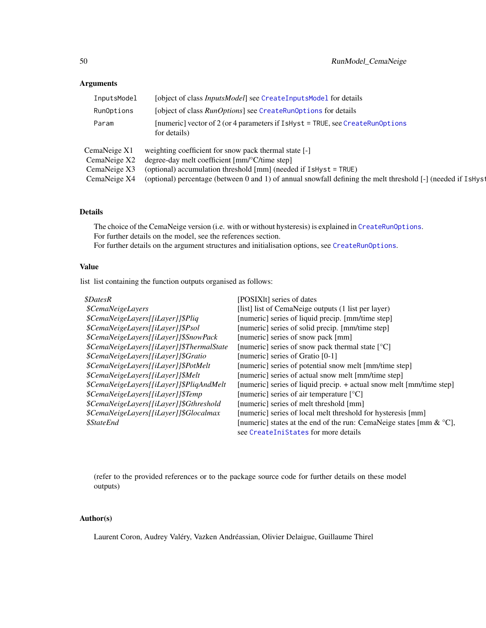## Arguments

| InputsModel  | [object of class <i>InputsModel</i> ] see CreateInputsModel for details                                      |
|--------------|--------------------------------------------------------------------------------------------------------------|
| RunOptions   | [object of class <i>RunOptions</i> ] see CreateRunOptions for details                                        |
| Param        | [numeric] vector of 2 (or 4 parameters if $I$ sHyst = TRUE, see CreateRunOptions<br>for details)             |
| CemaNeige X1 | weighting coefficient for snow pack thermal state [-]                                                        |
| CemaNeige X2 | degree-day melt coefficient [mm/°C/time step]                                                                |
| CemaNeige X3 | (optional) accumulation threshold [mm] (needed if IsHyst = TRUE)                                             |
| CemaNeige X4 | (optional) percentage (between 0 and 1) of annual snowfall defining the melt threshold [-] (needed if IsHyst |

## Details

The choice of the CemaNeige version (i.e. with or without hysteresis) is explained in [CreateRunOptions](#page-23-0). For further details on the model, see the references section. For further details on the argument structures and initialisation options, see [CreateRunOptions](#page-23-0).

# Value

list list containing the function outputs organised as follows:

| <i><b>\$DatesR</b></i>                    | [POSIX]t] series of dates                                                       |
|-------------------------------------------|---------------------------------------------------------------------------------|
| <i><b>\$CemaNeigeLayers</b></i>           | [list] list of CemaNeige outputs (1 list per layer)                             |
| \$CemaNeigeLayers[[iLayer]]\$Pliq         | [numeric] series of liquid precip. [mm/time step]                               |
| \$CemaNeigeLayers[[iLayer]]\$Psol         | [numeric] series of solid precip. [mm/time step]                                |
| \$CemaNeigeLayers[[iLayer]]\$SnowPack     | [numeric] series of snow pack [mm]                                              |
| \$CemaNeigeLayers[[iLayer]]\$ThermalState | [numeric] series of snow pack thermal state $[°C]$                              |
| \$CemaNeigeLayers[[iLayer]]\$Gratio       | [numeric] series of Gratio [0-1]                                                |
| \$CemaNeigeLayers[[iLayer]]\$PotMelt      | [numeric] series of potential snow melt [mm/time step]                          |
| \$CemaNeigeLayers[[iLayer]]\$Melt         | [numeric] series of actual snow melt [mm/time step]                             |
| \$CemaNeigeLayers[[iLayer]]\$PliqAndMelt  | [numeric] series of liquid precip. + actual snow melt [mm/time step]            |
| \$CemaNeigeLayers[[iLayer]]\$Temp         | [numeric] series of air temperature [°C]                                        |
| \$CemaNeigeLayers[[iLayer]]\$Gthreshold   | [numeric] series of melt threshold [mm]                                         |
| \$CemaNeigeLayers[[iLayer]]\$Glocalmax    | [numeric] series of local melt threshold for hysteresis [mm]                    |
| <i><b>\$StateEnd</b></i>                  | [numeric] states at the end of the run: CemaNeige states [mm $\&$ $\degree$ C], |
|                                           | see CreateIniStates for more details                                            |

(refer to the provided references or to the package source code for further details on these model outputs)

## Author(s)

Laurent Coron, Audrey Valéry, Vazken Andréassian, Olivier Delaigue, Guillaume Thirel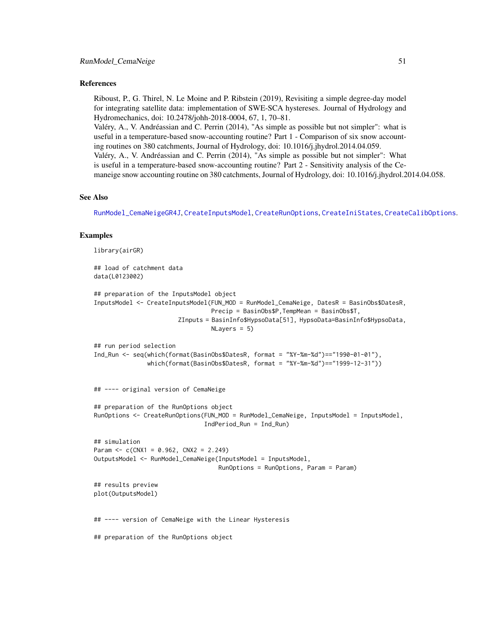#### References

Riboust, P., G. Thirel, N. Le Moine and P. Ribstein (2019), Revisiting a simple degree-day model for integrating satellite data: implementation of SWE-SCA hystereses. Journal of Hydrology and Hydromechanics, doi: 10.2478/johh-2018-0004, 67, 1, 70–81. Valéry, A., V. Andréassian and C. Perrin (2014), "As simple as possible but not simpler": what is useful in a temperature-based snow-accounting routine? Part 1 - Comparison of six snow account-

ing routines on 380 catchments, Journal of Hydrology, doi: 10.1016/j.jhydrol.2014.04.059. Valéry, A., V. Andréassian and C. Perrin (2014), "As simple as possible but not simpler": What is useful in a temperature-based snow-accounting routine? Part 2 - Sensitivity analysis of the Cemaneige snow accounting routine on 380 catchments, Journal of Hydrology, doi: 10.1016/j.jhydrol.2014.04.058.

#### See Also

[RunModel\\_CemaNeigeGR4J](#page-54-0), [CreateInputsModel](#page-20-0), [CreateRunOptions](#page-23-0), [CreateIniStates](#page-13-0), [CreateCalibOptions](#page-10-0).

#### Examples

```
library(airGR)
## load of catchment data
data(L0123002)
## preparation of the InputsModel object
InputsModel <- CreateInputsModel(FUN_MOD = RunModel_CemaNeige, DatesR = BasinObs$DatesR,
                                Precip = BasinObs$P,TempMean = BasinObs$T,
                       ZInputs = BasinInfo$HypsoData[51], HypsoData=BasinInfo$HypsoData,
                                 NLayers = 5)
## run period selection
Ind_Run <- seq(which(format(BasinObs$DatesR, format = "%Y-%m-%d")=="1990-01-01"),
               which(format(BasinObs$DatesR, format = "%Y-%m-%d")=="1999-12-31"))
## ---- original version of CemaNeige
## preparation of the RunOptions object
```

```
RunOptions <- CreateRunOptions(FUN_MOD = RunModel_CemaNeige, InputsModel = InputsModel,
                               IndPeriod_Run = Ind_Run)
## simulation
Param <-c(CNX1 = 0.962, CNX2 = 2.249)OutputsModel <- RunModel_CemaNeige(InputsModel = InputsModel,
                                   RunOptions = RunOptions, Param = Param)
```

```
## results preview
plot(OutputsModel)
```
## ---- version of CemaNeige with the Linear Hysteresis

## preparation of the RunOptions object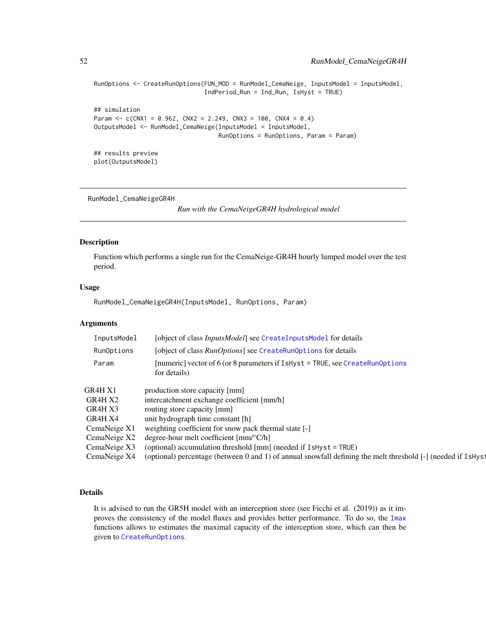```
RunOptions <- CreateRunOptions(FUN_MOD = RunModel_CemaNeige, InputsModel = InputsModel,
                               IndPeriod_Run = Ind_Run, IsHyst = TRUE)
## simulation
Param <- c(CNX1 = 0.962, CNX2 = 2.249, CNX3 = 100, CNX4 = 0.4)
OutputsModel <- RunModel_CemaNeige(InputsModel = InputsModel,
                                   RunOptions = RunOptions, Param = Param)
## results preview
```
plot(OutputsModel)

<span id="page-51-0"></span>RunModel\_CemaNeigeGR4H

*Run with the CemaNeigeGR4H hydrological model*

## Description

Function which performs a single run for the CemaNeige-GR4H hourly lumped model over the test period.

## Usage

RunModel\_CemaNeigeGR4H(InputsModel, RunOptions, Param)

## Arguments

| InputsModel  | [object of class <i>InputsModel</i> ] see CreateInputsModel for details                                      |
|--------------|--------------------------------------------------------------------------------------------------------------|
| RunOptions   | [object of class <i>RunOptions</i> ] see CreateRunOptions for details                                        |
| Param        | [numeric] vector of 6 (or 8 parameters if $I$ sHyst = TRUE, see CreateRunOptions<br>for details)             |
| GR4H X1      | production store capacity [mm]                                                                               |
| GR4H X2      | intercatchment exchange coefficient [mm/h]                                                                   |
| GR4H X3      | routing store capacity [mm]                                                                                  |
| GR4H X4      | unit hydrograph time constant [h]                                                                            |
| CemaNeige X1 | weighting coefficient for snow pack thermal state [-]                                                        |
| CemaNeige X2 | degree-hour melt coefficient $\text{[mm]^{\circ}C/h}$                                                        |
| CemaNeige X3 | (optional) accumulation threshold [mm] (needed if IsHyst = TRUE)                                             |
| CemaNeige X4 | (optional) percentage (between 0 and 1) of annual snowfall defining the melt threshold [-] (needed if IsHyst |

## Details

It is advised to run the GR5H model with an interception store (see Ficchi et al. (2019)) as it improves the consistency of the model fluxes and provides better performance. To do so, the [Imax](#page-39-0) functions allows to estimates the maximal capacity of the interception store, which can then be given to [CreateRunOptions](#page-23-0).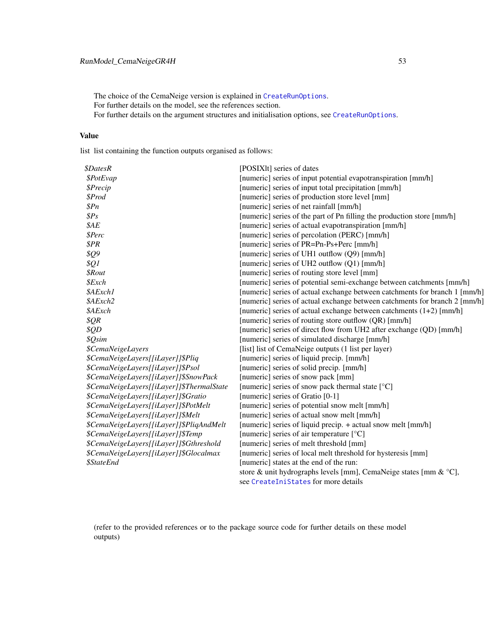The choice of the CemaNeige version is explained in [CreateRunOptions](#page-23-0). For further details on the model, see the references section. For further details on the argument structures and initialisation options, see [CreateRunOptions](#page-23-0).

## Value

list list containing the function outputs organised as follows:

| <i><b>\$DatesR</b></i>                    | [POSIX]t] series of dates                                                  |
|-------------------------------------------|----------------------------------------------------------------------------|
| \$PotEvap                                 | [numeric] series of input potential evapotranspiration [mm/h]              |
| <i><b>\$Precip</b></i>                    | [numeric] series of input total precipitation [mm/h]                       |
| \$Prod                                    | [numeric] series of production store level [mm]                            |
| \$Pn\$                                    | [numeric] series of net rainfall [mm/h]                                    |
| $\$Ps$                                    | [numeric] series of the part of Pn filling the production store [mm/h]     |
| \$AE                                      | [numeric] series of actual evapotranspiration [mm/h]                       |
| \$Perc                                    | [numeric] series of percolation (PERC) [mm/h]                              |
| \$PR                                      | [numeric] series of PR=Pn-Ps+Perc [mm/h]                                   |
| \$Q9                                      | [numeric] series of UH1 outflow (Q9) [mm/h]                                |
| \$Q1                                      | [numeric] series of UH2 outflow (Q1) [mm/h]                                |
| <i><b>\$Rout</b></i>                      | [numeric] series of routing store level [mm]                               |
| \$Exch                                    | [numeric] series of potential semi-exchange between catchments [mm/h]      |
| \$AExch1                                  | [numeric] series of actual exchange between catchments for branch 1 [mm/h] |
| \$AExch2                                  | [numeric] series of actual exchange between catchments for branch 2 [mm/h] |
| \$AExch                                   | [numeric] series of actual exchange between catchments (1+2) [mm/h]        |
| \$QR\$                                    | [numeric] series of routing store outflow (QR) [mm/h]                      |
| \$QD                                      | [numeric] series of direct flow from UH2 after exchange (QD) [mm/h]        |
| \$Qsim                                    | [numeric] series of simulated discharge [mm/h]                             |
| <i><b>\$CemaNeigeLayers</b></i>           | [list] list of CemaNeige outputs (1 list per layer)                        |
| \$CemaNeigeLayers[[iLayer]]\$Pliq         | [numeric] series of liquid precip. [mm/h]                                  |
| \$CemaNeigeLayers[[iLayer]]\$Psol         | [numeric] series of solid precip. [mm/h]                                   |
| \$CemaNeigeLayers[[iLayer]]\$SnowPack     | [numeric] series of snow pack [mm]                                         |
| \$CemaNeigeLayers[[iLayer]]\$ThermalState | [numeric] series of snow pack thermal state [°C]                           |
| \$CemaNeigeLayers[[iLayer]]\$Gratio       | [numeric] series of Gratio [0-1]                                           |
| \$CemaNeigeLayers[[iLayer]]\$PotMelt      | [numeric] series of potential snow melt [mm/h]                             |
| \$CemaNeigeLayers[[iLayer]]\$Melt         | [numeric] series of actual snow melt [mm/h]                                |
| \$CemaNeigeLayers[[iLayer]]\$PliqAndMelt  | [numeric] series of liquid precip. + actual snow melt [mm/h]               |
| \$CemaNeigeLayers[[iLayer]]\$Temp         | [numeric] series of air temperature [°C]                                   |
| \$CemaNeigeLayers[[iLayer]]\$Gthreshold   | [numeric] series of melt threshold [mm]                                    |
| \$CemaNeigeLayers[[iLayer]]\$Glocalmax    | [numeric] series of local melt threshold for hysteresis [mm]               |
| <i><b>\$StateEnd</b></i>                  | [numeric] states at the end of the run:                                    |
|                                           | store & unit hydrographs levels [mm], CemaNeige states [mm & °C],          |
|                                           | see CreateIniStates for more details                                       |

(refer to the provided references or to the package source code for further details on these model outputs)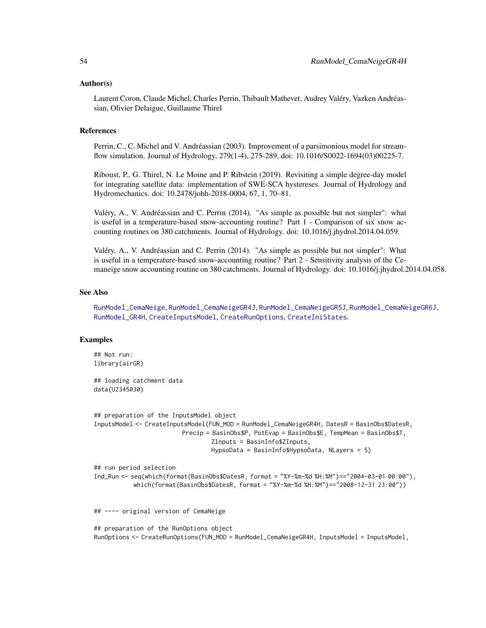#### Author(s)

Laurent Coron, Claude Michel, Charles Perrin, Thibault Mathevet, Audrey Valéry, Vazken Andréassian, Olivier Delaigue, Guillaume Thirel

## References

Perrin, C., C. Michel and V. Andréassian (2003). Improvement of a parsimonious model for streamflow simulation. Journal of Hydrology, 279(1-4), 275-289, doi: 10.1016/S0022-1694(03)00225-7.

Riboust, P., G. Thirel, N. Le Moine and P. Ribstein (2019). Revisiting a simple degree-day model for integrating satellite data: implementation of SWE-SCA hystereses. Journal of Hydrology and Hydromechanics. doi: 10.2478/johh-2018-0004, 67, 1, 70–81.

Valéry, A., V. Andréassian and C. Perrin (2014). "As simple as possible but not simpler": what is useful in a temperature-based snow-accounting routine? Part 1 - Comparison of six snow accounting routines on 380 catchments. Journal of Hydrology. doi: 10.1016/j.jhydrol.2014.04.059.

Valéry, A., V. Andréassian and C. Perrin (2014). "As simple as possible but not simpler": What is useful in a temperature-based snow-accounting routine? Part 2 - Sensitivity analysis of the Cemaneige snow accounting routine on 380 catchments. Journal of Hydrology. doi: 10.1016/j.jhydrol.2014.04.058.

## See Also

[RunModel\\_CemaNeige](#page-48-0), [RunModel\\_CemaNeigeGR4J](#page-54-0), [RunModel\\_CemaNeigeGR5J](#page-61-0), [RunModel\\_CemaNeigeGR6J](#page-64-0), [RunModel\\_GR4H](#page-73-0), [CreateInputsModel](#page-20-0), [CreateRunOptions](#page-23-0), [CreateIniStates](#page-13-0).

### Examples

## Not run: library(airGR)

## loading catchment data data(U2345030)

```
## preparation of the InputsModel object
InputsModel <- CreateInputsModel(FUN_MOD = RunModel_CemaNeigeGR4H, DatesR = BasinObs$DatesR,
                         Precip = BasinObs$P, PotEvap = BasinObs$E, TempMean = BasinObs$T,
                                 ZInputs = BasinInfo$ZInputs,
                                 HypsoData = BasinInfo$HypsoData, NLayers = 5)
```

```
## run period selection
Ind_Run <- seq(which(format(BasinObs$DatesR, format = "%Y-%m-%d %H:%M")=="2004-03-01 00:00"),
           which(format(BasinObs$DatesR, format = "%Y-%m-%d %H:%M")=="2008-12-31 23:00"))
```
## ---- original version of CemaNeige

```
## preparation of the RunOptions object
RunOptions <- CreateRunOptions(FUN_MOD = RunModel_CemaNeigeGR4H, InputsModel = InputsModel,
```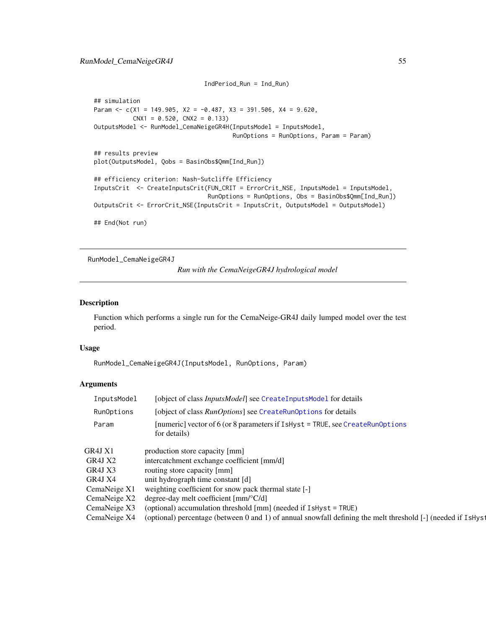```
IndPeriod_Run = Ind_Run)
## simulation
Param <- c(X1 = 149.905, X2 = -0.487, X3 = 391.506, X4 = 9.620,
           CNX1 = 0.520, CNX2 = 0.133OutputsModel <- RunModel_CemaNeigeGR4H(InputsModel = InputsModel,
                                       RunOptions = RunOptions, Param = Param)
## results preview
plot(OutputsModel, Qobs = BasinObs$Qmm[Ind_Run])
## efficiency criterion: Nash-Sutcliffe Efficiency
InputsCrit <- CreateInputsCrit(FUN_CRIT = ErrorCrit_NSE, InputsModel = InputsModel,
                                RunOptions = RunOptions, Obs = BasinObs$Qmm[Ind_Run])
OutputsCrit <- ErrorCrit_NSE(InputsCrit = InputsCrit, OutputsModel = OutputsModel)
## End(Not run)
```

```
RunModel_CemaNeigeGR4J
```
*Run with the CemaNeigeGR4J hydrological model*

#### Description

Function which performs a single run for the CemaNeige-GR4J daily lumped model over the test period.

## Usage

RunModel\_CemaNeigeGR4J(InputsModel, RunOptions, Param)

## Arguments

| InputsModel  | [object of class <i>InputsModel</i> ] see CreateInputsMode1 for details                                                  |
|--------------|--------------------------------------------------------------------------------------------------------------------------|
| RunOptions   | [object of class <i>RunOptions</i> ] see CreateRunOptions for details                                                    |
| Param        | [numeric] vector of 6 (or 8 parameters if $I$ sHyst = TRUE, see CreateRunOptions<br>for details)                         |
| GR4J X1      | production store capacity [mm]                                                                                           |
| GR4J X2      | intercatchment exchange coefficient [mm/d]                                                                               |
| GR4J X3      | routing store capacity [mm]                                                                                              |
| GR4J X4      | unit hydrograph time constant [d]                                                                                        |
| CemaNeige X1 | weighting coefficient for snow pack thermal state [-]                                                                    |
| CemaNeige X2 | degree-day melt coefficient [mm/°C/d]                                                                                    |
| CemaNeige X3 | (optional) accumulation threshold [mm] (needed if IsHyst = TRUE)                                                         |
| CemaNeige X4 | (optional) percentage (between 0 and 1) of annual snowfall defining the melt threshold [-] (needed if IsHys <sup>1</sup> |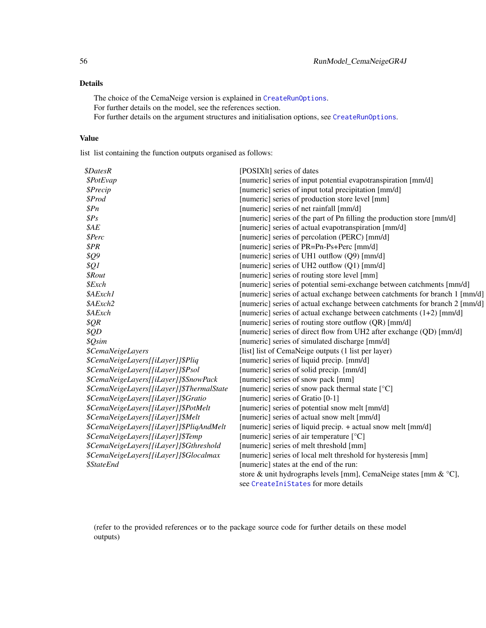## Details

The choice of the CemaNeige version is explained in [CreateRunOptions](#page-23-0). For further details on the model, see the references section. For further details on the argument structures and initialisation options, see [CreateRunOptions](#page-23-0).

## Value

list list containing the function outputs organised as follows:

| <i><b>\$DatesR</b></i>                    | [POSIX]t] series of dates                                                  |
|-------------------------------------------|----------------------------------------------------------------------------|
| \$PotEvap                                 | [numeric] series of input potential evapotranspiration [mm/d]              |
| <i><b>\$Precip</b></i>                    | [numeric] series of input total precipitation [mm/d]                       |
| \$Prod                                    | [numeric] series of production store level [mm]                            |
| \$Pn\$                                    | [numeric] series of net rainfall [mm/d]                                    |
| $\$Ps$                                    | [numeric] series of the part of Pn filling the production store [mm/d]     |
| \$AE                                      | [numeric] series of actual evapotranspiration [mm/d]                       |
| \$Perc                                    | [numeric] series of percolation (PERC) [mm/d]                              |
| \$PR                                      | [numeric] series of PR=Pn-Ps+Perc [mm/d]                                   |
| \$Q9                                      | [numeric] series of UH1 outflow (Q9) [mm/d]                                |
| \$Q1                                      | [numeric] series of UH2 outflow (Q1) [mm/d]                                |
| <i><b>\$Rout</b></i>                      | [numeric] series of routing store level [mm]                               |
| \$Exch                                    | [numeric] series of potential semi-exchange between catchments [mm/d]      |
| \$AExch1                                  | [numeric] series of actual exchange between catchments for branch 1 [mm/d] |
| \$AExch2                                  | [numeric] series of actual exchange between catchments for branch 2 [mm/d] |
| \$AExch                                   | [numeric] series of actual exchange between catchments (1+2) [mm/d]        |
| \$QR\$                                    | [numeric] series of routing store outflow (QR) [mm/d]                      |
| \$QD                                      | [numeric] series of direct flow from UH2 after exchange (QD) [mm/d]        |
| \$Qsim                                    | [numeric] series of simulated discharge [mm/d]                             |
| <i><b>\$CemaNeigeLayers</b></i>           | [list] list of CemaNeige outputs (1 list per layer)                        |
| \$CemaNeigeLayers[[iLayer]]\$Pliq         | [numeric] series of liquid precip. [mm/d]                                  |
| \$CemaNeigeLayers[[iLayer]]\$Psol         | [numeric] series of solid precip. [mm/d]                                   |
| \$CemaNeigeLayers[[iLayer]]\$SnowPack     | [numeric] series of snow pack [mm]                                         |
| \$CemaNeigeLayers[[iLayer]]\$ThermalState | [numeric] series of snow pack thermal state [°C]                           |
| \$CemaNeigeLayers[[iLayer]]\$Gratio       | [numeric] series of Gratio [0-1]                                           |
| \$CemaNeigeLayers[[iLayer]]\$PotMelt      | [numeric] series of potential snow melt [mm/d]                             |
| \$CemaNeigeLayers[[iLayer]]\$Melt         | [numeric] series of actual snow melt [mm/d]                                |
| \$CemaNeigeLayers[[iLayer]]\$PliqAndMelt  | [numeric] series of liquid precip. + actual snow melt [mm/d]               |
| \$CemaNeigeLayers[[iLayer]]\$Temp         | [numeric] series of air temperature [°C]                                   |
| \$CemaNeigeLayers[[iLayer]]\$Gthreshold   | [numeric] series of melt threshold [mm]                                    |
| \$CemaNeigeLayers[[iLayer]]\$Glocalmax    | [numeric] series of local melt threshold for hysteresis [mm]               |
| <i><b>\$StateEnd</b></i>                  | [numeric] states at the end of the run:                                    |
|                                           | store & unit hydrographs levels [mm], CemaNeige states [mm & °C],          |
|                                           | see CreateIniStates for more details                                       |

(refer to the provided references or to the package source code for further details on these model outputs)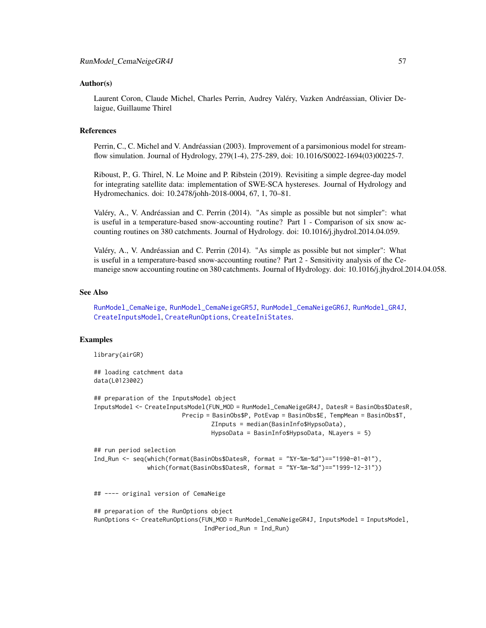#### Author(s)

Laurent Coron, Claude Michel, Charles Perrin, Audrey Valéry, Vazken Andréassian, Olivier Delaigue, Guillaume Thirel

## References

Perrin, C., C. Michel and V. Andréassian (2003). Improvement of a parsimonious model for streamflow simulation. Journal of Hydrology, 279(1-4), 275-289, doi: 10.1016/S0022-1694(03)00225-7.

Riboust, P., G. Thirel, N. Le Moine and P. Ribstein (2019). Revisiting a simple degree-day model for integrating satellite data: implementation of SWE-SCA hystereses. Journal of Hydrology and Hydromechanics. doi: 10.2478/johh-2018-0004, 67, 1, 70–81.

Valéry, A., V. Andréassian and C. Perrin (2014). "As simple as possible but not simpler": what is useful in a temperature-based snow-accounting routine? Part 1 - Comparison of six snow accounting routines on 380 catchments. Journal of Hydrology. doi: 10.1016/j.jhydrol.2014.04.059.

Valéry, A., V. Andréassian and C. Perrin (2014). "As simple as possible but not simpler": What is useful in a temperature-based snow-accounting routine? Part 2 - Sensitivity analysis of the Cemaneige snow accounting routine on 380 catchments. Journal of Hydrology. doi: 10.1016/j.jhydrol.2014.04.058.

## See Also

[RunModel\\_CemaNeige](#page-48-0), [RunModel\\_CemaNeigeGR5J](#page-61-0), [RunModel\\_CemaNeigeGR6J](#page-64-0), [RunModel\\_GR4J](#page-75-0), [CreateInputsModel](#page-20-0), [CreateRunOptions](#page-23-0), [CreateIniStates](#page-13-0).

### Examples

library(airGR)

```
## loading catchment data
data(L0123002)
## preparation of the InputsModel object
InputsModel <- CreateInputsModel(FUN_MOD = RunModel_CemaNeigeGR4J, DatesR = BasinObs$DatesR,
                        Precip = BasinObs$P, PotEvap = BasinObs$E, TempMean = BasinObs$T,
                                 ZInputs = median(BasinInfo$HypsoData),
                                 HypsoData = BasinInfo$HypsoData, NLayers = 5)
## run period selection
Ind_Run <- seq(which(format(BasinObs$DatesR, format = "%Y-%m-%d")=="1990-01-01"),
               which(format(BasinObs$DatesR, format = "%Y-%m-%d")=="1999-12-31"))
## ---- original version of CemaNeige
## preparation of the RunOptions object
RunOptions <- CreateRunOptions(FUN_MOD = RunModel_CemaNeigeGR4J, InputsModel = InputsModel,
                               IndPeriod_Run = Ind_Run)
```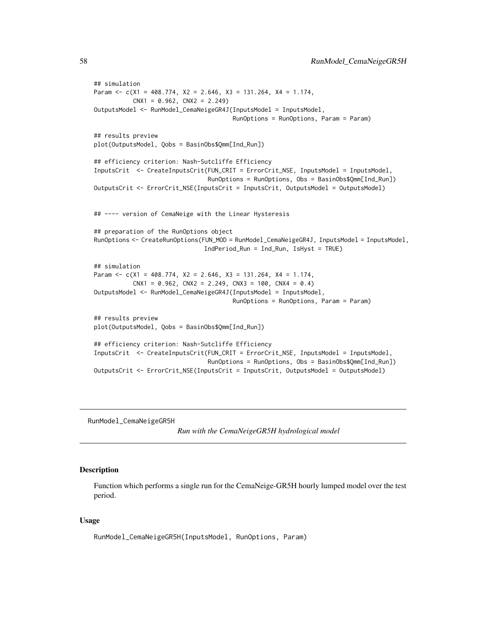```
## simulation
Param <- c(X1 = 408.774, X2 = 2.646, X3 = 131.264, X4 = 1.174,CNX1 = 0.962, CNX2 = 2.249OutputsModel <- RunModel_CemaNeigeGR4J(InputsModel = InputsModel,
                                       RunOptions = RunOptions, Param = Param)
## results preview
plot(OutputsModel, Qobs = BasinObs$Qmm[Ind_Run])
## efficiency criterion: Nash-Sutcliffe Efficiency
InputsCrit <- CreateInputsCrit(FUN_CRIT = ErrorCrit_NSE, InputsModel = InputsModel,
                                RunOptions = RunOptions, Obs = BasinObs$Qmm[Ind_Run])
OutputsCrit <- ErrorCrit_NSE(InputsCrit = InputsCrit, OutputsModel = OutputsModel)
## ---- version of CemaNeige with the Linear Hysteresis
## preparation of the RunOptions object
RunOptions <- CreateRunOptions(FUN_MOD = RunModel_CemaNeigeGR4J, InputsModel = InputsModel,
                               IndPeriod_Run = Ind_Run, IsHyst = TRUE)
## simulation
Param <- c(X1 = 408.774, X2 = 2.646, X3 = 131.264, X4 = 1.174,
          CNX1 = 0.962, CNX2 = 2.249, CNX3 = 100, CNX4 = 0.4)
OutputsModel <- RunModel_CemaNeigeGR4J(InputsModel = InputsModel,
                                       RunOptions = RunOptions, Param = Param)
## results preview
plot(OutputsModel, Qobs = BasinObs$Qmm[Ind_Run])
## efficiency criterion: Nash-Sutcliffe Efficiency
InputsCrit <- CreateInputsCrit(FUN_CRIT = ErrorCrit_NSE, InputsModel = InputsModel,
                                RunOptions = RunOptions, Obs = BasinObs$Qmm[Ind_Run])
OutputsCrit <- ErrorCrit_NSE(InputsCrit = InputsCrit, OutputsModel = OutputsModel)
```
RunModel\_CemaNeigeGR5H

*Run with the CemaNeigeGR5H hydrological model*

### Description

Function which performs a single run for the CemaNeige-GR5H hourly lumped model over the test period.

#### Usage

RunModel\_CemaNeigeGR5H(InputsModel, RunOptions, Param)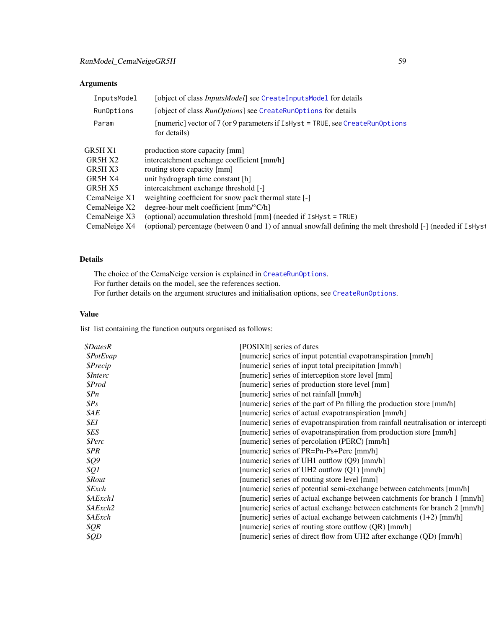# Arguments

| InputsModel  | [object of class <i>InputsModel</i> ] see CreateInputsModel for details                                      |
|--------------|--------------------------------------------------------------------------------------------------------------|
| RunOptions   | [object of class RunOptions] see CreateRunOptions for details                                                |
| Param        | [numeric] vector of $7$ (or 9 parameters if $I$ sHyst = TRUE, see CreateRunOptions<br>for details)           |
| GR5H X1      | production store capacity [mm]                                                                               |
| GR5H X2      | intercatchment exchange coefficient [mm/h]                                                                   |
| GR5H X3      | routing store capacity [mm]                                                                                  |
| GR5H X4      | unit hydrograph time constant [h]                                                                            |
| GR5H X5      | intercatchment exchange threshold [-]                                                                        |
| CemaNeige X1 | weighting coefficient for snow pack thermal state [-]                                                        |
| CemaNeige X2 | degree-hour melt coefficient $\text{[mm]^{\circ}C/h}$                                                        |
| CemaNeige X3 | (optional) accumulation threshold [mm] (needed if IsHyst = TRUE)                                             |
| CemaNeige X4 | (optional) percentage (between 0 and 1) of annual snowfall defining the melt threshold [-] (needed if IsHyst |

# Details

The choice of the CemaNeige version is explained in [CreateRunOptions](#page-23-0). For further details on the model, see the references section. For further details on the argument structures and initialisation options, see [CreateRunOptions](#page-23-0).

# Value

list list containing the function outputs organised as follows:

| <i><b>\$DatesR</b></i> | [POSIXIt] series of dates                                                        |
|------------------------|----------------------------------------------------------------------------------|
| \$PotEvap              | [numeric] series of input potential evapotranspiration [mm/h]                    |
| <i><b>\$Precip</b></i> | [numeric] series of input total precipitation [mm/h]                             |
| <i>SInterc</i>         | [numeric] series of interception store level [mm]                                |
| \$Prod                 | [numeric] series of production store level [mm]                                  |
| \$Pn                   | [numeric] series of net rainfall [mm/h]                                          |
| $\$Ps$                 | [numeric] series of the part of Pn filling the production store [mm/h]           |
| \$AE                   | [numeric] series of actual evapotranspiration [mm/h]                             |
| \$EI                   | [numeric] series of evapotranspiration from rainfall neutralisation or intercept |
| \$ES                   | [numeric] series of evapotranspiration from production store [mm/h]              |
| \$Perc                 | [numeric] series of percolation (PERC) [mm/h]                                    |
| \$PR                   | [numeric] series of PR=Pn-Ps+Perc [mm/h]                                         |
| \$Q9                   | [numeric] series of UH1 outflow (Q9) [mm/h]                                      |
| \$Q1                   | [numeric] series of UH2 outflow $(Q1)$ [mm/h]                                    |
| <i><b>\$Rout</b></i>   | [numeric] series of routing store level [mm]                                     |
| <i><b>\$Exch</b></i>   | [numeric] series of potential semi-exchange between catchments [mm/h]            |
| \$AExch1               | [numeric] series of actual exchange between catchments for branch 1 [mm/h]       |
| \$AExch2               | [numeric] series of actual exchange between catchments for branch 2 [mm/h]       |
| \$AExch                | [numeric] series of actual exchange between catchments $(1+2)$ [mm/h]            |
| \$QR\$                 | [numeric] series of routing store outflow (QR) [mm/h]                            |
| \$QD                   | [numeric] series of direct flow from UH2 after exchange (QD) [mm/h]              |
|                        |                                                                                  |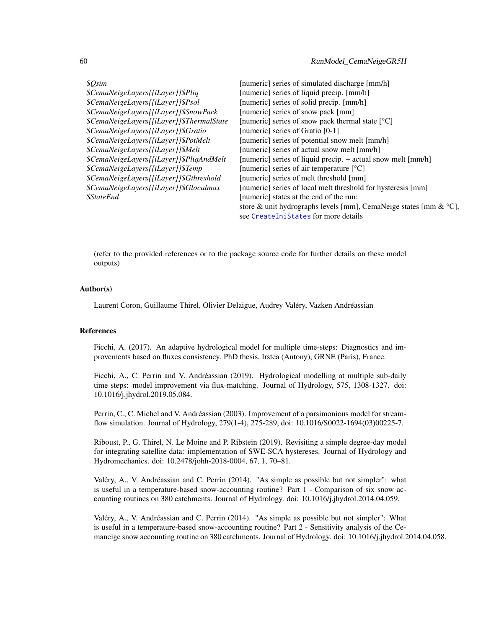| \$Osim                                    | [numeric] series of simulated discharge [mm/h]                              |
|-------------------------------------------|-----------------------------------------------------------------------------|
| \$CemaNeigeLayers[[iLayer]]\$Pliq         | [numeric] series of liquid precip. [mm/h]                                   |
| \$CemaNeigeLayers[[iLayer]]\$Psol         | [numeric] series of solid precip. [mm/h]                                    |
| \$CemaNeigeLayers[[iLayer]]\$SnowPack     | [numeric] series of snow pack [mm]                                          |
| \$CemaNeigeLayers[[iLayer]]\$ThermalState | [numeric] series of snow pack thermal state [°C]                            |
| \$CemaNeigeLayers[[iLayer]]\$Gratio       | [numeric] series of Gratio [0-1]                                            |
| \$CemaNeigeLayers[[iLayer]]\$PotMelt      | [numeric] series of potential snow melt [mm/h]                              |
| \$CemaNeigeLayers[[iLayer]]\$Melt         | [numeric] series of actual snow melt [mm/h]                                 |
| \$CemaNeigeLayers[[iLayer]]\$PliqAndMelt  | [numeric] series of liquid precip. + actual snow melt [mm/h]                |
| \$CemaNeigeLayers[[iLayer]]\$Temp         | [numeric] series of air temperature $[°C]$                                  |
| \$CemaNeigeLayers[[iLayer]]\$Gthreshold   | [numeric] series of melt threshold [mm]                                     |
| \$CemaNeigeLayers[[iLayer]]\$Glocalmax    | [numeric] series of local melt threshold for hysteresis [mm]                |
| <i><b>\$StateEnd</b></i>                  | [numeric] states at the end of the run:                                     |
|                                           | store & unit hydrographs levels [mm], CemaNeige states [mm & $^{\circ}$ C], |
|                                           | see CreateIniStates for more details                                        |

(refer to the provided references or to the package source code for further details on these model outputs)

#### Author(s)

Laurent Coron, Guillaume Thirel, Olivier Delaigue, Audrey Valéry, Vazken Andréassian

## References

Ficchi, A. (2017). An adaptive hydrological model for multiple time-steps: Diagnostics and improvements based on fluxes consistency. PhD thesis, Irstea (Antony), GRNE (Paris), France.

Ficchi, A., C. Perrin and V. Andréassian (2019). Hydrological modelling at multiple sub-daily time steps: model improvement via flux-matching. Journal of Hydrology, 575, 1308-1327. doi: 10.1016/j.jhydrol.2019.05.084.

Perrin, C., C. Michel and V. Andréassian (2003). Improvement of a parsimonious model for streamflow simulation. Journal of Hydrology, 279(1-4), 275-289, doi: 10.1016/S0022-1694(03)00225-7.

Riboust, P., G. Thirel, N. Le Moine and P. Ribstein (2019). Revisiting a simple degree-day model for integrating satellite data: implementation of SWE-SCA hystereses. Journal of Hydrology and Hydromechanics. doi: 10.2478/johh-2018-0004, 67, 1, 70–81.

Valéry, A., V. Andréassian and C. Perrin (2014). "As simple as possible but not simpler": what is useful in a temperature-based snow-accounting routine? Part 1 - Comparison of six snow accounting routines on 380 catchments. Journal of Hydrology. doi: 10.1016/j.jhydrol.2014.04.059.

Valéry, A., V. Andréassian and C. Perrin (2014). "As simple as possible but not simpler": What is useful in a temperature-based snow-accounting routine? Part 2 - Sensitivity analysis of the Cemaneige snow accounting routine on 380 catchments. Journal of Hydrology. doi: 10.1016/j.jhydrol.2014.04.058.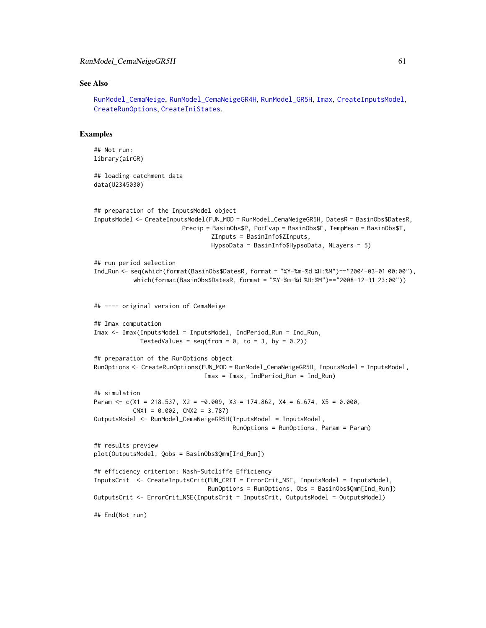#### See Also

[RunModel\\_CemaNeige](#page-48-0), [RunModel\\_CemaNeigeGR4H](#page-51-0), [RunModel\\_GR5H](#page-78-0), [Imax](#page-39-0), [CreateInputsModel](#page-20-0), [CreateRunOptions](#page-23-0), [CreateIniStates](#page-13-0).

#### Examples

```
## Not run:
library(airGR)
## loading catchment data
data(U2345030)
## preparation of the InputsModel object
InputsModel <- CreateInputsModel(FUN_MOD = RunModel_CemaNeigeGR5H, DatesR = BasinObs$DatesR,
                         Precip = BasinObs$P, PotEvap = BasinObs$E, TempMean = BasinObs$T,
                                 ZInputs = BasinInfo$ZInputs,
                                 HypsoData = BasinInfo$HypsoData, NLayers = 5)
## run period selection
Ind_Run <- seq(which(format(BasinObs$DatesR, format = "%Y-%m-%d %H:%M")=="2004-03-01 00:00"),
           which(format(BasinObs$DatesR, format = "%Y-%m-%d %H:%M")=="2008-12-31 23:00"))
## ---- original version of CemaNeige
## Imax computation
Imax <- Imax(InputsModel = InputsModel, IndPeriod_Run = Ind_Run,
             TestedValues = seq(from = 0, to = 3, by = 0.2)## preparation of the RunOptions object
RunOptions <- CreateRunOptions(FUN_MOD = RunModel_CemaNeigeGR5H, InputsModel = InputsModel,
                               Imax = Imax, IndPeriod_Run = Ind_Run)
## simulation
Param <- c(X1 = 218.537, X2 = -0.009, X3 = 174.862, X4 = 6.674, X5 = 0.000,
          CNX1 = 0.002, CNX2 = 3.787OutputsModel <- RunModel_CemaNeigeGR5H(InputsModel = InputsModel,
                                       RunOptions = RunOptions, Param = Param)
## results preview
plot(OutputsModel, Qobs = BasinObs$Qmm[Ind_Run])
## efficiency criterion: Nash-Sutcliffe Efficiency
InputsCrit <- CreateInputsCrit(FUN_CRIT = ErrorCrit_NSE, InputsModel = InputsModel,
                                RunOptions = RunOptions, Obs = BasinObs$Qmm[Ind_Run])
OutputsCrit <- ErrorCrit_NSE(InputsCrit = InputsCrit, OutputsModel = OutputsModel)
## End(Not run)
```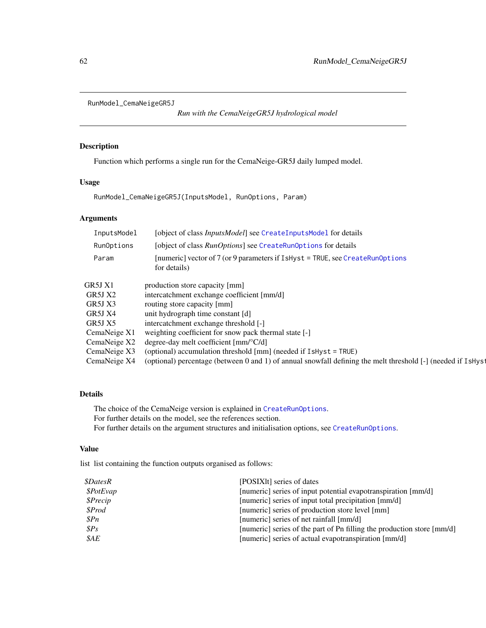```
RunModel_CemaNeigeGR5J
```
*Run with the CemaNeigeGR5J hydrological model*

## Description

Function which performs a single run for the CemaNeige-GR5J daily lumped model.

## Usage

RunModel\_CemaNeigeGR5J(InputsModel, RunOptions, Param)

## Arguments

| [object of class <i>InputsModel</i> ] see CreateInputsModel for details                                     |
|-------------------------------------------------------------------------------------------------------------|
| [object of class RunOptions] see CreateRunOptions for details                                               |
| [numeric] vector of 7 (or 9 parameters if IsHyst = TRUE, see CreateRunOptions<br>for details)               |
| production store capacity [mm]                                                                              |
| intercatchment exchange coefficient [mm/d]                                                                  |
| routing store capacity [mm]                                                                                 |
| unit hydrograph time constant [d]                                                                           |
| intercatchment exchange threshold [-]                                                                       |
| weighting coefficient for snow pack thermal state [-]                                                       |
| degree-day melt coefficient $\text{[mm]^{\circ}C/d}$                                                        |
| (optional) accumulation threshold [mm] (needed if IsHyst = TRUE)                                            |
| (optional) percentage (between 0 and 1) of annual snowfall defining the melt threshold [-] (needed if IsHys |
|                                                                                                             |

## Details

The choice of the CemaNeige version is explained in [CreateRunOptions](#page-23-0). For further details on the model, see the references section. For further details on the argument structures and initialisation options, see [CreateRunOptions](#page-23-0).

## Value

list list containing the function outputs organised as follows:

| <i><b>\$DatesR</b></i> | [POSIX], series of dates                                               |
|------------------------|------------------------------------------------------------------------|
| \$PotEvap              | [numeric] series of input potential evapotranspiration [mm/d]          |
| \$Precip               | [numeric] series of input total precipitation [mm/d]                   |
| \$Prod                 | [numeric] series of production store level [mm]                        |
| \$Pn                   | [numeric] series of net rainfall [mm/d]                                |
| SPS                    | [numeric] series of the part of Pn filling the production store [mm/d] |
| \$AE                   | [numeric] series of actual evapotranspiration [mm/d]                   |
|                        |                                                                        |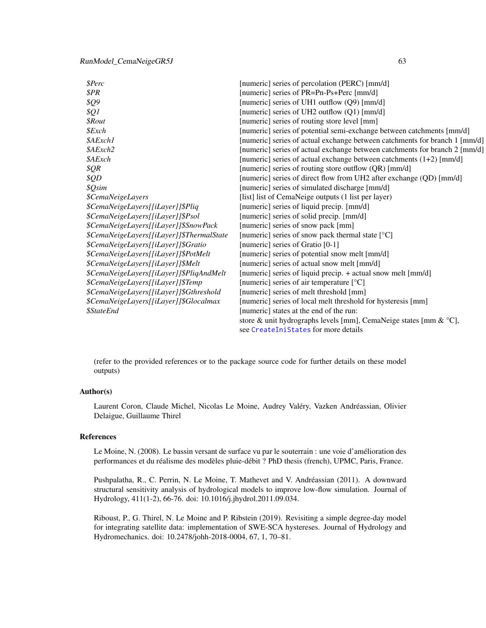## RunModel\_CemaNeigeGR5J 63

| <b>\$Perc</b>                             | [numeric] series of percolation (PERC) [mm/d]                               |
|-------------------------------------------|-----------------------------------------------------------------------------|
| \$PR                                      | [numeric] series of PR=Pn-Ps+Perc [mm/d]                                    |
| \$Q9                                      | [numeric] series of UH1 outflow (Q9) [mm/d]                                 |
| \$Q1                                      | [numeric] series of UH2 outflow (Q1) [mm/d]                                 |
| <i><b>\$Rout</b></i>                      | [numeric] series of routing store level [mm]                                |
| $$$ <i>Exch</i>                           | [numeric] series of potential semi-exchange between catchments [mm/d]       |
| \$AExch1                                  | [numeric] series of actual exchange between catchments for branch 1 [mm/d]  |
| \$AExch2                                  | [numeric] series of actual exchange between catchments for branch 2 [mm/d]  |
| \$AExch                                   | [numeric] series of actual exchange between catchments $(1+2)$ [mm/d]       |
| \$QR                                      | [numeric] series of routing store outflow (QR) [mm/d]                       |
| \$QD                                      | [numeric] series of direct flow from UH2 after exchange (QD) [mm/d]         |
| \$Qsim                                    | [numeric] series of simulated discharge [mm/d]                              |
| <i><b>\$CemaNeigeLayers</b></i>           | [list] list of CemaNeige outputs (1 list per layer)                         |
| \$CemaNeigeLayers[[iLayer]]\$Pliq         | [numeric] series of liquid precip. [mm/d]                                   |
| \$CemaNeigeLayers[[iLayer]]\$Psol         | [numeric] series of solid precip. [mm/d]                                    |
| \$CemaNeigeLayers[[iLayer]]\$SnowPack     | [numeric] series of snow pack [mm]                                          |
| \$CemaNeigeLayers[[iLayer]]\$ThermalState | [numeric] series of snow pack thermal state [°C]                            |
| \$CemaNeigeLayers[[iLayer]]\$Gratio       | [numeric] series of Gratio [0-1]                                            |
| \$CemaNeigeLayers[[iLayer]]\$PotMelt      | [numeric] series of potential snow melt [mm/d]                              |
| \$CemaNeigeLayers[[iLayer]]\$Melt         | [numeric] series of actual snow melt [mm/d]                                 |
| \$CemaNeigeLayers[[iLayer]]\$PliqAndMelt  | [numeric] series of liquid precip. + actual snow melt [mm/d]                |
| \$CemaNeigeLayers[[iLayer]]\$Temp         | [numeric] series of air temperature [°C]                                    |
| \$CemaNeigeLayers[[iLayer]]\$Gthreshold   | [numeric] series of melt threshold [mm]                                     |
| \$CemaNeigeLayers[[iLayer]]\$Glocalmax    | [numeric] series of local melt threshold for hysteresis [mm]                |
| <i><b>\$StateEnd</b></i>                  | [numeric] states at the end of the run:                                     |
|                                           | store & unit hydrographs levels [mm], CemaNeige states [mm & $^{\circ}C$ ], |
|                                           | see CreateIniStates for more details                                        |

(refer to the provided references or to the package source code for further details on these model outputs)

## Author(s)

Laurent Coron, Claude Michel, Nicolas Le Moine, Audrey Valéry, Vazken Andréassian, Olivier Delaigue, Guillaume Thirel

### References

Le Moine, N. (2008). Le bassin versant de surface vu par le souterrain : une voie d'amélioration des performances et du réalisme des modèles pluie-débit ? PhD thesis (french), UPMC, Paris, France.

Pushpalatha, R., C. Perrin, N. Le Moine, T. Mathevet and V. Andréassian (2011). A downward structural sensitivity analysis of hydrological models to improve low-flow simulation. Journal of Hydrology, 411(1-2), 66-76. doi: 10.1016/j.jhydrol.2011.09.034.

Riboust, P., G. Thirel, N. Le Moine and P. Ribstein (2019). Revisiting a simple degree-day model for integrating satellite data: implementation of SWE-SCA hystereses. Journal of Hydrology and Hydromechanics. doi: 10.2478/johh-2018-0004, 67, 1, 70–81.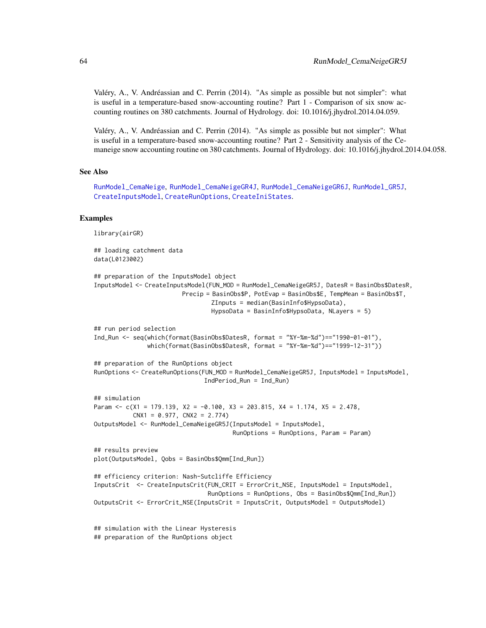Valéry, A., V. Andréassian and C. Perrin (2014). "As simple as possible but not simpler": what is useful in a temperature-based snow-accounting routine? Part 1 - Comparison of six snow accounting routines on 380 catchments. Journal of Hydrology. doi: 10.1016/j.jhydrol.2014.04.059.

Valéry, A., V. Andréassian and C. Perrin (2014). "As simple as possible but not simpler": What is useful in a temperature-based snow-accounting routine? Part 2 - Sensitivity analysis of the Cemaneige snow accounting routine on 380 catchments. Journal of Hydrology. doi: 10.1016/j.jhydrol.2014.04.058.

#### See Also

[RunModel\\_CemaNeige](#page-48-0), [RunModel\\_CemaNeigeGR4J](#page-54-0), [RunModel\\_CemaNeigeGR6J](#page-64-0), [RunModel\\_GR5J](#page-80-0), [CreateInputsModel](#page-20-0), [CreateRunOptions](#page-23-0), [CreateIniStates](#page-13-0).

#### Examples

library(airGR)

## loading catchment data data(L0123002) ## preparation of the InputsModel object InputsModel <- CreateInputsModel(FUN\_MOD = RunModel\_CemaNeigeGR5J, DatesR = BasinObs\$DatesR, Precip = BasinObs\$P, PotEvap = BasinObs\$E, TempMean = BasinObs\$T, ZInputs = median(BasinInfo\$HypsoData), HypsoData = BasinInfo\$HypsoData, NLayers = 5) ## run period selection Ind\_Run <- seq(which(format(BasinObs\$DatesR, format = "%Y-%m-%d")=="1990-01-01"), which(format(BasinObs\$DatesR, format = "%Y-%m-%d")=="1999-12-31")) ## preparation of the RunOptions object RunOptions <- CreateRunOptions(FUN\_MOD = RunModel\_CemaNeigeGR5J, InputsModel = InputsModel, IndPeriod\_Run = Ind\_Run) ## simulation Param <- c(X1 = 179.139, X2 = -0.100, X3 = 203.815, X4 = 1.174, X5 = 2.478,  $CNX1 = 0.977$ ,  $CNX2 = 2.774$ OutputsModel <- RunModel\_CemaNeigeGR5J(InputsModel = InputsModel, RunOptions = RunOptions, Param = Param) ## results preview plot(OutputsModel, Qobs = BasinObs\$Qmm[Ind\_Run]) ## efficiency criterion: Nash-Sutcliffe Efficiency InputsCrit <- CreateInputsCrit(FUN\_CRIT = ErrorCrit\_NSE, InputsModel = InputsModel, RunOptions = RunOptions, Obs = BasinObs\$Qmm[Ind\_Run]) OutputsCrit <- ErrorCrit\_NSE(InputsCrit = InputsCrit, OutputsModel = OutputsModel) ## simulation with the Linear Hysteresis ## preparation of the RunOptions object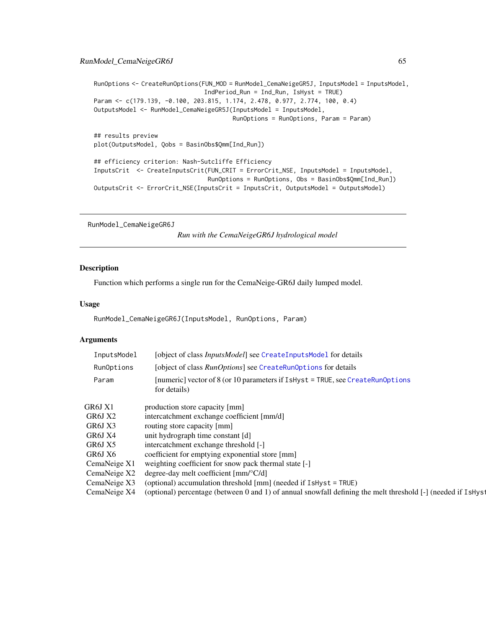## RunModel\_CemaNeigeGR6J 65

```
RunOptions <- CreateRunOptions(FUN_MOD = RunModel_CemaNeigeGR5J, InputsModel = InputsModel,
                               IndPeriod_Run = Ind_Run, IsHyst = TRUE)
Param <- c(179.139, -0.100, 203.815, 1.174, 2.478, 0.977, 2.774, 100, 0.4)
OutputsModel <- RunModel_CemaNeigeGR5J(InputsModel = InputsModel,
                                       RunOptions = RunOptions, Param = Param)
## results preview
plot(OutputsModel, Qobs = BasinObs$Qmm[Ind_Run])
## efficiency criterion: Nash-Sutcliffe Efficiency
InputsCrit <- CreateInputsCrit(FUN_CRIT = ErrorCrit_NSE, InputsModel = InputsModel,
                                RunOptions = RunOptions, Obs = BasinObs$Qmm[Ind_Run])
OutputsCrit <- ErrorCrit_NSE(InputsCrit = InputsCrit, OutputsModel = OutputsModel)
```
<span id="page-64-0"></span>RunModel\_CemaNeigeGR6J

*Run with the CemaNeigeGR6J hydrological model*

#### Description

Function which performs a single run for the CemaNeige-GR6J daily lumped model.

### Usage

```
RunModel_CemaNeigeGR6J(InputsModel, RunOptions, Param)
```
## Arguments

| InputsModel  | [object of class <i>InputsModel</i> ] see CreateInputsModel for details                                      |
|--------------|--------------------------------------------------------------------------------------------------------------|
| RunOptions   | [object of class <i>RunOptions</i> ] see CreateRunOptions for details                                        |
| Param        | [numeric] vector of 8 (or 10 parameters if IsHyst = TRUE, see CreateRunOptions<br>for details)               |
| GR6J X1      | production store capacity [mm]                                                                               |
| GR6J X2      | intercatchment exchange coefficient [mm/d]                                                                   |
| GR6J X3      | routing store capacity [mm]                                                                                  |
| GR6J X4      | unit hydrograph time constant [d]                                                                            |
| GR6J X5      | intercatchment exchange threshold [-]                                                                        |
| GR6J X6      | coefficient for emptying exponential store [mm]                                                              |
| CemaNeige X1 | weighting coefficient for snow pack thermal state [-]                                                        |
| CemaNeige X2 | degree-day melt coefficient $\text{[mm]^{\circ}C/d}$                                                         |
| CemaNeige X3 | (optional) accumulation threshold [mm] (needed if IsHyst = TRUE)                                             |
| CemaNeige X4 | (optional) percentage (between 0 and 1) of annual snowfall defining the melt threshold [-] (needed if IsHyst |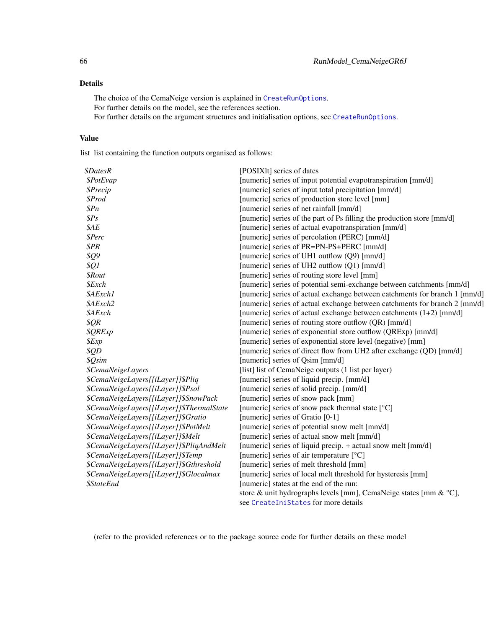## Details

The choice of the CemaNeige version is explained in [CreateRunOptions](#page-23-0). For further details on the model, see the references section. For further details on the argument structures and initialisation options, see [CreateRunOptions](#page-23-0).

## Value

list list containing the function outputs organised as follows:

| <i><b>\$DatesR</b></i>                    | [POSIX]t] series of dates                                                  |
|-------------------------------------------|----------------------------------------------------------------------------|
| \$PotEvap                                 | [numeric] series of input potential evapotranspiration [mm/d]              |
| <i><b>\$Precip</b></i>                    | [numeric] series of input total precipitation [mm/d]                       |
| \$Prod                                    | [numeric] series of production store level [mm]                            |
| \$Pn\$                                    | [numeric] series of net rainfall [mm/d]                                    |
| \$Ps                                      | [numeric] series of the part of Ps filling the production store [mm/d]     |
| \$AE                                      | [numeric] series of actual evapotranspiration [mm/d]                       |
| \$Perc                                    | [numeric] series of percolation (PERC) [mm/d]                              |
| \$PR                                      | [numeric] series of PR=PN-PS+PERC [mm/d]                                   |
| \$Q9                                      | [numeric] series of UH1 outflow (Q9) [mm/d]                                |
| \$Q1                                      | [numeric] series of UH2 outflow (Q1) [mm/d]                                |
| <i><b>\$Rout</b></i>                      | [numeric] series of routing store level [mm]                               |
| \$Exch                                    | [numeric] series of potential semi-exchange between catchments [mm/d]      |
| \$AExch1                                  | [numeric] series of actual exchange between catchments for branch 1 [mm/d] |
| \$AExch2                                  | [numeric] series of actual exchange between catchments for branch 2 [mm/d] |
| \$AExch                                   | [numeric] series of actual exchange between catchments (1+2) [mm/d]        |
| \$QR\$                                    | [numeric] series of routing store outflow (QR) [mm/d]                      |
| <b>\$QRExp</b>                            | [numeric] series of exponential store outflow (QRExp) [mm/d]               |
| \$Exp                                     | [numeric] series of exponential store level (negative) [mm]                |
| \$QD                                      | [numeric] series of direct flow from UH2 after exchange (QD) [mm/d]        |
| \$Qsim                                    | [numeric] series of Qsim [mm/d]                                            |
| <i><b>\$CemaNeigeLayers</b></i>           | [list] list of CemaNeige outputs (1 list per layer)                        |
| \$CemaNeigeLayers[[iLayer]]\$Pliq         | [numeric] series of liquid precip. [mm/d]                                  |
| \$CemaNeigeLayers[[iLayer]]\$Psol         | [numeric] series of solid precip. [mm/d]                                   |
| \$CemaNeigeLayers[[iLayer]]\$SnowPack     | [numeric] series of snow pack [mm]                                         |
| \$CemaNeigeLayers[[iLayer]]\$ThermalState | [numeric] series of snow pack thermal state [°C]                           |
| \$CemaNeigeLayers[[iLayer]]\$Gratio       | [numeric] series of Gratio [0-1]                                           |
| \$CemaNeigeLayers[[iLayer]]\$PotMelt      | [numeric] series of potential snow melt [mm/d]                             |
| \$CemaNeigeLayers[[iLayer]]\$Melt         | [numeric] series of actual snow melt [mm/d]                                |
| \$CemaNeigeLayers[[iLayer]]\$PliqAndMelt  | [numeric] series of liquid precip. + actual snow melt [mm/d]               |
| \$CemaNeigeLayers[[iLayer]]\$Temp         | [numeric] series of air temperature [°C]                                   |
| \$CemaNeigeLayers[[iLayer]]\$Gthreshold   | [numeric] series of melt threshold [mm]                                    |
| \$CemaNeigeLayers[[iLayer]]\$Glocalmax    | [numeric] series of local melt threshold for hysteresis [mm]               |
| <i><b>\$StateEnd</b></i>                  | [numeric] states at the end of the run:                                    |
|                                           | store & unit hydrographs levels [mm], CemaNeige states [mm & °C],          |
|                                           | see CreateIniStates for more details                                       |

(refer to the provided references or to the package source code for further details on these model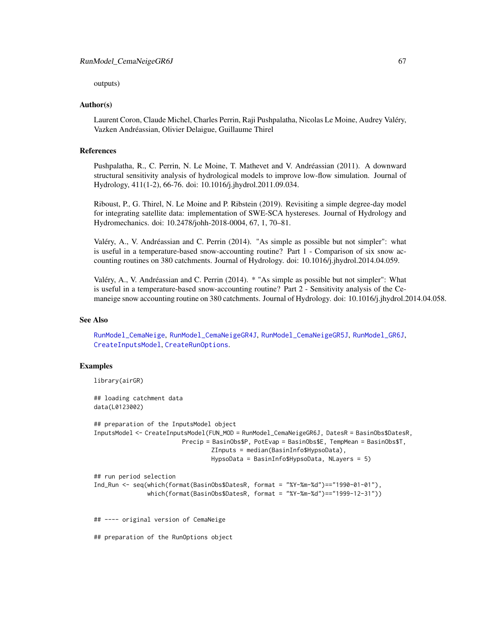outputs)

#### Author(s)

Laurent Coron, Claude Michel, Charles Perrin, Raji Pushpalatha, Nicolas Le Moine, Audrey Valéry, Vazken Andréassian, Olivier Delaigue, Guillaume Thirel

## References

Pushpalatha, R., C. Perrin, N. Le Moine, T. Mathevet and V. Andréassian (2011). A downward structural sensitivity analysis of hydrological models to improve low-flow simulation. Journal of Hydrology, 411(1-2), 66-76. doi: 10.1016/j.jhydrol.2011.09.034.

Riboust, P., G. Thirel, N. Le Moine and P. Ribstein (2019). Revisiting a simple degree-day model for integrating satellite data: implementation of SWE-SCA hystereses. Journal of Hydrology and Hydromechanics. doi: 10.2478/johh-2018-0004, 67, 1, 70–81.

Valéry, A., V. Andréassian and C. Perrin (2014). "As simple as possible but not simpler": what is useful in a temperature-based snow-accounting routine? Part 1 - Comparison of six snow accounting routines on 380 catchments. Journal of Hydrology. doi: 10.1016/j.jhydrol.2014.04.059.

Valéry, A., V. Andréassian and C. Perrin (2014). \* "As simple as possible but not simpler": What is useful in a temperature-based snow-accounting routine? Part 2 - Sensitivity analysis of the Cemaneige snow accounting routine on 380 catchments. Journal of Hydrology. doi: 10.1016/j.jhydrol.2014.04.058.

### See Also

[RunModel\\_CemaNeige](#page-48-0), [RunModel\\_CemaNeigeGR4J](#page-54-0), [RunModel\\_CemaNeigeGR5J](#page-61-0), [RunModel\\_GR6J](#page-83-0), [CreateInputsModel](#page-20-0), [CreateRunOptions](#page-23-0).

#### Examples

```
library(airGR)
```
## loading catchment data data(L0123002)

```
## preparation of the InputsModel object
InputsModel <- CreateInputsModel(FUN_MOD = RunModel_CemaNeigeGR6J, DatesR = BasinObs$DatesR,
                         Precip = BasinObs$P, PotEvap = BasinObs$E, TempMean = BasinObs$T,
                                 ZInputs = median(BasinInfo$HypsoData),
                                 HypsoData = BasinInfo$HypsoData, NLayers = 5)
```

```
## run period selection
```

```
Ind_Run <- seq(which(format(BasinObs$DatesR, format = "%Y-%m-%d")=="1990-01-01"),
               which(format(BasinObs$DatesR, format = "%Y-%m-%d")=="1999-12-31"))
```
## ---- original version of CemaNeige

## preparation of the RunOptions object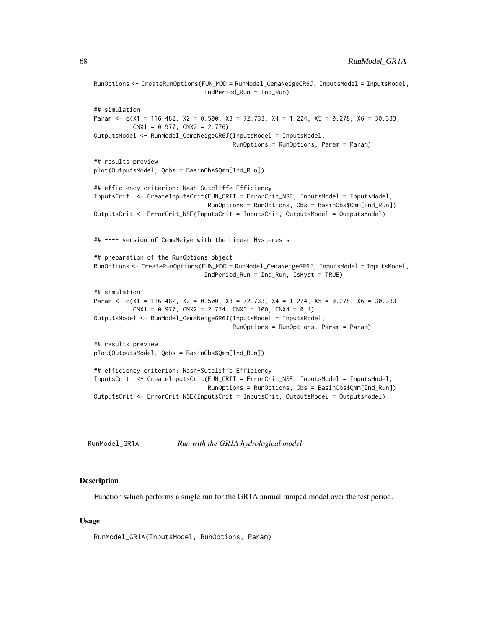```
RunOptions <- CreateRunOptions(FUN_MOD = RunModel_CemaNeigeGR6J, InputsModel = InputsModel,
                               IndPeriod_Run = Ind_Run)
## simulation
Param <- c(X1 = 116.482, X2 = 0.500, X3 = 72.733, X4 = 1.224, X5 = 0.278, X6 = 30.333,
          CNX1 = 0.977, CNX2 = 2.776OutputsModel <- RunModel_CemaNeigeGR6J(InputsModel = InputsModel,
                                       RunOptions = RunOptions, Param = Param)
## results preview
plot(OutputsModel, Qobs = BasinObs$Qmm[Ind_Run])
## efficiency criterion: Nash-Sutcliffe Efficiency
InputsCrit <- CreateInputsCrit(FUN_CRIT = ErrorCrit_NSE, InputsModel = InputsModel,
                                RunOptions = RunOptions, Obs = BasinObs$Qmm[Ind_Run])
OutputsCrit <- ErrorCrit_NSE(InputsCrit = InputsCrit, OutputsModel = OutputsModel)
## ---- version of CemaNeige with the Linear Hysteresis
## preparation of the RunOptions object
RunOptions <- CreateRunOptions(FUN_MOD = RunModel_CemaNeigeGR6J, InputsModel = InputsModel,
                               IndPeriod_Run = Ind_Run, IsHyst = TRUE)
## simulation
Param <- c(X1 = 116.482, X2 = 0.500, X3 = 72.733, X4 = 1.224, X5 = 0.278, X6 = 30.333,
          CNX1 = 0.977, CNX2 = 2.774, CNX3 = 100, CNX4 = 0.4)
OutputsModel <- RunModel_CemaNeigeGR6J(InputsModel = InputsModel,
                                       RunOptions = RunOptions, Param = Param)
## results preview
plot(OutputsModel, Qobs = BasinObs$Qmm[Ind_Run])
## efficiency criterion: Nash-Sutcliffe Efficiency
InputsCrit <- CreateInputsCrit(FUN_CRIT = ErrorCrit_NSE, InputsModel = InputsModel,
                                RunOptions = RunOptions, Obs = BasinObs$Qmm[Ind_Run])
OutputsCrit <- ErrorCrit_NSE(InputsCrit = InputsCrit, OutputsModel = OutputsModel)
```

| RunModel_GR1A | Run with the GR1A hydrological model |
|---------------|--------------------------------------|
|---------------|--------------------------------------|

#### **Description**

Function which performs a single run for the GR1A annual lumped model over the test period.

#### Usage

RunModel\_GR1A(InputsModel, RunOptions, Param)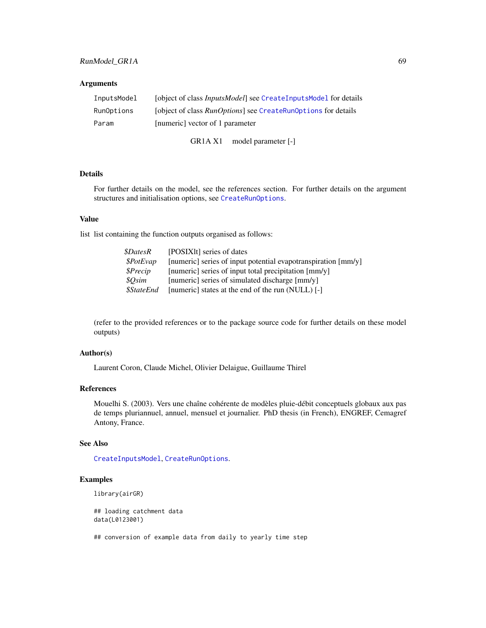## Arguments

| InputsModel | [object of class <i>InputsModel</i> ] see CreateInputsModel for details |
|-------------|-------------------------------------------------------------------------|
| RunOptions  | [object of class <i>RunOptions</i> ] see CreateRunOptions for details   |
| Param       | [numeric] vector of 1 parameter                                         |

GR1A X1 model parameter [-]

## Details

For further details on the model, see the references section. For further details on the argument structures and initialisation options, see [CreateRunOptions](#page-23-0).

#### Value

list list containing the function outputs organised as follows:

| <i><b>SDatesR</b></i>    | [POSIXIt] series of dates                                     |
|--------------------------|---------------------------------------------------------------|
| \$PotEvap                | [numeric] series of input potential evapotranspiration [mm/y] |
| <i><b>SPrecip</b></i>    | [numeric] series of input total precipitation [mm/y]          |
| <i><b>SOsim</b></i>      | [numeric] series of simulated discharge [mm/y]                |
| <i><b>\$StateEnd</b></i> | [numeric] states at the end of the run (NULL) [-]             |

(refer to the provided references or to the package source code for further details on these model outputs)

#### Author(s)

Laurent Coron, Claude Michel, Olivier Delaigue, Guillaume Thirel

## References

Mouelhi S. (2003). Vers une chaîne cohérente de modèles pluie-débit conceptuels globaux aux pas de temps pluriannuel, annuel, mensuel et journalier. PhD thesis (in French), ENGREF, Cemagref Antony, France.

#### See Also

[CreateInputsModel](#page-20-0), [CreateRunOptions](#page-23-0).

### Examples

```
library(airGR)
```
## loading catchment data data(L0123001)

## conversion of example data from daily to yearly time step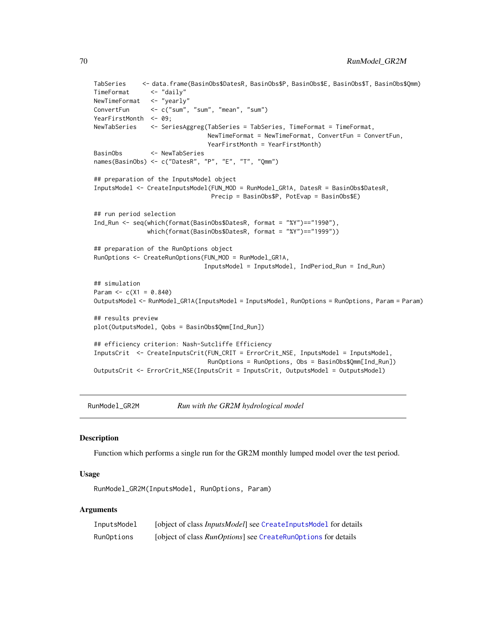```
TabSeries <- data.frame(BasinObs$DatesR, BasinObs$P, BasinObs$E, BasinObs$T, BasinObs$Qmm)
TimeFormat <- "daily"
NewTimeFormat <- "yearly"
ConvertFun <- c("sum", "sum", "mean", "sum")
YearFirstMonth <- 09;
NewTabSeries <- SeriesAggreg(TabSeries = TabSeries, TimeFormat = TimeFormat,
                               NewTimeFormat = NewTimeFormat, ConvertFun = ConvertFun,
                               YearFirstMonth = YearFirstMonth)
BasinObs <- NewTabSeries
names(BasinObs) <- c("DatesR", "P", "E", "T", "Qmm")
## preparation of the InputsModel object
InputsModel <- CreateInputsModel(FUN_MOD = RunModel_GR1A, DatesR = BasinObs$DatesR,
                                Precip = BasinObs$P, PotEvap = BasinObs$E)
## run period selection
Ind_Run <- seq(which(format(BasinObs$DatesR, format = "%Y")=="1990"),
               which(format(BasinObs$DatesR, format = "%Y")=="1999"))
## preparation of the RunOptions object
RunOptions <- CreateRunOptions(FUN_MOD = RunModel_GR1A,
                              InputsModel = InputsModel, IndPeriod_Run = Ind_Run)
## simulation
Param <-c(X1 = 0.840)OutputsModel <- RunModel_GR1A(InputsModel = InputsModel, RunOptions = RunOptions, Param = Param)
## results preview
plot(OutputsModel, Qobs = BasinObs$Qmm[Ind_Run])
## efficiency criterion: Nash-Sutcliffe Efficiency
InputsCrit <- CreateInputsCrit(FUN_CRIT = ErrorCrit_NSE, InputsModel = InputsModel,
                               RunOptions = RunOptions, Obs = BasinObs$Qmm[Ind_Run])
OutputsCrit <- ErrorCrit_NSE(InputsCrit = InputsCrit, OutputsModel = OutputsModel)
```
RunModel\_GR2M *Run with the GR2M hydrological model*

#### **Description**

Function which performs a single run for the GR2M monthly lumped model over the test period.

#### Usage

RunModel\_GR2M(InputsModel, RunOptions, Param)

### **Arguments**

| InputsModel | [object of class <i>InputsModel</i> ] see CreateInputsModel for details |
|-------------|-------------------------------------------------------------------------|
| RunOptions  | [object of class <i>RunOptions</i> ] see CreateRunOptions for details   |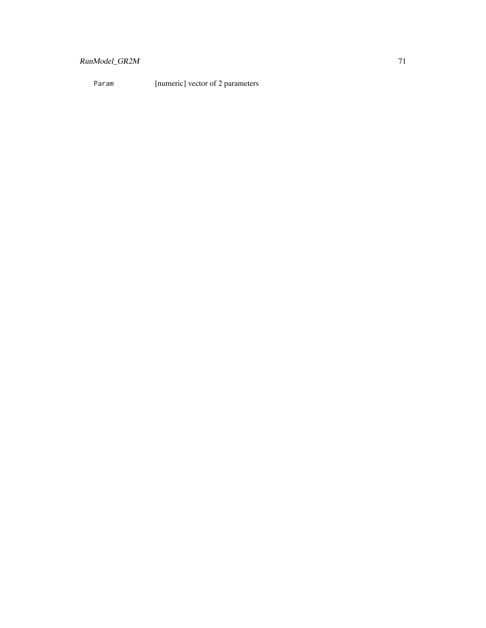# RunModel\_GR2M 71

Param [numeric] vector of 2 parameters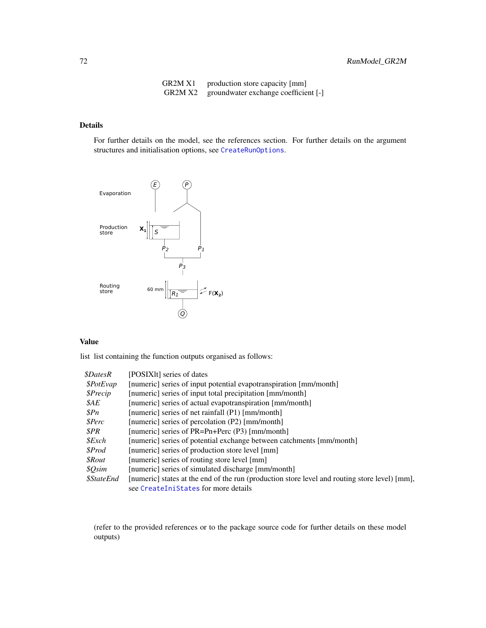| GR2M X1 | production store capacity [mm]       |
|---------|--------------------------------------|
| GR2M X2 | groundwater exchange coefficient [-] |

### Details

For further details on the model, see the references section. For further details on the argument structures and initialisation options, see [CreateRunOptions](#page-23-0).



#### Value

list list containing the function outputs organised as follows:

| \$PotEvap<br>[numeric] series of input potential evapotranspiration [mm/month]                                            |  |
|---------------------------------------------------------------------------------------------------------------------------|--|
| \$Precip<br>[numeric] series of input total precipitation [mm/month]                                                      |  |
| \$AE<br>[numeric] series of actual evapotranspiration [mm/month]                                                          |  |
| $\mathcal{S}Pn$<br>[numeric] series of net rainfall (P1) [mm/month]                                                       |  |
| \$Perc<br>[numeric] series of percolation (P2) [mm/month]                                                                 |  |
| SPR<br>[numeric] series of PR=Pn+Perc (P3) [mm/month]                                                                     |  |
| $$\mathcal{E}$ xch<br>[numeric] series of potential exchange between catchments [mm/month]                                |  |
| <i><b>SProd</b></i><br>[numeric] series of production store level [mm]                                                    |  |
| <i><b>SRout</b></i><br>[numeric] series of routing store level [mm]                                                       |  |
| \$Qsim<br>[numeric] series of simulated discharge [mm/month]                                                              |  |
| <i><b>\$StateEnd</b></i><br>[numeric] states at the end of the run (production store level and routing store level) [mm], |  |
| see CreateIniStates for more details                                                                                      |  |

(refer to the provided references or to the package source code for further details on these model outputs)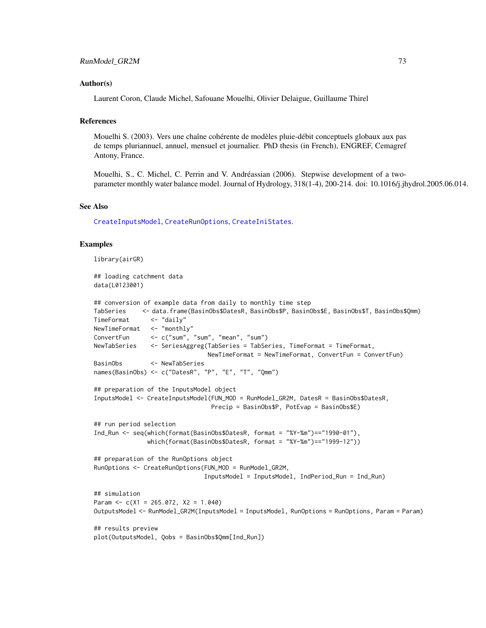## <span id="page-72-0"></span>Author(s)

Laurent Coron, Claude Michel, Safouane Mouelhi, Olivier Delaigue, Guillaume Thirel

## References

Mouelhi S. (2003). Vers une chaîne cohérente de modèles pluie-débit conceptuels globaux aux pas de temps pluriannuel, annuel, mensuel et journalier. PhD thesis (in French), ENGREF, Cemagref Antony, France.

Mouelhi, S., C. Michel, C. Perrin and V. Andréassian (2006). Stepwise development of a twoparameter monthly water balance model. Journal of Hydrology, 318(1-4), 200-214. doi: 10.1016/j.jhydrol.2005.06.014.

# See Also

[CreateInputsModel](#page-20-0), [CreateRunOptions](#page-23-0), [CreateIniStates](#page-13-0).

## Examples

library(airGR)

## loading catchment data data(L0123001)

```
## conversion of example data from daily to monthly time step
TabSeries <- data.frame(BasinObs$DatesR, BasinObs$P, BasinObs$E, BasinObs$T, BasinObs$Qmm)
TimeFormat <- "daily"
NewTimeFormat <- "monthly"
ConvertFun <- c("sum", "sum", "mean", "sum")
NewTabSeries <- SeriesAggreg(TabSeries = TabSeries, TimeFormat = TimeFormat,
                               NewTimeFormat = NewTimeFormat, ConvertFun = ConvertFun)
BasinObs <- NewTabSeries
names(BasinObs) <- c("DatesR", "P", "E", "T", "Qmm")
## preparation of the InputsModel object
InputsModel <- CreateInputsModel(FUN_MOD = RunModel_GR2M, DatesR = BasinObs$DatesR,
                                Precip = BasinObs$P, PotEvap = BasinObs$E)
## run period selection
Ind_Run <- seq(which(format(BasinObs$DatesR, format = "%Y-%m")=="1990-01"),
               which(format(BasinObs$DatesR, format = "%Y-%m")=="1999-12"))
## preparation of the RunOptions object
RunOptions <- CreateRunOptions(FUN_MOD = RunModel_GR2M,
                              InputsModel = InputsModel, IndPeriod_Run = Ind_Run)
## simulation
Param <-c(X1 = 265.072, X2 = 1.040)OutputsModel <- RunModel_GR2M(InputsModel = InputsModel, RunOptions = RunOptions, Param = Param)
## results preview
plot(OutputsModel, Qobs = BasinObs$Qmm[Ind_Run])
```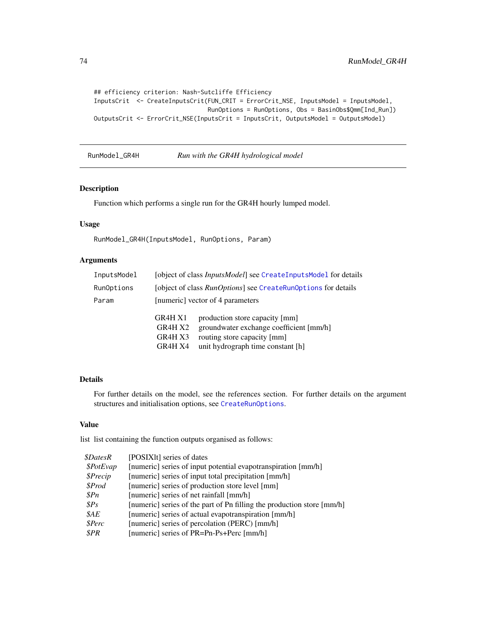```
## efficiency criterion: Nash-Sutcliffe Efficiency
InputsCrit <- CreateInputsCrit(FUN_CRIT = ErrorCrit_NSE, InputsModel = InputsModel,
                               RunOptions = RunOptions, Obs = BasinObs$Qmm[Ind_Run])
OutputsCrit <- ErrorCrit_NSE(InputsCrit = InputsCrit, OutputsModel = OutputsModel)
```
# <span id="page-73-0"></span>RunModel\_GR4H *Run with the GR4H hydrological model*

# Description

Function which performs a single run for the GR4H hourly lumped model.

# Usage

RunModel\_GR4H(InputsModel, RunOptions, Param)

# Arguments

| InputsModel | [object of class <i>InputsModel</i> ] see CreateInputsModel for details |                                                                                                                                               |  |
|-------------|-------------------------------------------------------------------------|-----------------------------------------------------------------------------------------------------------------------------------------------|--|
| RunOptions  | [object of class <i>RunOptions</i> ] see CreateRunOptions for details   |                                                                                                                                               |  |
| Param       | [numeric] vector of 4 parameters                                        |                                                                                                                                               |  |
|             | GR4H X1<br>GR4H X2<br>GR4H X3<br>GR4H X4                                | production store capacity [mm]<br>groundwater exchange coefficient [mm/h]<br>routing store capacity [mm]<br>unit hydrograph time constant [h] |  |

# Details

For further details on the model, see the references section. For further details on the argument structures and initialisation options, see [CreateRunOptions](#page-23-0).

# Value

| <i><b>\$DatesR</b></i> | [POSIXIt] series of dates                                              |
|------------------------|------------------------------------------------------------------------|
| \$PotEvap              | [numeric] series of input potential evapotranspiration [mm/h]          |
| \$Precip               | [numeric] series of input total precipitation [mm/h]                   |
| \$Prod                 | [numeric] series of production store level [mm]                        |
| $\mathcal{S}Pn$        | [numeric] series of net rainfall [mm/h]                                |
| SPS                    | [numeric] series of the part of Pn filling the production store [mm/h] |
| $\mathcal{S}AE$        | [numeric] series of actual evapotranspiration [mm/h]                   |
| \$Perc                 | [numeric] series of percolation (PERC) [mm/h]                          |
| SPR                    | [numeric] series of PR=Pn-Ps+Perc [mm/h]                               |
|                        |                                                                        |

<span id="page-73-1"></span>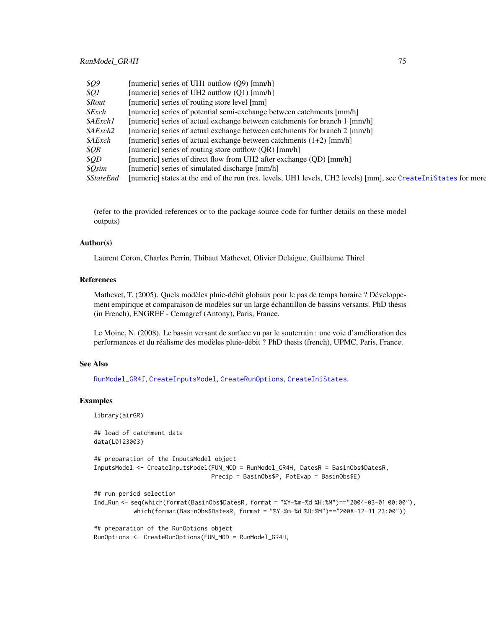<span id="page-74-0"></span>

| \$Q9                     | [numeric] series of UH1 outflow (Q9) [mm/h]                                                                     |
|--------------------------|-----------------------------------------------------------------------------------------------------------------|
| $\frac{1}{2}$            | [numeric] series of UH2 outflow $(01)$ [mm/h]                                                                   |
| <i><b>SRout</b></i>      | [numeric] series of routing store level [mm]                                                                    |
| $$\mathcal{E}$ xch       | [numeric] series of potential semi-exchange between catchments [mm/h]                                           |
| \$AExch1                 | [numeric] series of actual exchange between catchments for branch 1 [mm/h]                                      |
| <i><b>\$AExch2</b></i>   | [numeric] series of actual exchange between catchments for branch 2 [mm/h]                                      |
| <i><b>\$AExch</b></i>    | [numeric] series of actual exchange between catchments $(1+2)$ [mm/h]                                           |
| \$QR                     | [numeric] series of routing store outflow (OR) [mm/h]                                                           |
| SOD                      | [numeric] series of direct flow from UH2 after exchange (OD) [mm/h]                                             |
| <i><b>\$Osim</b></i>     | [numeric] series of simulated discharge [mm/h]                                                                  |
| <i><b>\$StateEnd</b></i> | [numeric] states at the end of the run (res. levels, UH1 levels, UH2 levels) [mm], see CreateIniStates for more |

## Author(s)

Laurent Coron, Charles Perrin, Thibaut Mathevet, Olivier Delaigue, Guillaume Thirel

# References

Mathevet, T. (2005). Quels modèles pluie-débit globaux pour le pas de temps horaire ? Développement empirique et comparaison de modèles sur un large échantillon de bassins versants. PhD thesis (in French), ENGREF - Cemagref (Antony), Paris, France.

Le Moine, N. (2008). Le bassin versant de surface vu par le souterrain : une voie d'amélioration des performances et du réalisme des modèles pluie-débit ? PhD thesis (french), UPMC, Paris, France.

# See Also

[RunModel\\_GR4J](#page-75-0), [CreateInputsModel](#page-20-0), [CreateRunOptions](#page-23-0), [CreateIniStates](#page-13-0).

## Examples

library(airGR) ## load of catchment data data(L0123003) ## preparation of the InputsModel object InputsModel <- CreateInputsModel(FUN\_MOD = RunModel\_GR4H, DatesR = BasinObs\$DatesR, Precip = BasinObs\$P, PotEvap = BasinObs\$E) ## run period selection Ind\_Run <- seq(which(format(BasinObs\$DatesR, format = "%Y-%m-%d %H:%M")=="2004-03-01 00:00"), which(format(BasinObs\$DatesR, format = "%Y-%m-%d %H:%M")=="2008-12-31 23:00")) ## preparation of the RunOptions object RunOptions <- CreateRunOptions(FUN\_MOD = RunModel\_GR4H,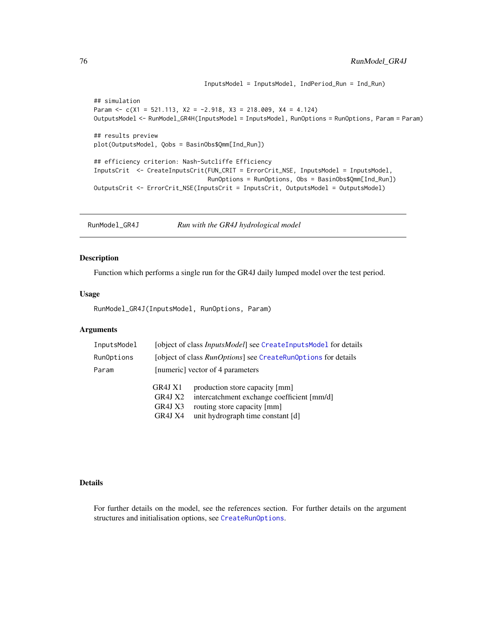```
## simulation
Param \leq c(X1 = 521.113, X2 = -2.918, X3 = 218.009, X4 = 4.124)
OutputsModel <- RunModel_GR4H(InputsModel = InputsModel, RunOptions = RunOptions, Param = Param)
## results preview
plot(OutputsModel, Qobs = BasinObs$Qmm[Ind_Run])
## efficiency criterion: Nash-Sutcliffe Efficiency
InputsCrit <- CreateInputsCrit(FUN_CRIT = ErrorCrit_NSE, InputsModel = InputsModel,
                                RunOptions = RunOptions, Obs = BasinObs$Qmm[Ind_Run])
OutputsCrit <- ErrorCrit_NSE(InputsCrit = InputsCrit, OutputsModel = OutputsModel)
```
InputsModel = InputsModel, IndPeriod\_Run = Ind\_Run)

<span id="page-75-0"></span>RunModel\_GR4J *Run with the GR4J hydrological model*

# Description

Function which performs a single run for the GR4J daily lumped model over the test period.

## Usage

RunModel\_GR4J(InputsModel, RunOptions, Param)

## Arguments

| InputsModel | [object of class <i>InputsModel</i> ] see CreateInputsModel for details |                                                                                                                                                  |  |
|-------------|-------------------------------------------------------------------------|--------------------------------------------------------------------------------------------------------------------------------------------------|--|
| RunOptions  | [object of class <i>RunOptions</i> ] see CreateRunOptions for details   |                                                                                                                                                  |  |
| Param       | [numeric] vector of 4 parameters                                        |                                                                                                                                                  |  |
|             | GR4J X1<br>GR4J X2<br>GR4J X3<br>GR4J X4                                | production store capacity [mm]<br>intercatchment exchange coefficient [mm/d]<br>routing store capacity [mm]<br>unit hydrograph time constant [d] |  |

#### Details

For further details on the model, see the references section. For further details on the argument structures and initialisation options, see [CreateRunOptions](#page-23-0).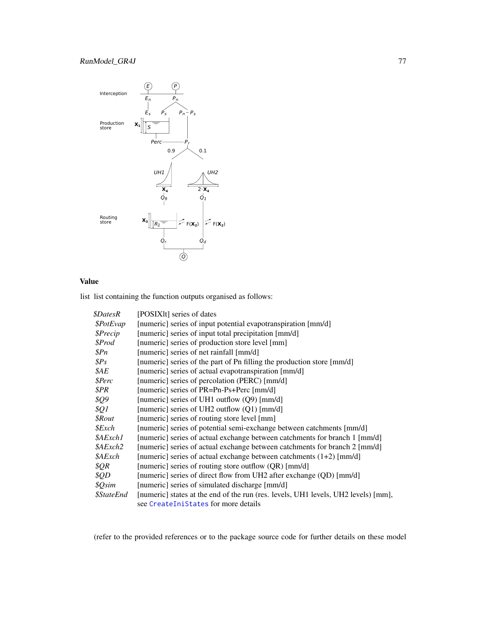# <span id="page-76-0"></span>RunModel\_GR4J 77



# Value

list list containing the function outputs organised as follows:

| <i><b>\$DatesR</b></i>   | [POSIX]t] series of dates                                                          |
|--------------------------|------------------------------------------------------------------------------------|
| <i><b>\$PotEvap</b></i>  | [numeric] series of input potential evapotranspiration [mm/d]                      |
| \$Precip                 | [numeric] series of input total precipitation [mm/d]                               |
| \$Prod                   | [numeric] series of production store level [mm]                                    |
| \$Pn                     | [numeric] series of net rainfall [mm/d]                                            |
| SPS                      | [numeric] series of the part of Pn filling the production store [mm/d]             |
| \$AE                     | [numeric] series of actual evapotranspiration [mm/d]                               |
| \$Perc                   | [numeric] series of percolation (PERC) [mm/d]                                      |
| \$PR                     | [numeric] series of PR=Pn-Ps+Perc [mm/d]                                           |
| \$Q9                     | [numeric] series of UH1 outflow $(Q9)$ [mm/d]                                      |
| \$Q1                     | [numeric] series of UH2 outflow (Q1) [mm/d]                                        |
| <i><b>\$Rout</b></i>     | [numeric] series of routing store level [mm]                                       |
| $$\mathcal{E}$ xch       | [numeric] series of potential semi-exchange between catchments [mm/d]              |
| \$AExch1                 | [numeric] series of actual exchange between catchments for branch 1 [mm/d]         |
| <i><b>\$AExch2</b></i>   | [numeric] series of actual exchange between catchments for branch 2 [mm/d]         |
| \$AExch                  | [numeric] series of actual exchange between catchments (1+2) [mm/d]                |
| \$QR                     | [numeric] series of routing store outflow (QR) [mm/d]                              |
| \$QD                     | [numeric] series of direct flow from UH2 after exchange (QD) [mm/d]                |
| \$Qsim                   | [numeric] series of simulated discharge [mm/d]                                     |
| <i><b>\$StateEnd</b></i> | [numeric] states at the end of the run (res. levels, UH1 levels, UH2 levels) [mm], |
|                          | see CreateIniStates for more details                                               |

(refer to the provided references or to the package source code for further details on these model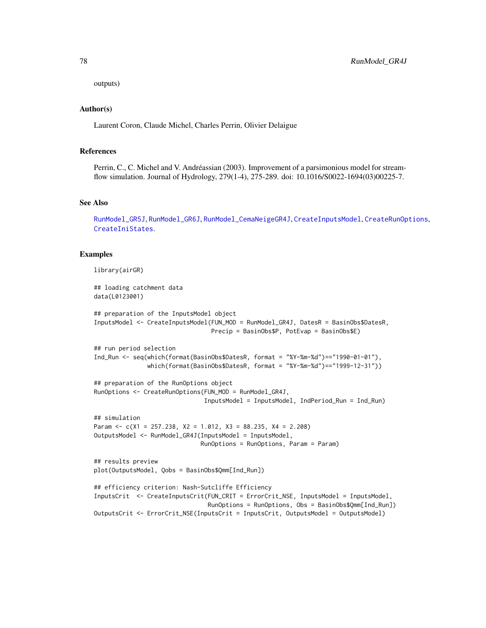<span id="page-77-0"></span>outputs)

# Author(s)

Laurent Coron, Claude Michel, Charles Perrin, Olivier Delaigue

## References

Perrin, C., C. Michel and V. Andréassian (2003). Improvement of a parsimonious model for streamflow simulation. Journal of Hydrology, 279(1-4), 275-289. doi: 10.1016/S0022-1694(03)00225-7.

#### See Also

[RunModel\\_GR5J](#page-80-0), [RunModel\\_GR6J](#page-83-0), [RunModel\\_CemaNeigeGR4J](#page-54-0), [CreateInputsModel](#page-20-0), [CreateRunOptions](#page-23-0), [CreateIniStates](#page-13-0).

## Examples

```
library(airGR)
## loading catchment data
data(L0123001)
## preparation of the InputsModel object
InputsModel <- CreateInputsModel(FUN_MOD = RunModel_GR4J, DatesR = BasinObs$DatesR,
                                 Precip = BasinObs$P, PotEvap = BasinObs$E)
## run period selection
Ind_Run <- seq(which(format(BasinObs$DatesR, format = "%Y-%m-%d")=="1990-01-01"),
               which(format(BasinObs$DatesR, format = "%Y-%m-%d")=="1999-12-31"))
## preparation of the RunOptions object
RunOptions <- CreateRunOptions(FUN_MOD = RunModel_GR4J,
                               InputsModel = InputsModel, IndPeriod_Run = Ind_Run)
## simulation
Param <- c(X1 = 257.238, X2 = 1.012, X3 = 88.235, X4 = 2.208)
OutputsModel <- RunModel_GR4J(InputsModel = InputsModel,
                              RunOptions = RunOptions, Param = Param)
## results preview
plot(OutputsModel, Qobs = BasinObs$Qmm[Ind_Run])
## efficiency criterion: Nash-Sutcliffe Efficiency
InputsCrit <- CreateInputsCrit(FUN_CRIT = ErrorCrit_NSE, InputsModel = InputsModel,
                                RunOptions = RunOptions, Obs = BasinObs$Qmm[Ind_Run])
OutputsCrit <- ErrorCrit_NSE(InputsCrit = InputsCrit, OutputsModel = OutputsModel)
```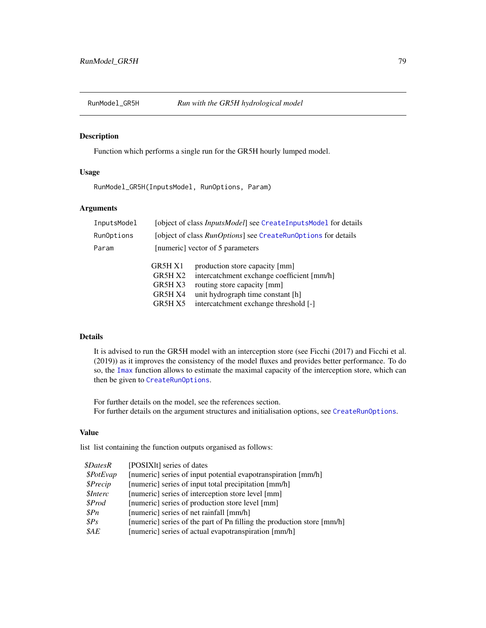<span id="page-78-0"></span>

# Description

Function which performs a single run for the GR5H hourly lumped model.

# Usage

RunModel\_GR5H(InputsModel, RunOptions, Param)

## Arguments

| InputsModel | [object of class <i>InputsModel</i> ] see CreateInputsModel for details |                                                                                                                                                                                           |  |
|-------------|-------------------------------------------------------------------------|-------------------------------------------------------------------------------------------------------------------------------------------------------------------------------------------|--|
| RunOptions  | [object of class <i>RunOptions</i> ] see CreateRunOptions for details   |                                                                                                                                                                                           |  |
| Param       | [numeric] vector of 5 parameters                                        |                                                                                                                                                                                           |  |
|             | GR5H X1<br>GR5H X2<br>GR5H X3<br>GR5H X4<br>GR5H X5                     | production store capacity [mm]<br>intercatchment exchange coefficient [mm/h]<br>routing store capacity [mm]<br>unit hydrograph time constant [h]<br>intercatchment exchange threshold [-] |  |

# Details

It is advised to run the GR5H model with an interception store (see Ficchi (2017) and Ficchi et al. (2019)) as it improves the consistency of the model fluxes and provides better performance. To do so, the [Imax](#page-39-0) function allows to estimate the maximal capacity of the interception store, which can then be given to [CreateRunOptions](#page-23-0).

For further details on the model, see the references section. For further details on the argument structures and initialisation options, see [CreateRunOptions](#page-23-0).

# Value

| <i><b>\$DatesR</b></i> | [POSIXIt] series of dates                                              |
|------------------------|------------------------------------------------------------------------|
| \$PotEvap              | [numeric] series of input potential evapotranspiration [mm/h]          |
| \$Precip               | [numeric] series of input total precipitation [mm/h]                   |
| <i><b>SInterc</b></i>  | [numeric] series of interception store level [mm]                      |
| \$Prod                 | [numeric] series of production store level [mm]                        |
| \$Pn                   | [numeric] series of net rainfall [mm/h]                                |
| $\$Ps$                 | [numeric] series of the part of Pn filling the production store [mm/h] |
| $\mathcal{S}AE$        | [numeric] series of actual evapotranspiration [mm/h]                   |
|                        |                                                                        |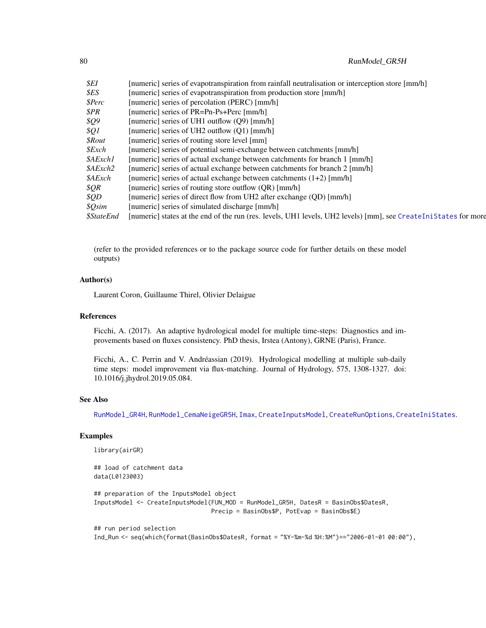<span id="page-79-0"></span>

| [numeric] series of evapotranspiration from rainfall neutralisation or interception store [mm/h]                |
|-----------------------------------------------------------------------------------------------------------------|
| [numeric] series of evapotranspiration from production store [mm/h]                                             |
| [numeric] series of percolation (PERC) [mm/h]                                                                   |
| [numeric] series of PR=Pn-Ps+Perc [mm/h]                                                                        |
| [numeric] series of UH1 outflow (Q9) [mm/h]                                                                     |
| [numeric] series of UH2 outflow (O1) [mm/h]                                                                     |
| [numeric] series of routing store level [mm]                                                                    |
| [numeric] series of potential semi-exchange between catchments [mm/h]                                           |
| [numeric] series of actual exchange between catchments for branch 1 [mm/h]                                      |
| [numeric] series of actual exchange between catchments for branch 2 [mm/h]                                      |
| [numeric] series of actual exchange between catchments (1+2) [mm/h]                                             |
| [numeric] series of routing store outflow (QR) [mm/h]                                                           |
| [numeric] series of direct flow from UH2 after exchange (QD) [mm/h]                                             |
| [numeric] series of simulated discharge [mm/h]                                                                  |
| [numeric] states at the end of the run (res. levels, UH1 levels, UH2 levels) [mm], see CreateIniStates for more |
|                                                                                                                 |

# Author(s)

Laurent Coron, Guillaume Thirel, Olivier Delaigue

## References

Ficchi, A. (2017). An adaptive hydrological model for multiple time-steps: Diagnostics and improvements based on fluxes consistency. PhD thesis, Irstea (Antony), GRNE (Paris), France.

Ficchi, A., C. Perrin and V. Andréassian (2019). Hydrological modelling at multiple sub-daily time steps: model improvement via flux-matching. Journal of Hydrology, 575, 1308-1327. doi: 10.1016/j.jhydrol.2019.05.084.

## See Also

[RunModel\\_GR4H](#page-73-0), [RunModel\\_CemaNeigeGR5H](#page-57-0), [Imax](#page-39-0), [CreateInputsModel](#page-20-0), [CreateRunOptions](#page-23-0), [CreateIniStates](#page-13-0).

# Examples

library(airGR)

## load of catchment data data(L0123003)

## preparation of the InputsModel object InputsModel <- CreateInputsModel(FUN\_MOD = RunModel\_GR5H, DatesR = BasinObs\$DatesR, Precip = BasinObs\$P, PotEvap = BasinObs\$E)

## run period selection Ind\_Run <- seq(which(format(BasinObs\$DatesR, format = "%Y-%m-%d %H:%M")=="2006-01-01 00:00"),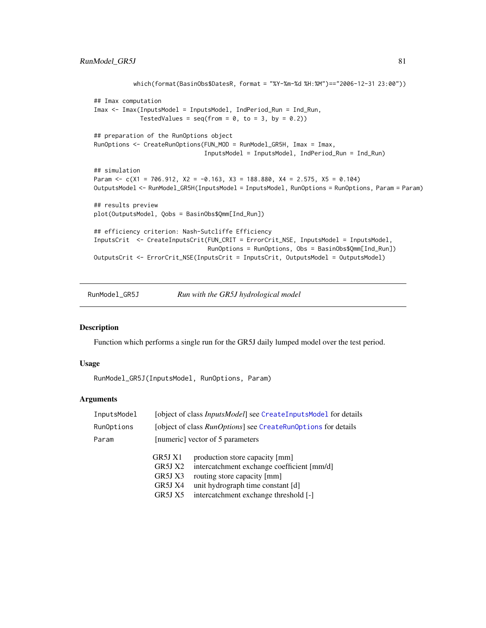```
which(format(BasinObs$DatesR, format = "%Y-%m-%d %H:%M")=="2006-12-31 23:00"))
## Imax computation
Imax <- Imax(InputsModel = InputsModel, IndPeriod_Run = Ind_Run,
             TestedValues = seq(from = 0, to = 3, by = 0.2)## preparation of the RunOptions object
RunOptions <- CreateRunOptions(FUN_MOD = RunModel_GR5H, Imax = Imax,
                               InputsModel = InputsModel, IndPeriod_Run = Ind_Run)
## simulation
Param <- c(X1 = 706.912, X2 = -0.163, X3 = 188.880, X4 = 2.575, X5 = 0.104)
OutputsModel <- RunModel_GR5H(InputsModel = InputsModel, RunOptions = RunOptions, Param = Param)
## results preview
plot(OutputsModel, Qobs = BasinObs$Qmm[Ind_Run])
## efficiency criterion: Nash-Sutcliffe Efficiency
InputsCrit <- CreateInputsCrit(FUN_CRIT = ErrorCrit_NSE, InputsModel = InputsModel,
                                RunOptions = RunOptions, Obs = BasinObs$Qmm[Ind_Run])
OutputsCrit <- ErrorCrit_NSE(InputsCrit = InputsCrit, OutputsModel = OutputsModel)
```
<span id="page-80-0"></span>RunModel\_GR5J *Run with the GR5J hydrological model*

# Description

Function which performs a single run for the GR5J daily lumped model over the test period.

#### Usage

RunModel\_GR5J(InputsModel, RunOptions, Param)

## Arguments

| InputsModel | [object of class <i>InputsModel</i> ] see CreateInputsModel for details |                                            |
|-------------|-------------------------------------------------------------------------|--------------------------------------------|
| RunOptions  | [object of class <i>RunOptions</i> ] see CreateRunOptions for details   |                                            |
| Param       | [numeric] vector of 5 parameters                                        |                                            |
|             | GR5J X1                                                                 | production store capacity [mm]             |
|             | GR5J X2                                                                 | intercatchment exchange coefficient [mm/d] |
|             | GR5J X3                                                                 | routing store capacity [mm]                |
|             | GR5J X4                                                                 | unit hydrograph time constant [d]          |
|             | GR5J X5                                                                 | intercatchment exchange threshold [-]      |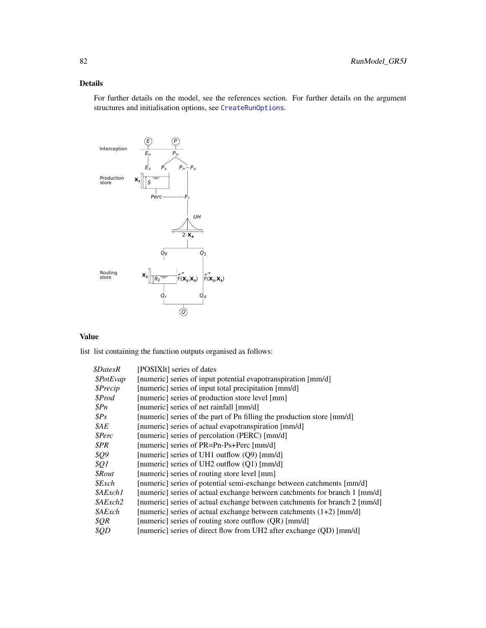# Details

For further details on the model, see the references section. For further details on the argument structures and initialisation options, see [CreateRunOptions](#page-23-0).



# Value

| <i><b>\$DatesR</b></i>  | [POSIXIt] series of dates                                                  |
|-------------------------|----------------------------------------------------------------------------|
| <i><b>\$PotEvap</b></i> | [numeric] series of input potential evapotranspiration [mm/d]              |
| \$Precip                | [numeric] series of input total precipitation [mm/d]                       |
| \$Prod                  | [numeric] series of production store level [mm]                            |
| $\mathcal{S}Pn$         | [numeric] series of net rainfall [mm/d]                                    |
| $\$Ps$                  | [numeric] series of the part of Pn filling the production store [mm/d]     |
| \$AE                    | [numeric] series of actual evapotranspiration [mm/d]                       |
| \$Perc                  | [numeric] series of percolation (PERC) [mm/d]                              |
| \$PR                    | [numeric] series of PR=Pn-Ps+Perc [mm/d]                                   |
| <i><b>\$Q9</b></i>      | [numeric] series of UH1 outflow (Q9) [mm/d]                                |
| \$Q1                    | [numeric] series of UH2 outflow (Q1) [mm/d]                                |
| $$$ <i>Rout</i>         | [numeric] series of routing store level [mm]                               |
| $$$ <i>Exch</i>         | [numeric] series of potential semi-exchange between catchments [mm/d]      |
| \$AExch1                | [numeric] series of actual exchange between catchments for branch 1 [mm/d] |
| <i><b>\$AExch2</b></i>  | [numeric] series of actual exchange between catchments for branch 2 [mm/d] |
| \$AExch                 | [numeric] series of actual exchange between catchments $(1+2)$ [mm/d]      |
| \$QR\$                  | [numeric] series of routing store outflow (QR) [mm/d]                      |
| \$QD                    | [numeric] series of direct flow from UH2 after exchange (QD) [mm/d]        |
|                         |                                                                            |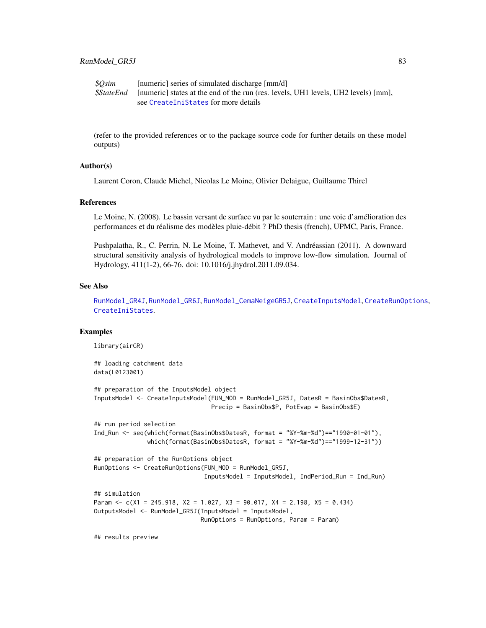<span id="page-82-0"></span>

| \$Osim | [numeric] series of simulated discharge [mm/d]                                                      |
|--------|-----------------------------------------------------------------------------------------------------|
|        | <i>SStateEnd</i> [numeric] states at the end of the run (res. levels, UH1 levels, UH2 levels) [mm], |
|        | see CreateIniStates for more details                                                                |

## Author(s)

Laurent Coron, Claude Michel, Nicolas Le Moine, Olivier Delaigue, Guillaume Thirel

#### References

Le Moine, N. (2008). Le bassin versant de surface vu par le souterrain : une voie d'amélioration des performances et du réalisme des modèles pluie-débit ? PhD thesis (french), UPMC, Paris, France.

Pushpalatha, R., C. Perrin, N. Le Moine, T. Mathevet, and V. Andréassian (2011). A downward structural sensitivity analysis of hydrological models to improve low-flow simulation. Journal of Hydrology, 411(1-2), 66-76. doi: 10.1016/j.jhydrol.2011.09.034.

## See Also

[RunModel\\_GR4J](#page-75-0), [RunModel\\_GR6J](#page-83-0), [RunModel\\_CemaNeigeGR5J](#page-61-0), [CreateInputsModel](#page-20-0), [CreateRunOptions](#page-23-0), [CreateIniStates](#page-13-0).

# Examples

library(airGR)

```
## loading catchment data
data(L0123001)
## preparation of the InputsModel object
InputsModel <- CreateInputsModel(FUN_MOD = RunModel_GR5J, DatesR = BasinObs$DatesR,
                                 Precip = BasinObs$P, PotEvap = BasinObs$E)
## run period selection
Ind_Run <- seq(which(format(BasinObs$DatesR, format = "%Y-%m-%d")=="1990-01-01"),
               which(format(BasinObs$DatesR, format = "%Y-%m-%d")=="1999-12-31"))
## preparation of the RunOptions object
RunOptions <- CreateRunOptions(FUN_MOD = RunModel_GR5J,
                               InputsModel = InputsModel, IndPeriod_Run = Ind_Run)
## simulation
Param <- c(X1 = 245.918, X2 = 1.027, X3 = 90.017, X4 = 2.198, X5 = 0.434)
OutputsModel <- RunModel_GR5J(InputsModel = InputsModel,
                              RunOptions = RunOptions, Param = Param)
```
## results preview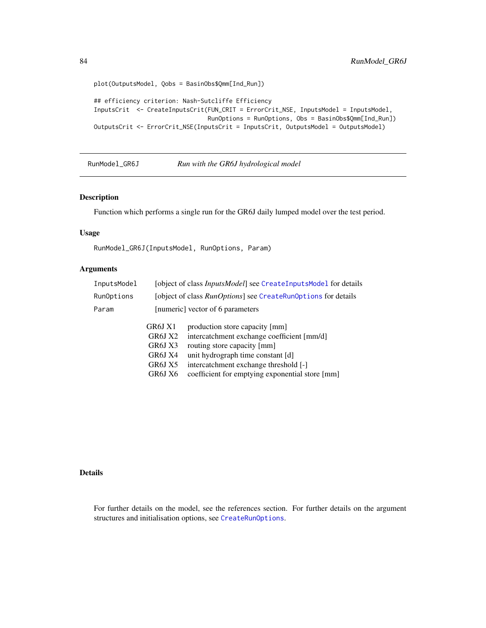```
plot(OutputsModel, Qobs = BasinObs$Qmm[Ind_Run])
## efficiency criterion: Nash-Sutcliffe Efficiency
InputsCrit <- CreateInputsCrit(FUN_CRIT = ErrorCrit_NSE, InputsModel = InputsModel,
                               RunOptions = RunOptions, Obs = BasinObs$Qmm[Ind_Run])
OutputsCrit <- ErrorCrit_NSE(InputsCrit = InputsCrit, OutputsModel = OutputsModel)
```
<span id="page-83-0"></span>RunModel\_GR6J *Run with the GR6J hydrological model*

# Description

Function which performs a single run for the GR6J daily lumped model over the test period.

## Usage

RunModel\_GR6J(InputsModel, RunOptions, Param)

## Arguments

| [object of class <i>InputsModel</i> ] see CreateInputsModel for details |                                                 |  |
|-------------------------------------------------------------------------|-------------------------------------------------|--|
| [object of class RunOptions] see CreateRunOptions for details           |                                                 |  |
| [numeric] vector of 6 parameters                                        |                                                 |  |
| GR6J X1                                                                 | production store capacity [mm]                  |  |
| GR6J X2                                                                 | intercatchment exchange coefficient [mm/d]      |  |
| GR6J X3                                                                 | routing store capacity [mm]                     |  |
| GR6J X4                                                                 | unit hydrograph time constant [d]               |  |
| GR6J X5                                                                 | intercatchment exchange threshold [-]           |  |
| GR6J X6                                                                 | coefficient for emptying exponential store [mm] |  |
|                                                                         |                                                 |  |

# Details

For further details on the model, see the references section. For further details on the argument structures and initialisation options, see [CreateRunOptions](#page-23-0).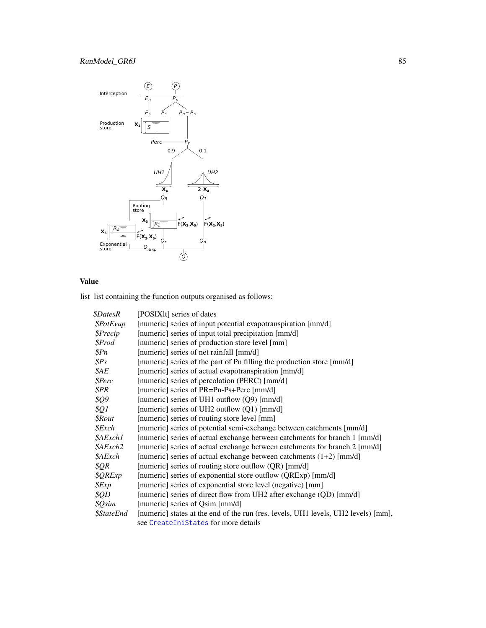# <span id="page-84-0"></span>RunModel\_GR6J 85



# Value

| <i><b>\$DatesR</b></i>   | [POSIX]t] series of dates                                                          |
|--------------------------|------------------------------------------------------------------------------------|
| \$PotEvap                | [numeric] series of input potential evapotranspiration [mm/d]                      |
| \$Precip                 | [numeric] series of input total precipitation [mm/d]                               |
| \$Prod                   | [numeric] series of production store level [mm]                                    |
| \$Pn                     | [numeric] series of net rainfall [mm/d]                                            |
| $\$Ps$                   | [numeric] series of the part of Pn filling the production store [mm/d]             |
| \$AE                     | [numeric] series of actual evapotranspiration [mm/d]                               |
| \$Perc                   | [numeric] series of percolation (PERC) [mm/d]                                      |
| \$PR                     | [numeric] series of PR=Pn-Ps+Perc [mm/d]                                           |
| \$Q9                     | [numeric] series of UH1 outflow (Q9) [mm/d]                                        |
| \$Q1                     | [numeric] series of UH2 outflow (Q1) [mm/d]                                        |
| <i><b>\$Rout</b></i>     | [numeric] series of routing store level [mm]                                       |
| \$Exch                   | [numeric] series of potential semi-exchange between catchments [mm/d]              |
| \$AExch1                 | [numeric] series of actual exchange between catchments for branch 1 [mm/d]         |
| \$AExch2                 | [numeric] series of actual exchange between catchments for branch 2 [mm/d]         |
| \$AExch                  | [numeric] series of actual exchange between catchments $(1+2)$ [mm/d]              |
| \$QR\$                   | [numeric] series of routing store outflow (QR) [mm/d]                              |
| \$QRExp                  | [numeric] series of exponential store outflow (QRExp) [mm/d]                       |
| \$Exp                    | [numeric] series of exponential store level (negative) [mm]                        |
| \$QD                     | [numeric] series of direct flow from UH2 after exchange (QD) [mm/d]                |
| \$Qsim                   | [numeric] series of Qsim [mm/d]                                                    |
| <i><b>\$StateEnd</b></i> | [numeric] states at the end of the run (res. levels, UH1 levels, UH2 levels) [mm], |
|                          | see CreateIniStates for more details                                               |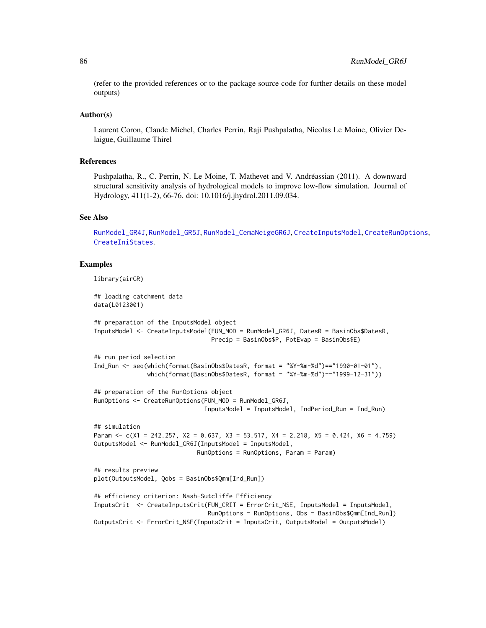#### Author(s)

Laurent Coron, Claude Michel, Charles Perrin, Raji Pushpalatha, Nicolas Le Moine, Olivier Delaigue, Guillaume Thirel

# References

Pushpalatha, R., C. Perrin, N. Le Moine, T. Mathevet and V. Andréassian (2011). A downward structural sensitivity analysis of hydrological models to improve low-flow simulation. Journal of Hydrology, 411(1-2), 66-76. doi: 10.1016/j.jhydrol.2011.09.034.

## See Also

[RunModel\\_GR4J](#page-75-0), [RunModel\\_GR5J](#page-80-0), [RunModel\\_CemaNeigeGR6J](#page-64-0), [CreateInputsModel](#page-20-0), [CreateRunOptions](#page-23-0), [CreateIniStates](#page-13-0).

## Examples

library(airGR)

## loading catchment data data(L0123001)

```
## preparation of the InputsModel object
InputsModel <- CreateInputsModel(FUN_MOD = RunModel_GR6J, DatesR = BasinObs$DatesR,
                                 Precip = BasinObs$P, PotEvap = BasinObs$E)
```

```
## run period selection
Ind_Run <- seq(which(format(BasinObs$DatesR, format = "%Y-%m-%d")=="1990-01-01"),
               which(format(BasinObs$DatesR, format = "%Y-%m-%d")=="1999-12-31"))
```

```
## preparation of the RunOptions object
RunOptions <- CreateRunOptions(FUN_MOD = RunModel_GR6J,
                               InputsModel = InputsModel, IndPeriod_Run = Ind_Run)
```

```
## simulation
Param \leq c(X1 = 242.257, X2 = 0.637, X3 = 53.517, X4 = 2.218, X5 = 0.424, X6 = 4.759)
OutputsModel <- RunModel_GR6J(InputsModel = InputsModel,
                             RunOptions = RunOptions, Param = Param)
```

```
## results preview
plot(OutputsModel, Qobs = BasinObs$Qmm[Ind_Run])
```

```
## efficiency criterion: Nash-Sutcliffe Efficiency
InputsCrit <- CreateInputsCrit(FUN_CRIT = ErrorCrit_NSE, InputsModel = InputsModel,
                               RunOptions = RunOptions, Obs = BasinObs$Qmm[Ind_Run])
OutputsCrit <- ErrorCrit_NSE(InputsCrit = InputsCrit, OutputsModel = OutputsModel)
```
<span id="page-85-0"></span>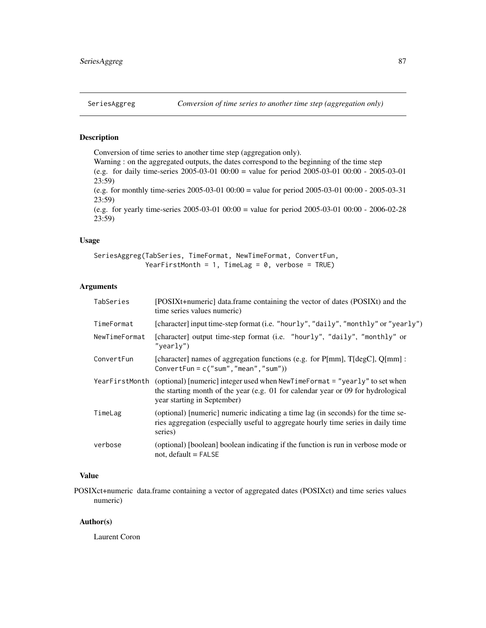# <span id="page-86-0"></span>Description

Conversion of time series to another time step (aggregation only). Warning : on the aggregated outputs, the dates correspond to the beginning of the time step

(e.g. for daily time-series 2005-03-01 00:00 = value for period 2005-03-01 00:00 - 2005-03-01 23:59)

(e.g. for monthly time-series 2005-03-01 00:00 = value for period 2005-03-01 00:00 - 2005-03-31 23:59)

(e.g. for yearly time-series 2005-03-01 00:00 = value for period 2005-03-01 00:00 - 2006-02-28 23:59)

# Usage

```
SeriesAggreg(TabSeries, TimeFormat, NewTimeFormat, ConvertFun,
             YearFirstMonth = 1, TimeLag = 0, verbose = TRUE)
```
# Arguments

| TabSeries     | [POSIXt+numeric] data.frame containing the vector of dates (POSIXt) and the<br>time series values numeric)                                                                                                    |
|---------------|---------------------------------------------------------------------------------------------------------------------------------------------------------------------------------------------------------------|
| TimeFormat    | [character] input time-step format (i.e. "hourly", "daily", "monthly" or "yearly")                                                                                                                            |
| NewTimeFormat | [character] output time-step format (i.e. "hourly", "daily", "monthly" or<br>"yearly")                                                                                                                        |
| ConvertFun    | [character] names of aggregation functions (e.g. for P[mm], T[degC], Q[mm] :<br>ConvertFun = $c("sum", "mean", "sum")$                                                                                        |
|               | YearFirstMonth (optional) [numeric] integer used when NewTimeFormat = "yearly" to set when<br>the starting month of the year (e.g. 01 for calendar year or 09 for hydrological<br>year starting in September) |
| TimeLag       | (optional) [numeric] numeric indicating a time lag (in seconds) for the time se-<br>ries aggregation (especially useful to aggregate hourly time series in daily time<br>series)                              |
| verbose       | (optional) [boolean] boolean indicating if the function is run in verbose mode or<br>not, default $=$ FALSE                                                                                                   |

# Value

POSIXct+numeric data.frame containing a vector of aggregated dates (POSIXct) and time series values numeric)

# Author(s)

Laurent Coron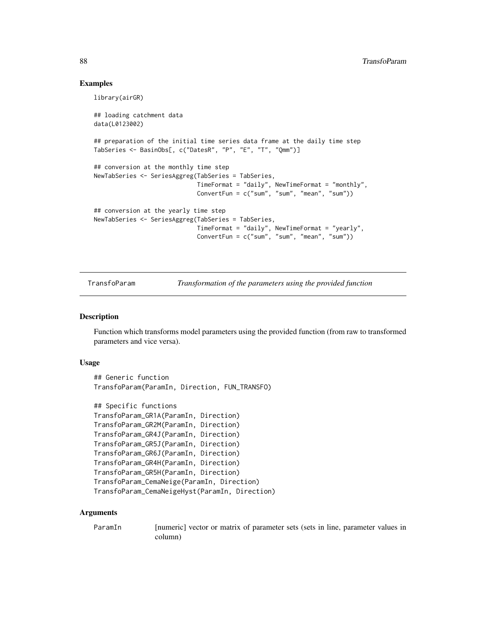## Examples

```
library(airGR)
## loading catchment data
data(L0123002)
## preparation of the initial time series data frame at the daily time step
TabSeries <- BasinObs[, c("DatesR", "P", "E", "T", "Qmm")]
## conversion at the monthly time step
NewTabSeries <- SeriesAggreg(TabSeries = TabSeries,
                             TimeFormat = "daily", NewTimeFormat = "monthly",
                             ConvertFun = c("sum", "sum", "mean", "sum"))
## conversion at the yearly time step
NewTabSeries <- SeriesAggreg(TabSeries = TabSeries,
                             TimeFormat = "daily", NewTimeFormat = "yearly",
                             ConvertFun = c("sum", "sum", "mean", "sum"))
```
TransfoParam *Transformation of the parameters using the provided function*

## Description

Function which transforms model parameters using the provided function (from raw to transformed parameters and vice versa).

#### Usage

```
## Generic function
TransfoParam(ParamIn, Direction, FUN_TRANSFO)
```

```
## Specific functions
TransfoParam_GR1A(ParamIn, Direction)
TransfoParam_GR2M(ParamIn, Direction)
TransfoParam_GR4J(ParamIn, Direction)
TransfoParam_GR5J(ParamIn, Direction)
TransfoParam_GR6J(ParamIn, Direction)
TransfoParam_GR4H(ParamIn, Direction)
TransfoParam_GR5H(ParamIn, Direction)
TransfoParam_CemaNeige(ParamIn, Direction)
TransfoParam_CemaNeigeHyst(ParamIn, Direction)
```
#### Arguments

ParamIn [numeric] vector or matrix of parameter sets (sets in line, parameter values in column)

<span id="page-87-0"></span>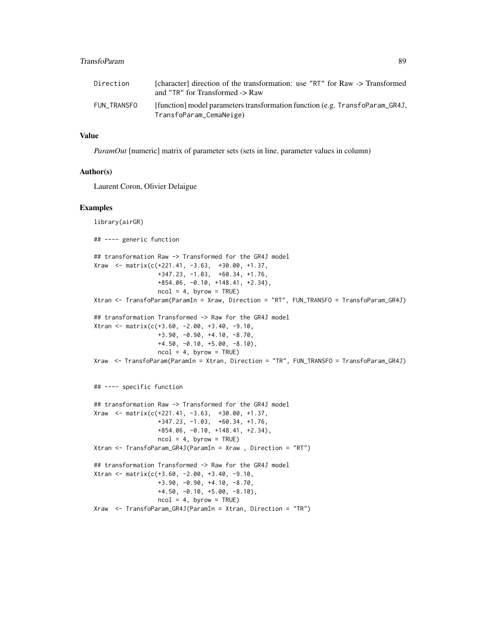# TransfoParam 89

| Direction   | [character] direction of the transformation: use "RT" for Raw -> Transformed<br>and "TR" for Transformed -> Raw |
|-------------|-----------------------------------------------------------------------------------------------------------------|
| FUN TRANSFO | [function] model parameters transformation function (e.g. Transformal GR4J,<br>TransfoParam_CemaNeige)          |

# Value

*ParamOut* [numeric] matrix of parameter sets (sets in line, parameter values in column)

## Author(s)

Laurent Coron, Olivier Delaigue

#### Examples

```
library(airGR)
## ---- generic function
## transformation Raw -> Transformed for the GR4J model
Xraw \leftarrow matrix(c(+221.41, -3.63, +30.00, +1.37,+347.23, -1.03, +60.34, +1.76,
                  +854.06, -0.10, +148.41, +2.34),
                  ncol = 4, byrow = TRUE)
Xtran <- TransfoParam(ParamIn = Xraw, Direction = "RT", FUN_TRANSFO = TransfoParam_GR4J)
## transformation Transformed -> Raw for the GR4J model
Xtran <- matrix(c(+3.60, -2.00, +3.40, -9.10,
                  +3.90, -0.90, +4.10, -8.70,
                  +4.50, -0.10, +5.00, -8.10),
                  ncol = 4, byrow = TRUE)
Xraw <- TransfoParam(ParamIn = Xtran, Direction = "TR", FUN_TRANSFO = TransfoParam_GR4J)
## ---- specific function
## transformation Raw -> Transformed for the GR4J model
Xraw <- matrix(c(+221.41, -3.63, +30.00, +1.37,
                  +347.23, -1.03, +60.34, +1.76,
                  +854.06, -0.10, +148.41, +2.34),
                  ncol = 4, byrow = TRUE)
Xtran <- TransfoParam_GR4J(ParamIn = Xraw , Direction = "RT")
## transformation Transformed -> Raw for the GR4J model
Xtran <- matrix(c(+3.60, -2.00, +3.40, -9.10,
                  +3.90, -0.90, +4.10, -8.70,
                  +4.50, -0.10, +5.00, -8.10),
                  ncol = 4, byrow = TRUE)
Xraw <- TransfoParam_GR4J(ParamIn = Xtran, Direction = "TR")
```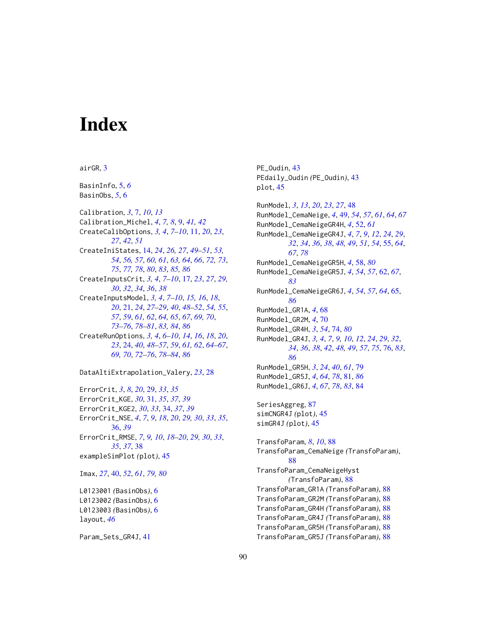# **Index**

airGR, [3](#page-2-0)

BasinInfo, [5,](#page-4-0) *[6](#page-5-0)* BasinObs, *[5](#page-4-0)*, [6](#page-5-0)

Calibration, *[3](#page-2-0)*, [7,](#page-6-0) *[10](#page-9-0)*, *[13](#page-12-0)* Calibration\_Michel, *[4](#page-3-0)*, *[7,](#page-6-0) [8](#page-7-0)*, [9,](#page-8-0) *[41,](#page-40-0) [42](#page-41-0)* CreateCalibOptions, *[3,](#page-2-0) [4](#page-3-0)*, *[7–](#page-6-0)[10](#page-9-0)*, [11,](#page-10-0) *[20](#page-19-0)*, *[23](#page-22-0)*, *[27](#page-26-0)*, *[42](#page-41-0)*, *[51](#page-50-0)* CreateIniStates, [14,](#page-13-1) *[24](#page-23-1)*, *[26,](#page-25-0) [27](#page-26-0)*, *[49–](#page-48-0)[51](#page-50-0)*, *[53,](#page-52-0) [54](#page-53-0)*, *[56,](#page-55-0) [57](#page-56-0)*, *[60,](#page-59-0) [61](#page-60-0)*, *[63,](#page-62-0) [64](#page-63-0)*, *[66](#page-65-0)*, *[72,](#page-71-0) [73](#page-72-0)*, *[75](#page-74-0)*, *[77,](#page-76-0) [78](#page-77-0)*, *[80](#page-79-0)*, *[83](#page-82-0)*, *[85,](#page-84-0) [86](#page-85-0)* CreateInputsCrit, *[3,](#page-2-0) [4](#page-3-0)*, *[7–](#page-6-0)[10](#page-9-0)*, [17,](#page-16-0) *[23](#page-22-0)*, *[27](#page-26-0)*, *[29,](#page-28-0) [30](#page-29-0)*, *[32](#page-31-0)*, *[34](#page-33-0)*, *[36](#page-35-0)*, *[38](#page-37-0)* CreateInputsModel, *[3,](#page-2-0) [4](#page-3-0)*, *[7–](#page-6-0)[10](#page-9-0)*, *[15,](#page-14-0) [16](#page-15-0)*, *[18](#page-17-0)*, *[20](#page-19-0)*, [21,](#page-20-1) *[24](#page-23-1)*, *[27–](#page-26-0)[29](#page-28-0)*, *[40](#page-39-1)*, *[48–](#page-47-0)[52](#page-51-0)*, *[54,](#page-53-0) [55](#page-54-1)*, *[57](#page-56-0)*, *[59](#page-58-0)*, *[61,](#page-60-0) [62](#page-61-1)*, *[64,](#page-63-0) [65](#page-64-1)*, *[67](#page-66-0)*, *[69,](#page-68-0) [70](#page-69-0)*, *[73](#page-72-0)[–76](#page-75-1)*, *[78](#page-77-0)[–81](#page-80-1)*, *[83,](#page-82-0) [84](#page-83-1)*, *[86](#page-85-0)* CreateRunOptions, *[3,](#page-2-0) [4](#page-3-0)*, *[6–](#page-5-0)[10](#page-9-0)*, *[14](#page-13-1)*, *[16](#page-15-0)*, *[18](#page-17-0)*, *[20](#page-19-0)*, *[23](#page-22-0)*, [24,](#page-23-1) *[40](#page-39-1)*, *[48–](#page-47-0)[57](#page-56-0)*, *[59](#page-58-0)*, *[61,](#page-60-0) [62](#page-61-1)*, *[64–](#page-63-0)[67](#page-66-0)*, *[69,](#page-68-0) [70](#page-69-0)*, *[72](#page-71-0)[–76](#page-75-1)*, *[78–](#page-77-0)[84](#page-83-1)*, *[86](#page-85-0)*

ErrorCrit, *[3](#page-2-0)*, *[8](#page-7-0)*, *[20](#page-19-0)*, [29,](#page-28-0) *[33](#page-32-0)*, *[35](#page-34-0)* ErrorCrit\_KGE, *[30](#page-29-0)*, [31,](#page-30-0) *[35](#page-34-0)*, *[37](#page-36-0)*, *[39](#page-38-0)* ErrorCrit\_KGE2, *[30](#page-29-0)*, *[33](#page-32-0)*, [34,](#page-33-0) *[37](#page-36-0)*, *[39](#page-38-0)* ErrorCrit\_NSE, *[4](#page-3-0)*, *[7](#page-6-0)*, *[9](#page-8-0)*, *[18](#page-17-0)*, *[20](#page-19-0)*, *[29,](#page-28-0) [30](#page-29-0)*, *[33](#page-32-0)*, *[35](#page-34-0)*, [36,](#page-35-0) *[39](#page-38-0)* ErrorCrit\_RMSE, *[7](#page-6-0)*, *[9,](#page-8-0) [10](#page-9-0)*, *[18–](#page-17-0)[20](#page-19-0)*, *[29,](#page-28-0) [30](#page-29-0)*, *[33](#page-32-0)*, *[35](#page-34-0)*, *[37](#page-36-0)*, [38](#page-37-0) exampleSimPlot *(*plot*)*, [45](#page-44-0) Imax, *[27](#page-26-0)*, [40,](#page-39-1) *[52](#page-51-0)*, *[61](#page-60-0)*, *[79,](#page-78-0) [80](#page-79-0)* L0123001 *(*BasinObs*)*, [6](#page-5-0)

DataAltiExtrapolation\_Valery, *[23](#page-22-0)*, [28](#page-27-0)

L0123002 *(*BasinObs*)*, [6](#page-5-0) L0123003 *(*BasinObs*)*, [6](#page-5-0) layout, *[46](#page-45-0)*

Param\_Sets\_GR4J, [41](#page-40-0)

PE\_Oudin, [43](#page-42-0) PEdaily\_Oudin *(*PE\_Oudin*)*, [43](#page-42-0) plot, [45](#page-44-0)

RunModel, *[3](#page-2-0)*, *[13](#page-12-0)*, *[20](#page-19-0)*, *[23](#page-22-0)*, *[27](#page-26-0)*, [48](#page-47-0) RunModel\_CemaNeige, *[4](#page-3-0)*, [49,](#page-48-0) *[54](#page-53-0)*, *[57](#page-56-0)*, *[61](#page-60-0)*, *[64](#page-63-0)*, *[67](#page-66-0)* RunModel\_CemaNeigeGR4H, *[4](#page-3-0)*, [52,](#page-51-0) *[61](#page-60-0)* RunModel\_CemaNeigeGR4J, *[4](#page-3-0)*, *[7](#page-6-0)*, *[9](#page-8-0)*, *[12](#page-11-0)*, *[24](#page-23-1)*, *[29](#page-28-0)*, *[32](#page-31-0)*, *[34](#page-33-0)*, *[36](#page-35-0)*, *[38](#page-37-0)*, *[48,](#page-47-0) [49](#page-48-0)*, *[51](#page-50-0)*, *[54](#page-53-0)*, [55,](#page-54-1) *[64](#page-63-0)*, *[67](#page-66-0)*, *[78](#page-77-0)* RunModel\_CemaNeigeGR5H, *[4](#page-3-0)*, [58,](#page-57-1) *[80](#page-79-0)* RunModel\_CemaNeigeGR5J, *[4](#page-3-0)*, *[54](#page-53-0)*, *[57](#page-56-0)*, [62,](#page-61-1) *[67](#page-66-0)*, *[83](#page-82-0)* RunModel\_CemaNeigeGR6J, *[4](#page-3-0)*, *[54](#page-53-0)*, *[57](#page-56-0)*, *[64](#page-63-0)*, [65,](#page-64-1) *[86](#page-85-0)* RunModel\_GR1A, *[4](#page-3-0)*, [68](#page-67-0) RunModel\_GR2M, *[4](#page-3-0)*, [70](#page-69-0) RunModel\_GR4H, *[3](#page-2-0)*, *[54](#page-53-0)*, [74,](#page-73-1) *[80](#page-79-0)* RunModel\_GR4J, *[3,](#page-2-0) [4](#page-3-0)*, *[7](#page-6-0)*, *[9,](#page-8-0) [10](#page-9-0)*, *[12](#page-11-0)*, *[24](#page-23-1)*, *[29](#page-28-0)*, *[32](#page-31-0)*, *[34](#page-33-0)*, *[36](#page-35-0)*, *[38](#page-37-0)*, *[42](#page-41-0)*, *[48,](#page-47-0) [49](#page-48-0)*, *[57](#page-56-0)*, *[75](#page-74-0)*, [76,](#page-75-1) *[83](#page-82-0)*, *[86](#page-85-0)* RunModel\_GR5H, *[3](#page-2-0)*, *[24](#page-23-1)*, *[40](#page-39-1)*, *[61](#page-60-0)*, [79](#page-78-0) RunModel\_GR5J, *[4](#page-3-0)*, *[64](#page-63-0)*, *[78](#page-77-0)*, [81,](#page-80-1) *[86](#page-85-0)* RunModel\_GR6J, *[4](#page-3-0)*, *[67](#page-66-0)*, *[78](#page-77-0)*, *[83](#page-82-0)*, [84](#page-83-1) SeriesAggreg, [87](#page-86-0) simCNGR4J *(*plot*)*, [45](#page-44-0) simGR4J *(*plot*)*, [45](#page-44-0) TransfoParam, *[8](#page-7-0)*, *[10](#page-9-0)*, [88](#page-87-0) TransfoParam\_CemaNeige *(*TransfoParam*)*, [88](#page-87-0) TransfoParam\_CemaNeigeHyst *(*TransfoParam*)*, [88](#page-87-0) TransfoParam\_GR1A *(*TransfoParam*)*, [88](#page-87-0) TransfoParam\_GR2M *(*TransfoParam*)*, [88](#page-87-0) TransfoParam\_GR4H *(*TransfoParam*)*, [88](#page-87-0) TransfoParam\_GR4J *(*TransfoParam*)*, [88](#page-87-0) TransfoParam\_GR5H *(*TransfoParam*)*, [88](#page-87-0) TransfoParam\_GR5J *(*TransfoParam*)*, [88](#page-87-0)